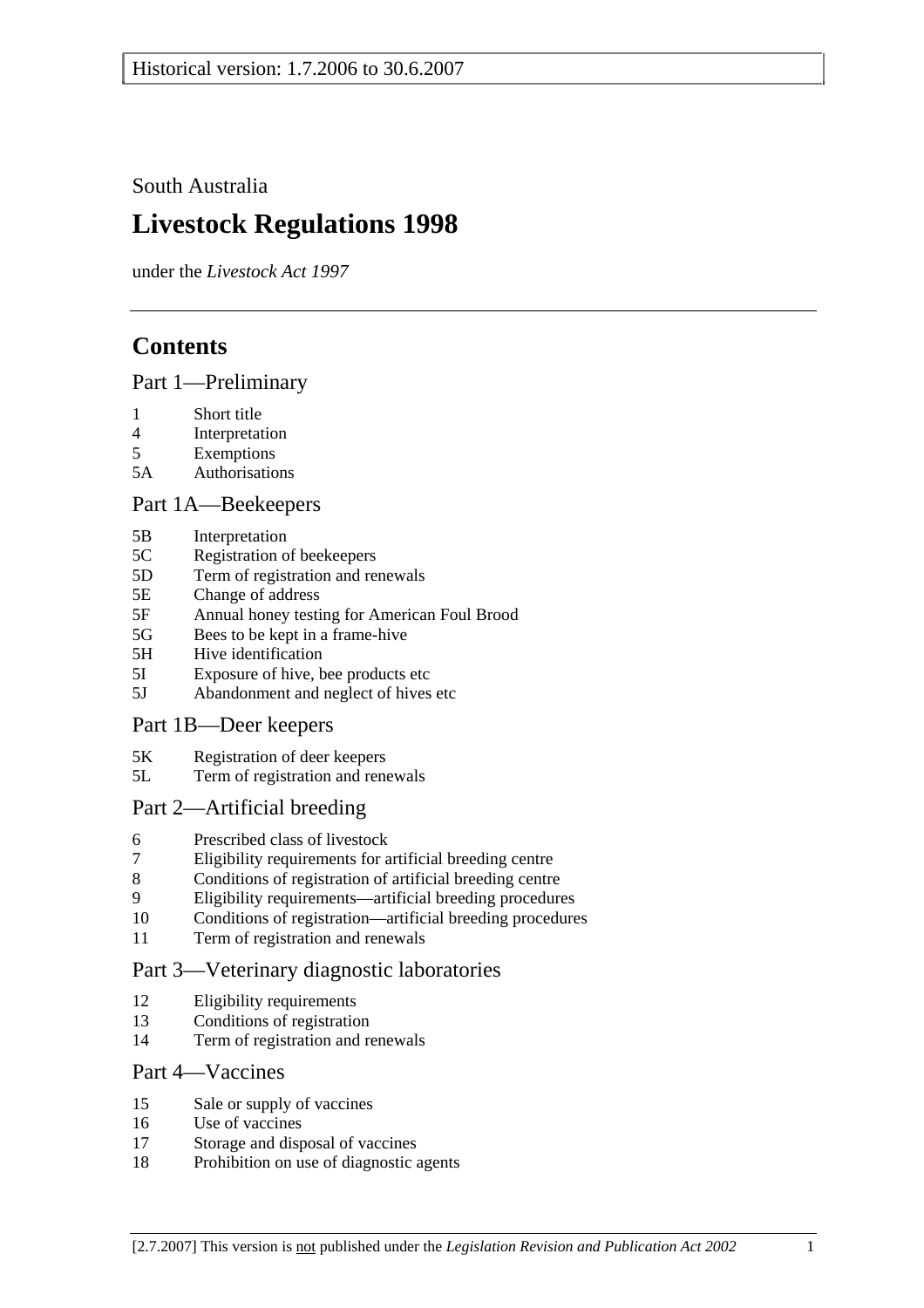South Australia

# **Livestock Regulations 1998**

under the *Livestock Act 1997*

# **Contents**

### Part 1—Preliminary

- 1 Short title
- 4 Interpretation
- 5 Exemptions
- 5A Authorisations

## Part 1A—Beekeepers

- 5B Interpretation
- 5C Registration of beekeepers
- 5D Term of registration and renewals
- 5E Change of address
- 5F Annual honey testing for American Foul Brood
- 5G Bees to be kept in a frame-hive
- 5H Hive identification
- 5I Exposure of hive, bee products etc
- 5J Abandonment and neglect of hives etc

# Part 1B—Deer keepers

- 5K Registration of deer keepers
- 5L Term of registration and renewals

# Part 2—Artificial breeding

- 6 Prescribed class of livestock
- 7 Eligibility requirements for artificial breeding centre
- 8 Conditions of registration of artificial breeding centre
- 9 Eligibility requirements—artificial breeding procedures
- 10 Conditions of registration—artificial breeding procedures
- 11 Term of registration and renewals

# Part 3—Veterinary diagnostic laboratories

- 12 Eligibility requirements
- 13 Conditions of registration
- 14 Term of registration and renewals

### Part 4—Vaccines

- 15 Sale or supply of vaccines
- 16 Use of vaccines
- 17 Storage and disposal of vaccines
- 18 Prohibition on use of diagnostic agents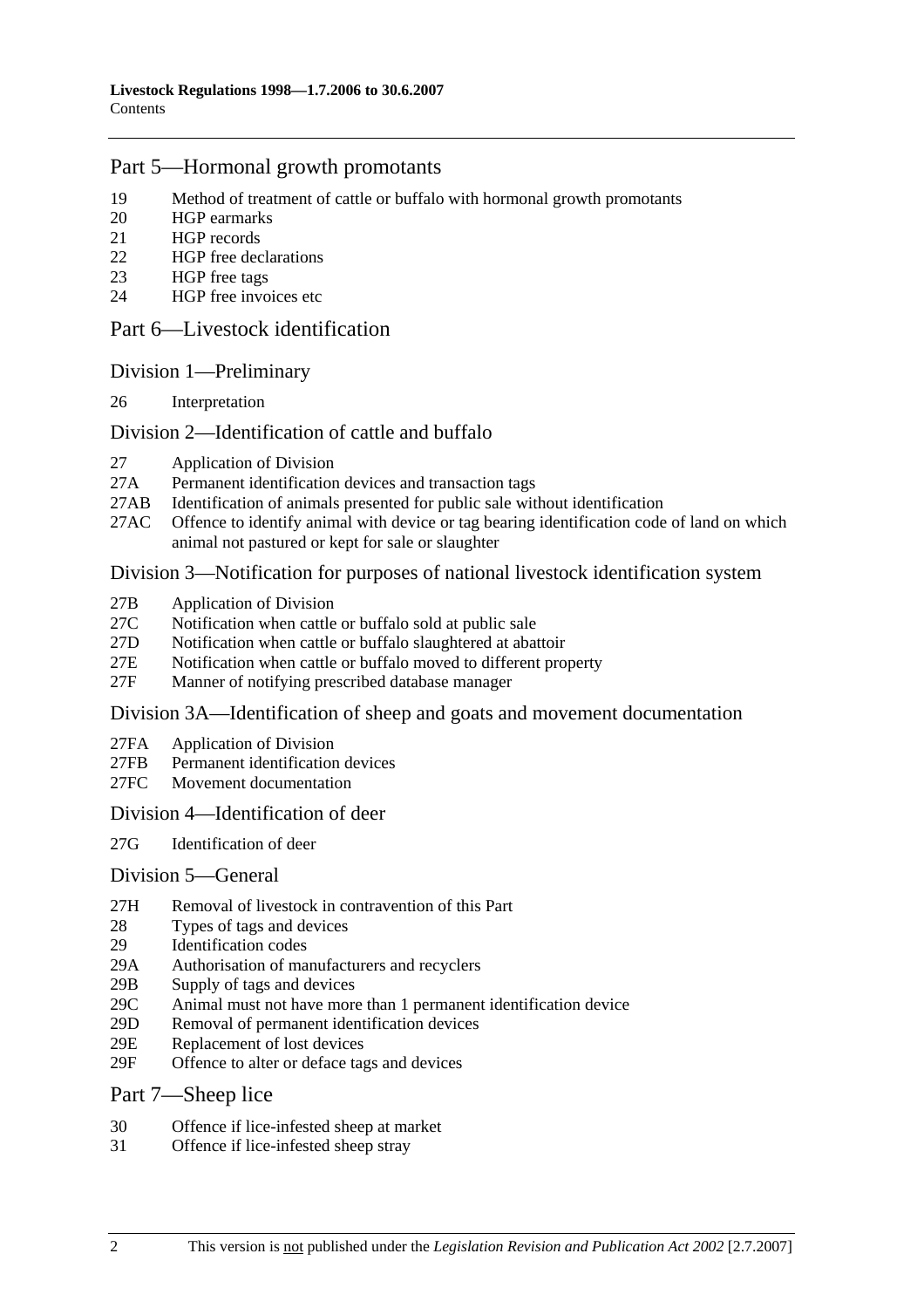### Part 5—Hormonal growth promotants

- 19 Method of treatment of cattle or buffalo with hormonal growth promotants
- 20 HGP earmarks
- 21 HGP records
- 22 HGP free declarations
- 23 HGP free tags
- 24 HGP free invoices etc

#### Part 6—Livestock identification

#### Division 1—Preliminary

26 Interpretation

#### Division 2—Identification of cattle and buffalo

- 27 Application of Division
- 27A Permanent identification devices and transaction tags
- 27AB Identification of animals presented for public sale without identification
- 27AC Offence to identify animal with device or tag bearing identification code of land on which animal not pastured or kept for sale or slaughter

#### Division 3—Notification for purposes of national livestock identification system

- 27B Application of Division
- 27C Notification when cattle or buffalo sold at public sale
- 27D Notification when cattle or buffalo slaughtered at abattoir
- 27E Notification when cattle or buffalo moved to different property
- 27F Manner of notifying prescribed database manager

#### Division 3A—Identification of sheep and goats and movement documentation

- 27FA Application of Division
- 27FB Permanent identification devices
- 27FC Movement documentation

#### Division 4—Identification of deer

27G Identification of deer

#### Division 5—General

- 27H Removal of livestock in contravention of this Part
- 28 Types of tags and devices
- 29 Identification codes
- 29A Authorisation of manufacturers and recyclers
- 29B Supply of tags and devices
- 29C Animal must not have more than 1 permanent identification device
- 29D Removal of permanent identification devices
- 29E Replacement of lost devices
- 29F Offence to alter or deface tags and devices

#### Part 7—Sheep lice

- 30 Offence if lice-infested sheep at market
- 31 Offence if lice-infested sheep stray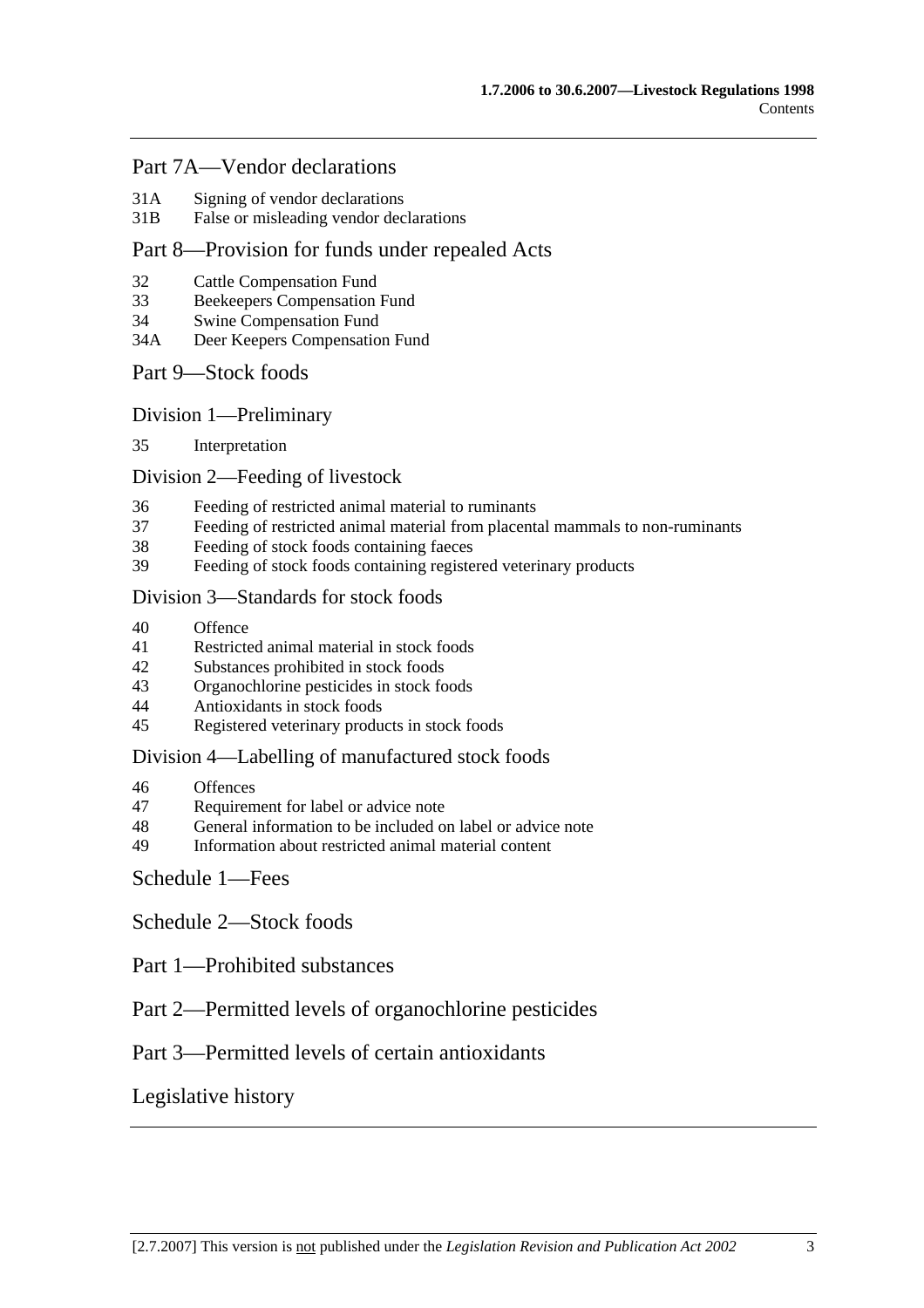### Part 7A—Vendor declarations

- 31A Signing of vendor declarations
- 31B False or misleading vendor declarations

### Part 8—Provision for funds under repealed Acts

- 32 Cattle Compensation Fund
- 33 Beekeepers Compensation Fund
- 34 Swine Compensation Fund
- 34A Deer Keepers Compensation Fund

#### Part 9—Stock foods

Division 1—Preliminary

35 Interpretation

#### Division 2—Feeding of livestock

- 36 Feeding of restricted animal material to ruminants
- 37 Feeding of restricted animal material from placental mammals to non-ruminants
- 38 Feeding of stock foods containing faeces
- 39 Feeding of stock foods containing registered veterinary products

#### Division 3—Standards for stock foods

- 40 Offence
- 41 Restricted animal material in stock foods
- 42 Substances prohibited in stock foods
- 43 Organochlorine pesticides in stock foods
- 44 Antioxidants in stock foods
- 45 Registered veterinary products in stock foods

#### Division 4—Labelling of manufactured stock foods

- 46 Offences
- 47 Requirement for label or advice note
- 48 General information to be included on label or advice note
- 49 Information about restricted animal material content

## Schedule 1—Fees

Schedule 2—Stock foods

- Part 1—Prohibited substances
- Part 2—Permitted levels of organochlorine pesticides

## Part 3—Permitted levels of certain antioxidants

# Legislative history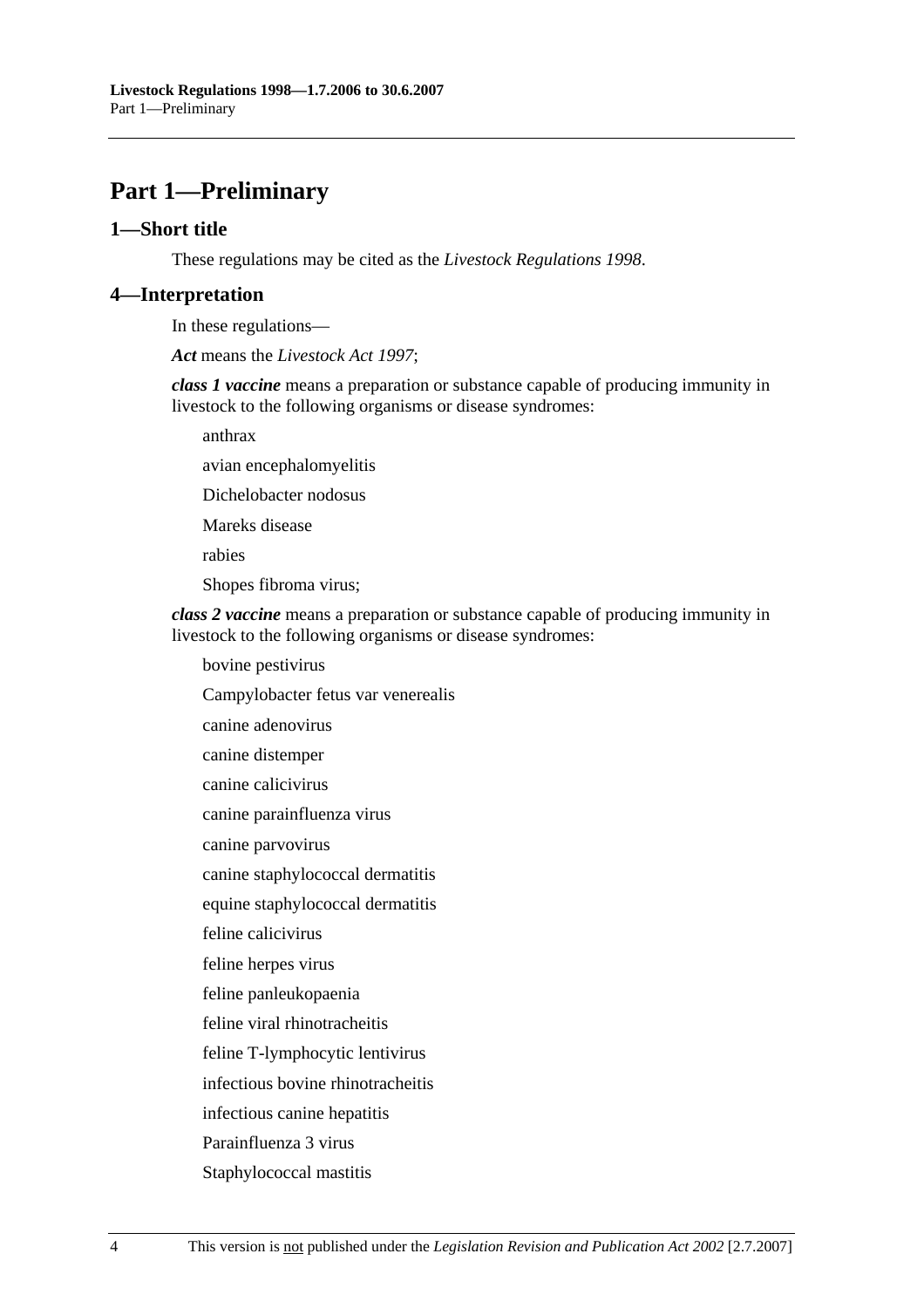# **Part 1—Preliminary**

#### **1—Short title**

These regulations may be cited as the *Livestock Regulations 1998*.

#### **4—Interpretation**

In these regulations—

*Act* means the *Livestock Act 1997*;

*class 1 vaccine* means a preparation or substance capable of producing immunity in livestock to the following organisms or disease syndromes:

anthrax

avian encephalomyelitis

Dichelobacter nodosus

Mareks disease

rabies

Shopes fibroma virus;

*class 2 vaccine* means a preparation or substance capable of producing immunity in livestock to the following organisms or disease syndromes:

bovine pestivirus

Campylobacter fetus var venerealis

canine adenovirus

canine distemper

canine calicivirus

canine parainfluenza virus

canine parvovirus

canine staphylococcal dermatitis

equine staphylococcal dermatitis

feline calicivirus

feline herpes virus

feline panleukopaenia

feline viral rhinotracheitis

feline T-lymphocytic lentivirus

infectious bovine rhinotracheitis

infectious canine hepatitis

Parainfluenza 3 virus

Staphylococcal mastitis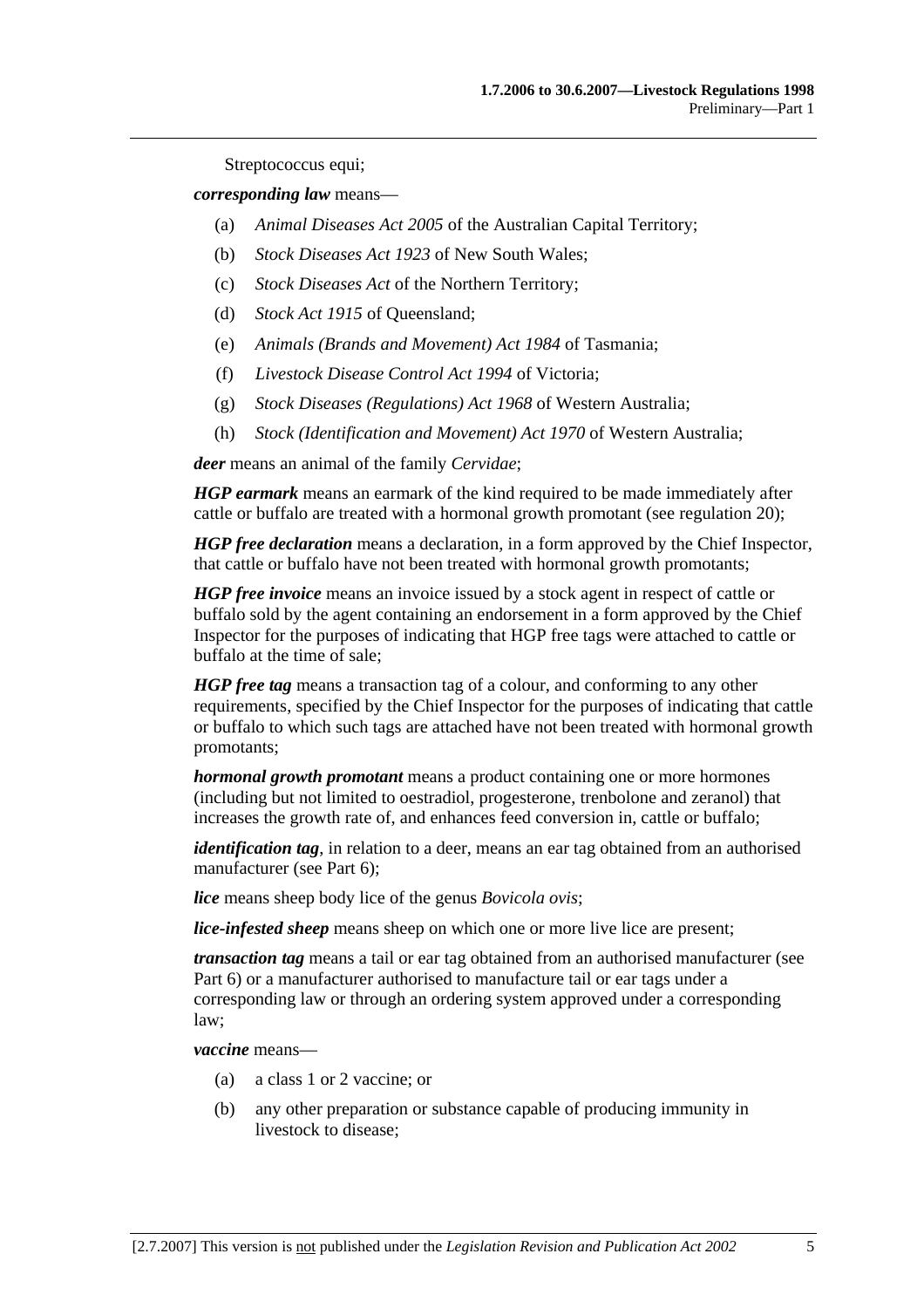Streptococcus equi;

*corresponding law* means—

- (a) *Animal Diseases Act 2005* of the Australian Capital Territory;
- (b) *Stock Diseases Act 1923* of New South Wales;
- (c) *Stock Diseases Act* of the Northern Territory;
- (d) *Stock Act 1915* of Queensland;
- (e) *Animals (Brands and Movement) Act 1984* of Tasmania;
- (f) *Livestock Disease Control Act 1994* of Victoria;
- (g) *Stock Diseases (Regulations) Act 1968* of Western Australia;
- (h) *Stock (Identification and Movement) Act 1970* of Western Australia;

*deer* means an animal of the family *Cervidae*;

*HGP earmark* means an earmark of the kind required to be made immediately after cattle or buffalo are treated with a hormonal growth promotant (see regulation 20);

*HGP free declaration* means a declaration, in a form approved by the Chief Inspector, that cattle or buffalo have not been treated with hormonal growth promotants;

*HGP free invoice* means an invoice issued by a stock agent in respect of cattle or buffalo sold by the agent containing an endorsement in a form approved by the Chief Inspector for the purposes of indicating that HGP free tags were attached to cattle or buffalo at the time of sale;

*HGP free tag* means a transaction tag of a colour, and conforming to any other requirements, specified by the Chief Inspector for the purposes of indicating that cattle or buffalo to which such tags are attached have not been treated with hormonal growth promotants;

*hormonal growth promotant* means a product containing one or more hormones (including but not limited to oestradiol, progesterone, trenbolone and zeranol) that increases the growth rate of, and enhances feed conversion in, cattle or buffalo;

*identification tag*, in relation to a deer, means an ear tag obtained from an authorised manufacturer (see Part 6);

*lice* means sheep body lice of the genus *Bovicola ovis*;

*lice-infested sheep* means sheep on which one or more live lice are present;

*transaction tag* means a tail or ear tag obtained from an authorised manufacturer (see Part 6) or a manufacturer authorised to manufacture tail or ear tags under a corresponding law or through an ordering system approved under a corresponding law;

*vaccine* means—

- (a) a class 1 or 2 vaccine; or
- (b) any other preparation or substance capable of producing immunity in livestock to disease;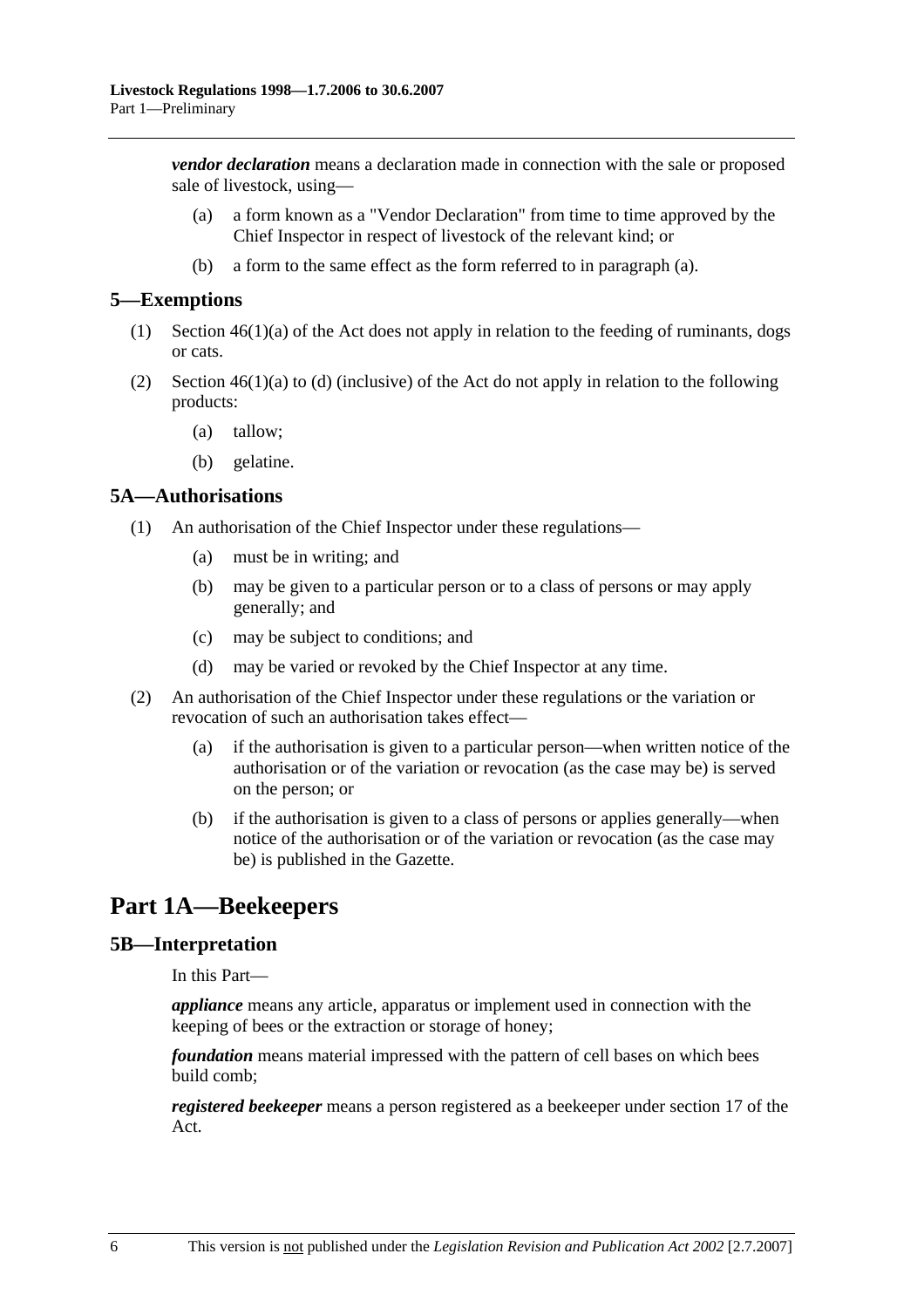*vendor declaration* means a declaration made in connection with the sale or proposed sale of livestock, using—

- (a) a form known as a "Vendor Declaration" from time to time approved by the Chief Inspector in respect of livestock of the relevant kind; or
- (b) a form to the same effect as the form referred to in paragraph (a).

#### **5—Exemptions**

- (1) Section 46(1)(a) of the Act does not apply in relation to the feeding of ruminants, dogs or cats.
- (2) Section  $46(1)(a)$  to (d) (inclusive) of the Act do not apply in relation to the following products:
	- (a) tallow;
	- (b) gelatine.

#### **5A—Authorisations**

- (1) An authorisation of the Chief Inspector under these regulations—
	- (a) must be in writing; and
	- (b) may be given to a particular person or to a class of persons or may apply generally; and
	- (c) may be subject to conditions; and
	- (d) may be varied or revoked by the Chief Inspector at any time.
- (2) An authorisation of the Chief Inspector under these regulations or the variation or revocation of such an authorisation takes effect—
	- (a) if the authorisation is given to a particular person—when written notice of the authorisation or of the variation or revocation (as the case may be) is served on the person; or
	- (b) if the authorisation is given to a class of persons or applies generally—when notice of the authorisation or of the variation or revocation (as the case may be) is published in the Gazette.

# **Part 1A—Beekeepers**

#### **5B—Interpretation**

In this Part—

*appliance* means any article, apparatus or implement used in connection with the keeping of bees or the extraction or storage of honey;

*foundation* means material impressed with the pattern of cell bases on which bees build comb;

*registered beekeeper* means a person registered as a beekeeper under section 17 of the Act.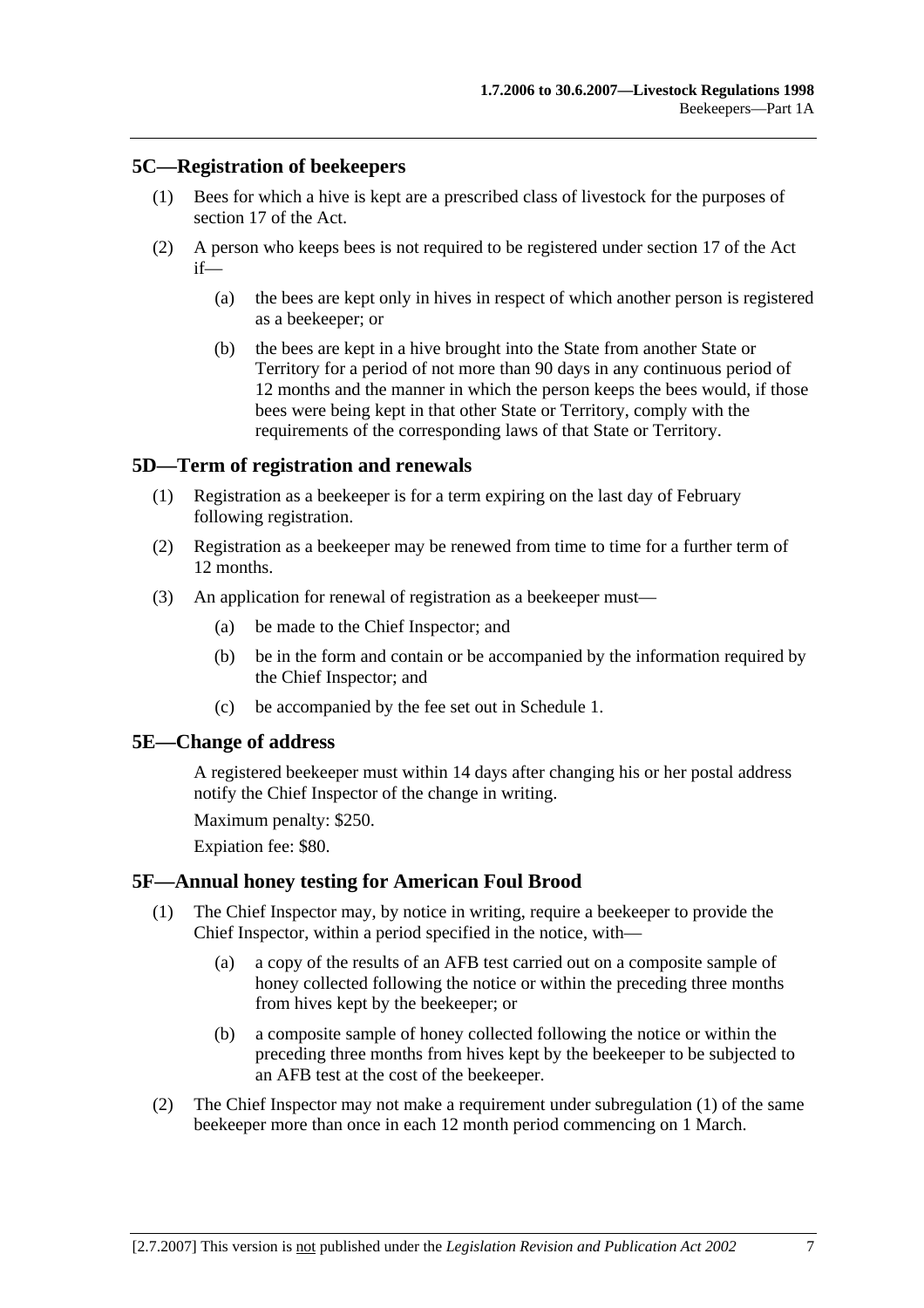### **5C—Registration of beekeepers**

- (1) Bees for which a hive is kept are a prescribed class of livestock for the purposes of section 17 of the Act.
- (2) A person who keeps bees is not required to be registered under section 17 of the Act if—
	- (a) the bees are kept only in hives in respect of which another person is registered as a beekeeper; or
	- (b) the bees are kept in a hive brought into the State from another State or Territory for a period of not more than 90 days in any continuous period of 12 months and the manner in which the person keeps the bees would, if those bees were being kept in that other State or Territory, comply with the requirements of the corresponding laws of that State or Territory.

### **5D—Term of registration and renewals**

- (1) Registration as a beekeeper is for a term expiring on the last day of February following registration.
- (2) Registration as a beekeeper may be renewed from time to time for a further term of 12 months.
- (3) An application for renewal of registration as a beekeeper must—
	- (a) be made to the Chief Inspector; and
	- (b) be in the form and contain or be accompanied by the information required by the Chief Inspector; and
	- (c) be accompanied by the fee set out in Schedule 1.

#### **5E—Change of address**

A registered beekeeper must within 14 days after changing his or her postal address notify the Chief Inspector of the change in writing.

Maximum penalty: \$250.

Expiation fee: \$80.

#### **5F—Annual honey testing for American Foul Brood**

- (1) The Chief Inspector may, by notice in writing, require a beekeeper to provide the Chief Inspector, within a period specified in the notice, with—
	- (a) a copy of the results of an AFB test carried out on a composite sample of honey collected following the notice or within the preceding three months from hives kept by the beekeeper; or
	- (b) a composite sample of honey collected following the notice or within the preceding three months from hives kept by the beekeeper to be subjected to an AFB test at the cost of the beekeeper.
- (2) The Chief Inspector may not make a requirement under subregulation (1) of the same beekeeper more than once in each 12 month period commencing on 1 March.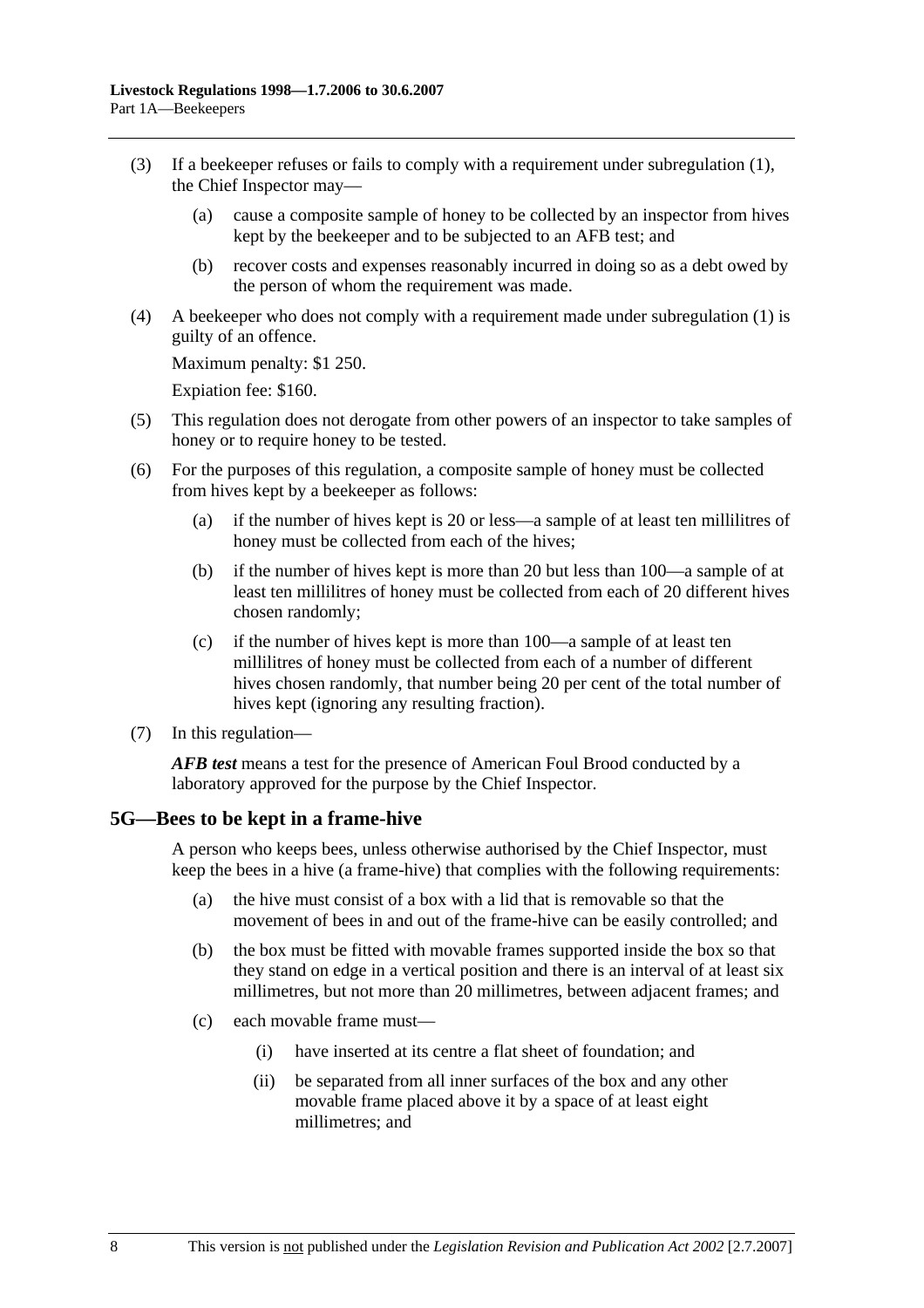- (3) If a beekeeper refuses or fails to comply with a requirement under subregulation (1), the Chief Inspector may—
	- (a) cause a composite sample of honey to be collected by an inspector from hives kept by the beekeeper and to be subjected to an AFB test; and
	- (b) recover costs and expenses reasonably incurred in doing so as a debt owed by the person of whom the requirement was made.
- (4) A beekeeper who does not comply with a requirement made under subregulation (1) is guilty of an offence.

Maximum penalty: \$1 250.

Expiation fee: \$160.

- (5) This regulation does not derogate from other powers of an inspector to take samples of honey or to require honey to be tested.
- (6) For the purposes of this regulation, a composite sample of honey must be collected from hives kept by a beekeeper as follows:
	- (a) if the number of hives kept is 20 or less—a sample of at least ten millilitres of honey must be collected from each of the hives;
	- (b) if the number of hives kept is more than 20 but less than 100—a sample of at least ten millilitres of honey must be collected from each of 20 different hives chosen randomly;
	- (c) if the number of hives kept is more than 100—a sample of at least ten millilitres of honey must be collected from each of a number of different hives chosen randomly, that number being 20 per cent of the total number of hives kept (ignoring any resulting fraction).
- (7) In this regulation—

*AFB test* means a test for the presence of American Foul Brood conducted by a laboratory approved for the purpose by the Chief Inspector.

#### **5G—Bees to be kept in a frame-hive**

A person who keeps bees, unless otherwise authorised by the Chief Inspector, must keep the bees in a hive (a frame-hive) that complies with the following requirements:

- (a) the hive must consist of a box with a lid that is removable so that the movement of bees in and out of the frame-hive can be easily controlled; and
- (b) the box must be fitted with movable frames supported inside the box so that they stand on edge in a vertical position and there is an interval of at least six millimetres, but not more than 20 millimetres, between adjacent frames; and
- (c) each movable frame must—
	- (i) have inserted at its centre a flat sheet of foundation; and
	- (ii) be separated from all inner surfaces of the box and any other movable frame placed above it by a space of at least eight millimetres; and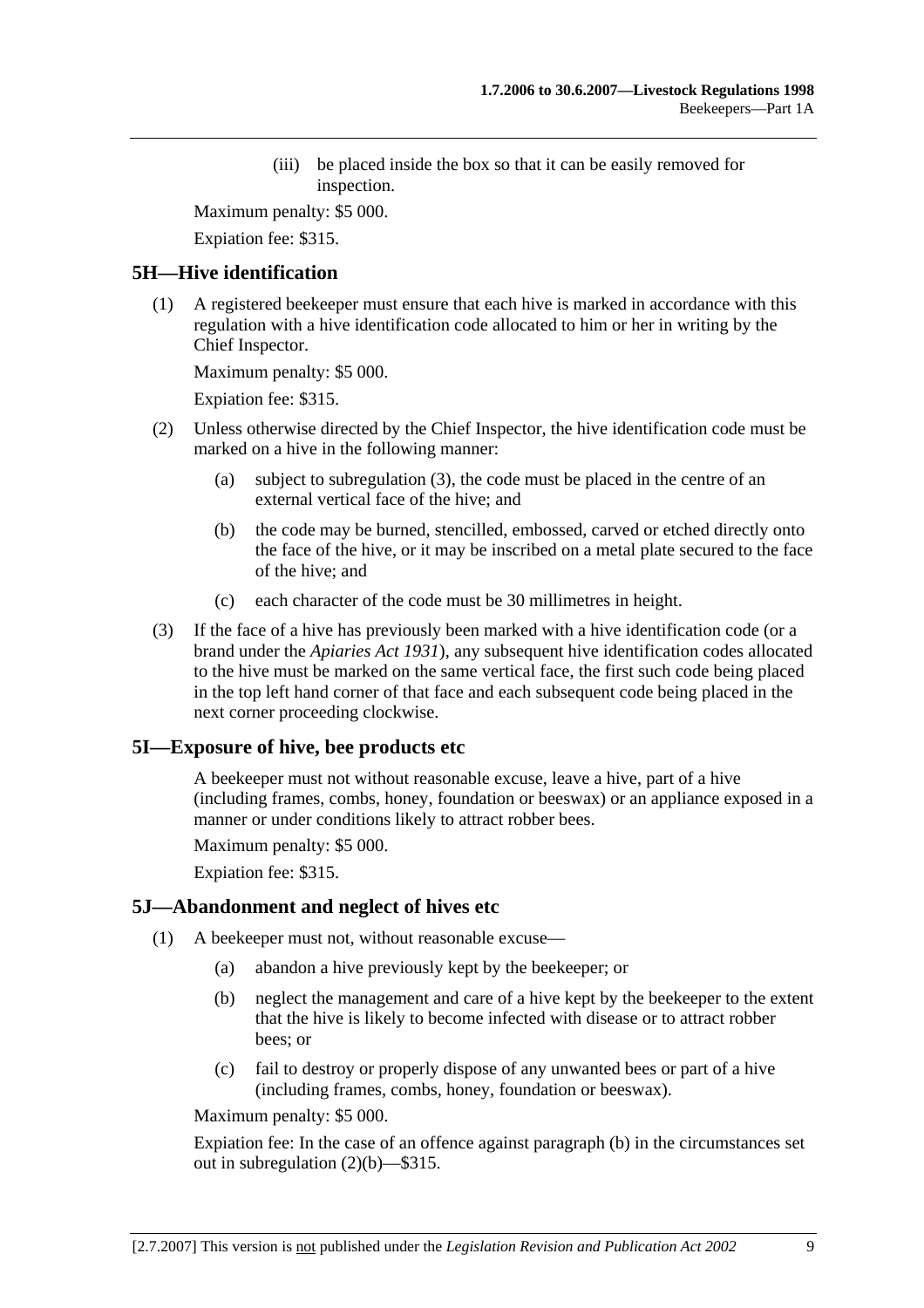(iii) be placed inside the box so that it can be easily removed for inspection.

Maximum penalty: \$5 000.

Expiation fee: \$315.

## **5H—Hive identification**

 (1) A registered beekeeper must ensure that each hive is marked in accordance with this regulation with a hive identification code allocated to him or her in writing by the Chief Inspector.

Maximum penalty: \$5 000.

Expiation fee: \$315.

- (2) Unless otherwise directed by the Chief Inspector, the hive identification code must be marked on a hive in the following manner:
	- (a) subject to subregulation (3), the code must be placed in the centre of an external vertical face of the hive; and
	- (b) the code may be burned, stencilled, embossed, carved or etched directly onto the face of the hive, or it may be inscribed on a metal plate secured to the face of the hive; and
	- (c) each character of the code must be 30 millimetres in height.
- (3) If the face of a hive has previously been marked with a hive identification code (or a brand under the *Apiaries Act 1931*), any subsequent hive identification codes allocated to the hive must be marked on the same vertical face, the first such code being placed in the top left hand corner of that face and each subsequent code being placed in the next corner proceeding clockwise.

# **5I—Exposure of hive, bee products etc**

A beekeeper must not without reasonable excuse, leave a hive, part of a hive (including frames, combs, honey, foundation or beeswax) or an appliance exposed in a manner or under conditions likely to attract robber bees.

Maximum penalty: \$5 000.

Expiation fee: \$315.

### **5J—Abandonment and neglect of hives etc**

- (1) A beekeeper must not, without reasonable excuse—
	- (a) abandon a hive previously kept by the beekeeper; or
	- (b) neglect the management and care of a hive kept by the beekeeper to the extent that the hive is likely to become infected with disease or to attract robber bees; or
	- (c) fail to destroy or properly dispose of any unwanted bees or part of a hive (including frames, combs, honey, foundation or beeswax).

Maximum penalty: \$5 000.

Expiation fee: In the case of an offence against paragraph (b) in the circumstances set out in subregulation (2)(b)—\$315.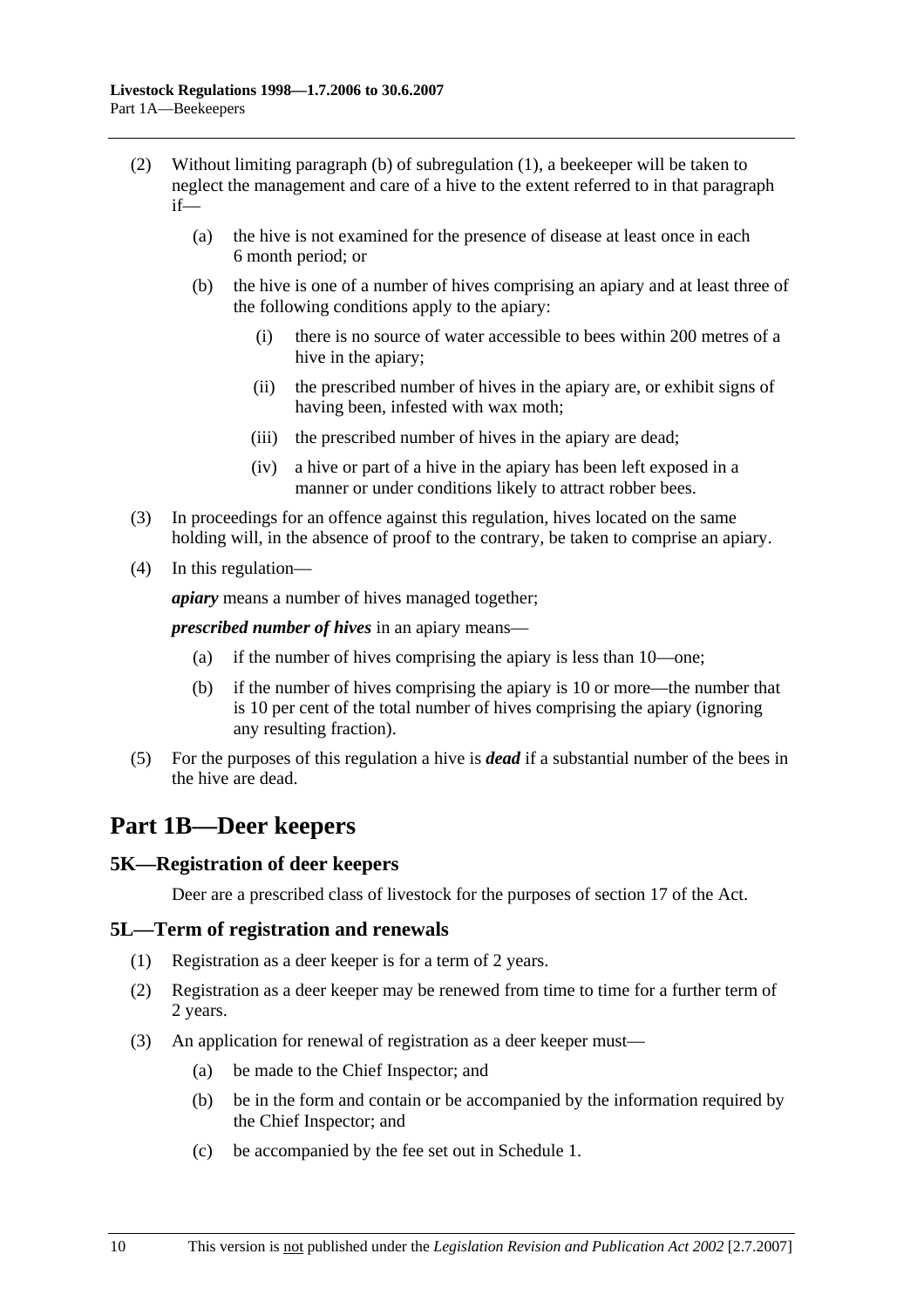- (2) Without limiting paragraph (b) of subregulation (1), a beekeeper will be taken to neglect the management and care of a hive to the extent referred to in that paragraph if—
	- (a) the hive is not examined for the presence of disease at least once in each 6 month period; or
	- (b) the hive is one of a number of hives comprising an apiary and at least three of the following conditions apply to the apiary:
		- (i) there is no source of water accessible to bees within 200 metres of a hive in the apiary;
		- (ii) the prescribed number of hives in the apiary are, or exhibit signs of having been, infested with wax moth;
		- (iii) the prescribed number of hives in the apiary are dead;
		- (iv) a hive or part of a hive in the apiary has been left exposed in a manner or under conditions likely to attract robber bees.
- (3) In proceedings for an offence against this regulation, hives located on the same holding will, in the absence of proof to the contrary, be taken to comprise an apiary.
- (4) In this regulation—

*apiary* means a number of hives managed together;

*prescribed number of hives* in an apiary means—

- (a) if the number of hives comprising the apiary is less than 10—one;
- (b) if the number of hives comprising the apiary is 10 or more—the number that is 10 per cent of the total number of hives comprising the apiary (ignoring any resulting fraction).
- (5) For the purposes of this regulation a hive is *dead* if a substantial number of the bees in the hive are dead.

# **Part 1B—Deer keepers**

### **5K—Registration of deer keepers**

Deer are a prescribed class of livestock for the purposes of section 17 of the Act.

#### **5L—Term of registration and renewals**

- (1) Registration as a deer keeper is for a term of 2 years.
- (2) Registration as a deer keeper may be renewed from time to time for a further term of 2 years.
- (3) An application for renewal of registration as a deer keeper must—
	- (a) be made to the Chief Inspector; and
	- (b) be in the form and contain or be accompanied by the information required by the Chief Inspector; and
	- (c) be accompanied by the fee set out in Schedule 1.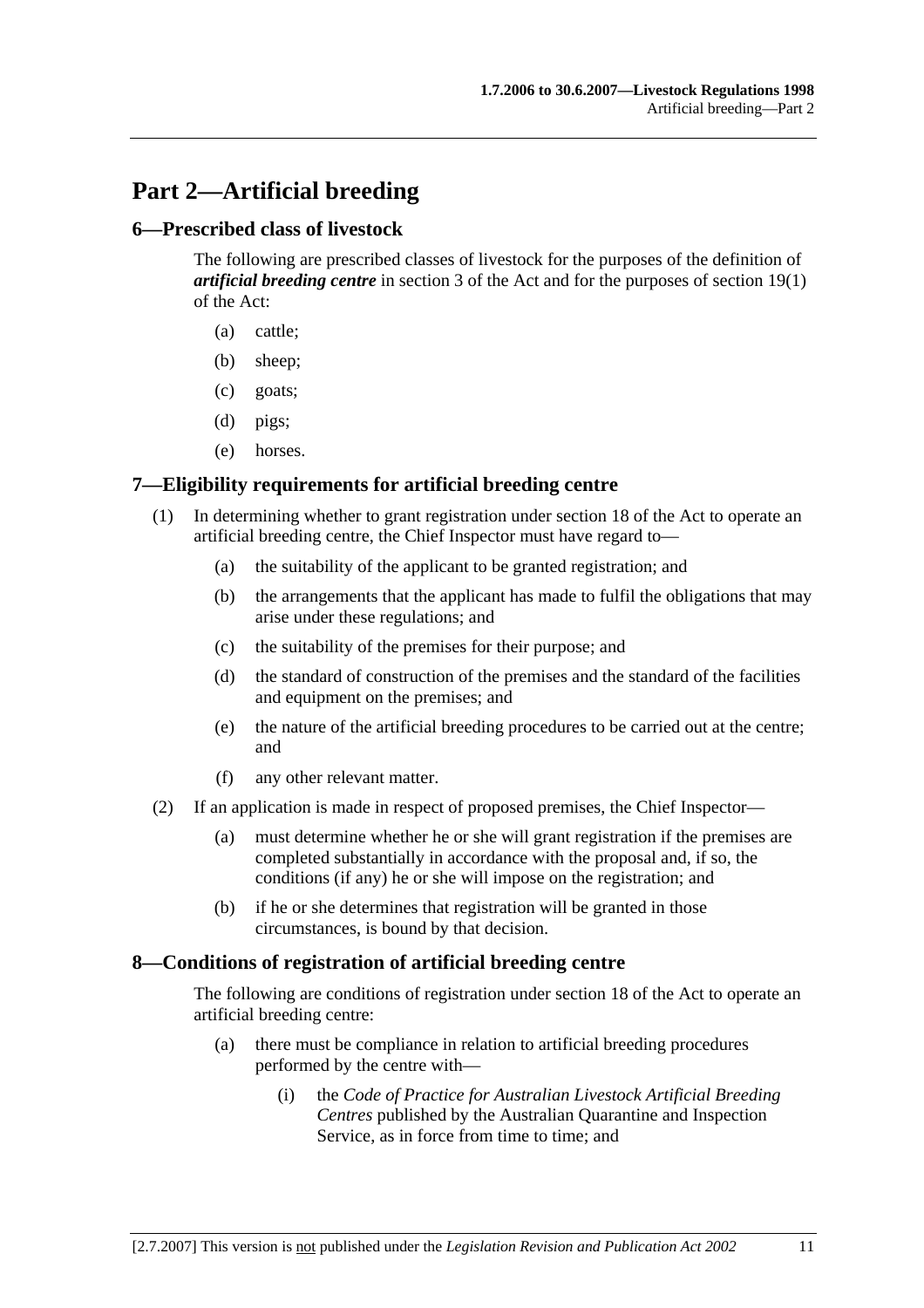# **Part 2—Artificial breeding**

### **6—Prescribed class of livestock**

The following are prescribed classes of livestock for the purposes of the definition of *artificial breeding centre* in section 3 of the Act and for the purposes of section 19(1) of the Act:

- (a) cattle;
- (b) sheep;
- (c) goats;
- (d) pigs;
- (e) horses.

## **7—Eligibility requirements for artificial breeding centre**

- (1) In determining whether to grant registration under section 18 of the Act to operate an artificial breeding centre, the Chief Inspector must have regard to—
	- (a) the suitability of the applicant to be granted registration; and
	- (b) the arrangements that the applicant has made to fulfil the obligations that may arise under these regulations; and
	- (c) the suitability of the premises for their purpose; and
	- (d) the standard of construction of the premises and the standard of the facilities and equipment on the premises; and
	- (e) the nature of the artificial breeding procedures to be carried out at the centre; and
	- (f) any other relevant matter.
- (2) If an application is made in respect of proposed premises, the Chief Inspector—
	- (a) must determine whether he or she will grant registration if the premises are completed substantially in accordance with the proposal and, if so, the conditions (if any) he or she will impose on the registration; and
	- (b) if he or she determines that registration will be granted in those circumstances, is bound by that decision.

### **8—Conditions of registration of artificial breeding centre**

The following are conditions of registration under section 18 of the Act to operate an artificial breeding centre:

- (a) there must be compliance in relation to artificial breeding procedures performed by the centre with—
	- (i) the *Code of Practice for Australian Livestock Artificial Breeding Centres* published by the Australian Quarantine and Inspection Service, as in force from time to time; and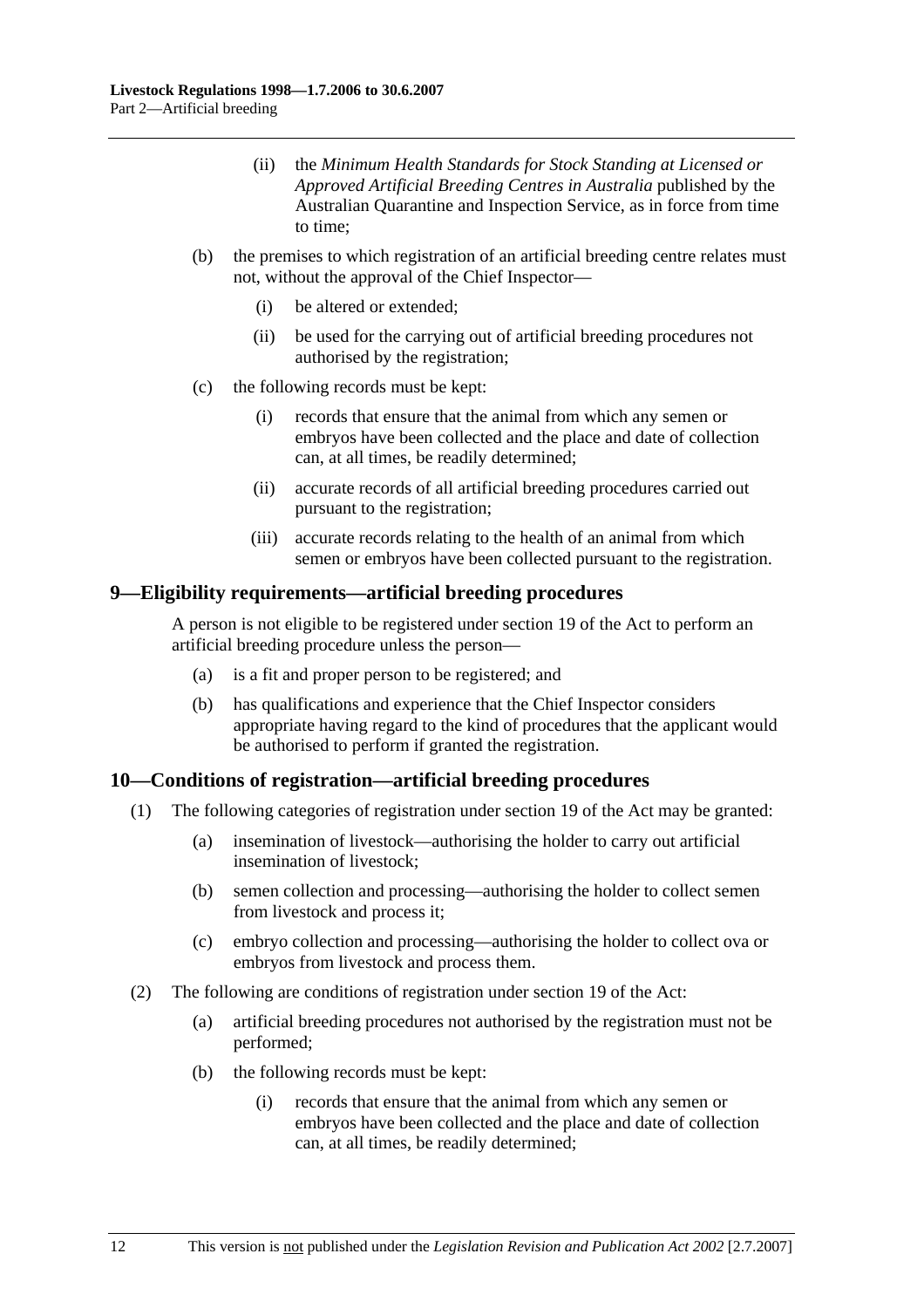- (ii) the *Minimum Health Standards for Stock Standing at Licensed or Approved Artificial Breeding Centres in Australia* published by the Australian Quarantine and Inspection Service, as in force from time to time;
- (b) the premises to which registration of an artificial breeding centre relates must not, without the approval of the Chief Inspector—
	- (i) be altered or extended;
	- (ii) be used for the carrying out of artificial breeding procedures not authorised by the registration;
- (c) the following records must be kept:
	- (i) records that ensure that the animal from which any semen or embryos have been collected and the place and date of collection can, at all times, be readily determined;
	- (ii) accurate records of all artificial breeding procedures carried out pursuant to the registration;
	- (iii) accurate records relating to the health of an animal from which semen or embryos have been collected pursuant to the registration.

#### **9—Eligibility requirements—artificial breeding procedures**

A person is not eligible to be registered under section 19 of the Act to perform an artificial breeding procedure unless the person—

- (a) is a fit and proper person to be registered; and
- (b) has qualifications and experience that the Chief Inspector considers appropriate having regard to the kind of procedures that the applicant would be authorised to perform if granted the registration.

### **10—Conditions of registration—artificial breeding procedures**

- (1) The following categories of registration under section 19 of the Act may be granted:
	- (a) insemination of livestock—authorising the holder to carry out artificial insemination of livestock;
	- (b) semen collection and processing—authorising the holder to collect semen from livestock and process it;
	- (c) embryo collection and processing—authorising the holder to collect ova or embryos from livestock and process them.
- (2) The following are conditions of registration under section 19 of the Act:
	- (a) artificial breeding procedures not authorised by the registration must not be performed;
	- (b) the following records must be kept:
		- (i) records that ensure that the animal from which any semen or embryos have been collected and the place and date of collection can, at all times, be readily determined;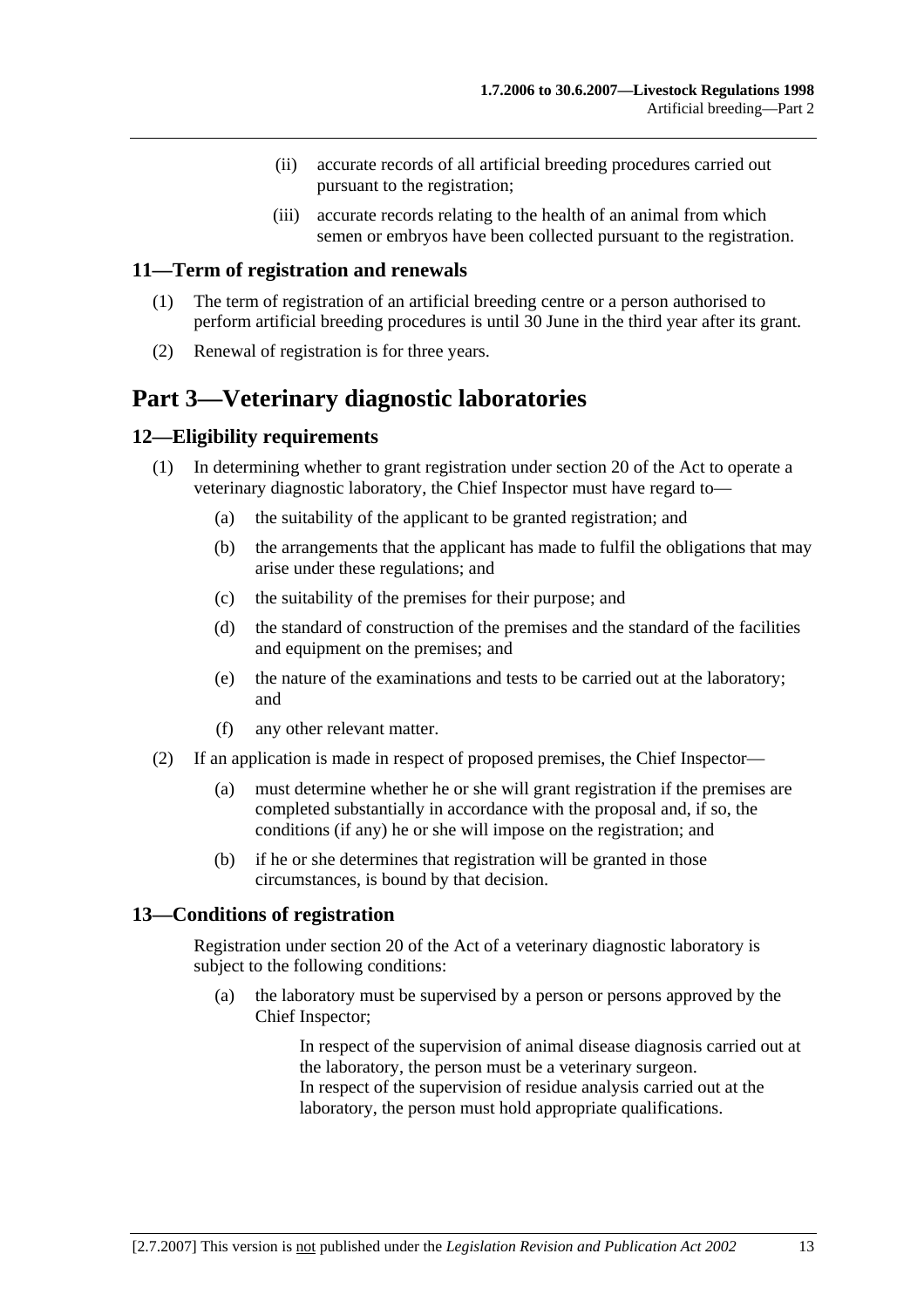- (ii) accurate records of all artificial breeding procedures carried out pursuant to the registration;
- (iii) accurate records relating to the health of an animal from which semen or embryos have been collected pursuant to the registration.

#### **11—Term of registration and renewals**

- (1) The term of registration of an artificial breeding centre or a person authorised to perform artificial breeding procedures is until 30 June in the third year after its grant.
- (2) Renewal of registration is for three years.

# **Part 3—Veterinary diagnostic laboratories**

### **12—Eligibility requirements**

- (1) In determining whether to grant registration under section 20 of the Act to operate a veterinary diagnostic laboratory, the Chief Inspector must have regard to—
	- (a) the suitability of the applicant to be granted registration; and
	- (b) the arrangements that the applicant has made to fulfil the obligations that may arise under these regulations; and
	- (c) the suitability of the premises for their purpose; and
	- (d) the standard of construction of the premises and the standard of the facilities and equipment on the premises; and
	- (e) the nature of the examinations and tests to be carried out at the laboratory; and
	- (f) any other relevant matter.
- (2) If an application is made in respect of proposed premises, the Chief Inspector—
	- (a) must determine whether he or she will grant registration if the premises are completed substantially in accordance with the proposal and, if so, the conditions (if any) he or she will impose on the registration; and
	- (b) if he or she determines that registration will be granted in those circumstances, is bound by that decision.

#### **13—Conditions of registration**

Registration under section 20 of the Act of a veterinary diagnostic laboratory is subject to the following conditions:

 (a) the laboratory must be supervised by a person or persons approved by the Chief Inspector;

> In respect of the supervision of animal disease diagnosis carried out at the laboratory, the person must be a veterinary surgeon. In respect of the supervision of residue analysis carried out at the laboratory, the person must hold appropriate qualifications.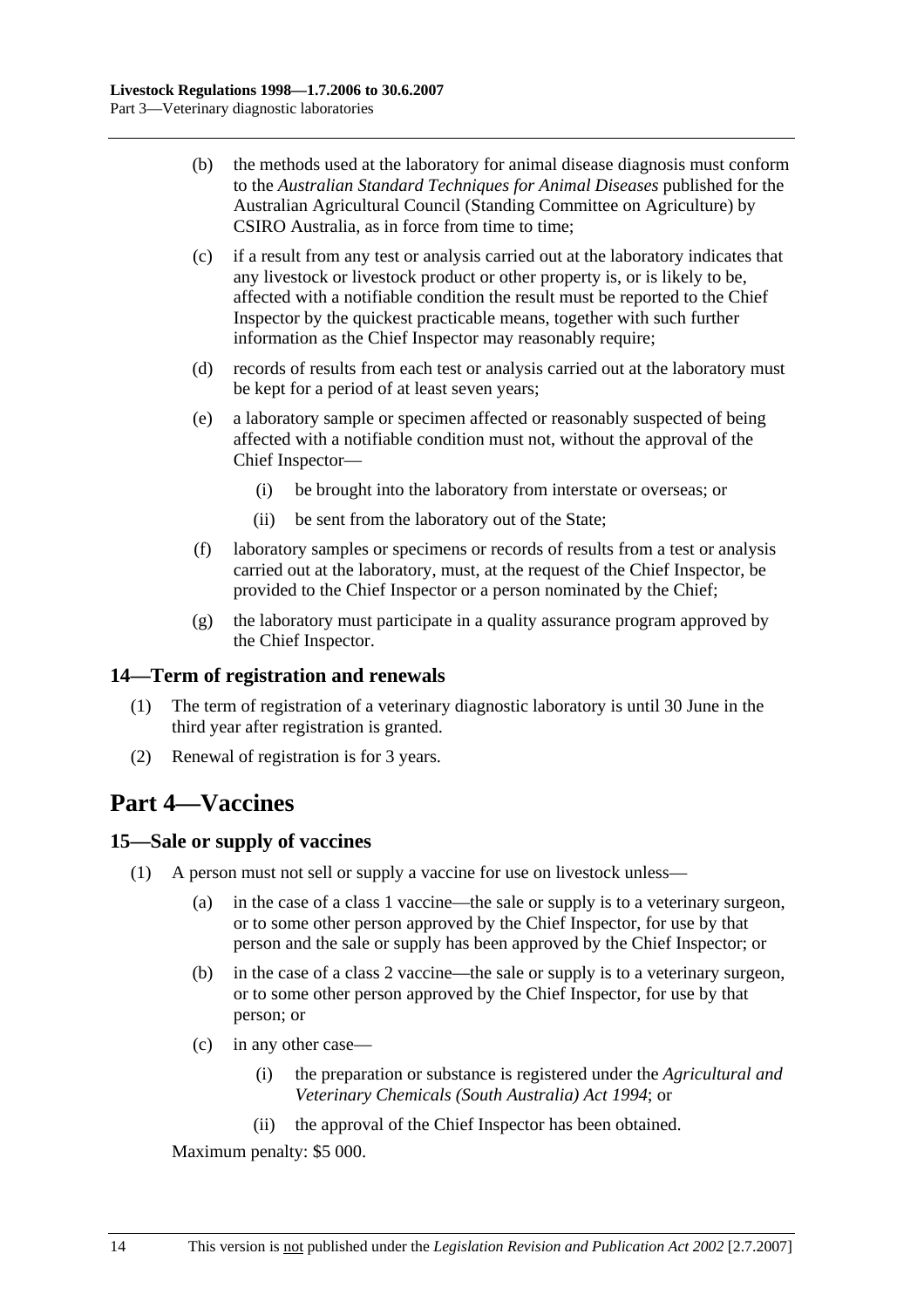- (b) the methods used at the laboratory for animal disease diagnosis must conform to the *Australian Standard Techniques for Animal Diseases* published for the Australian Agricultural Council (Standing Committee on Agriculture) by CSIRO Australia, as in force from time to time;
- (c) if a result from any test or analysis carried out at the laboratory indicates that any livestock or livestock product or other property is, or is likely to be, affected with a notifiable condition the result must be reported to the Chief Inspector by the quickest practicable means, together with such further information as the Chief Inspector may reasonably require;
- (d) records of results from each test or analysis carried out at the laboratory must be kept for a period of at least seven years;
- (e) a laboratory sample or specimen affected or reasonably suspected of being affected with a notifiable condition must not, without the approval of the Chief Inspector—
	- (i) be brought into the laboratory from interstate or overseas; or
	- (ii) be sent from the laboratory out of the State;
- (f) laboratory samples or specimens or records of results from a test or analysis carried out at the laboratory, must, at the request of the Chief Inspector, be provided to the Chief Inspector or a person nominated by the Chief;
- (g) the laboratory must participate in a quality assurance program approved by the Chief Inspector.

### **14—Term of registration and renewals**

- (1) The term of registration of a veterinary diagnostic laboratory is until 30 June in the third year after registration is granted.
- (2) Renewal of registration is for 3 years.

# **Part 4—Vaccines**

#### **15—Sale or supply of vaccines**

- (1) A person must not sell or supply a vaccine for use on livestock unless—
	- (a) in the case of a class 1 vaccine—the sale or supply is to a veterinary surgeon, or to some other person approved by the Chief Inspector, for use by that person and the sale or supply has been approved by the Chief Inspector; or
	- (b) in the case of a class 2 vaccine—the sale or supply is to a veterinary surgeon, or to some other person approved by the Chief Inspector, for use by that person; or
	- (c) in any other case—
		- (i) the preparation or substance is registered under the *Agricultural and Veterinary Chemicals (South Australia) Act 1994*; or
		- (ii) the approval of the Chief Inspector has been obtained.

Maximum penalty: \$5 000.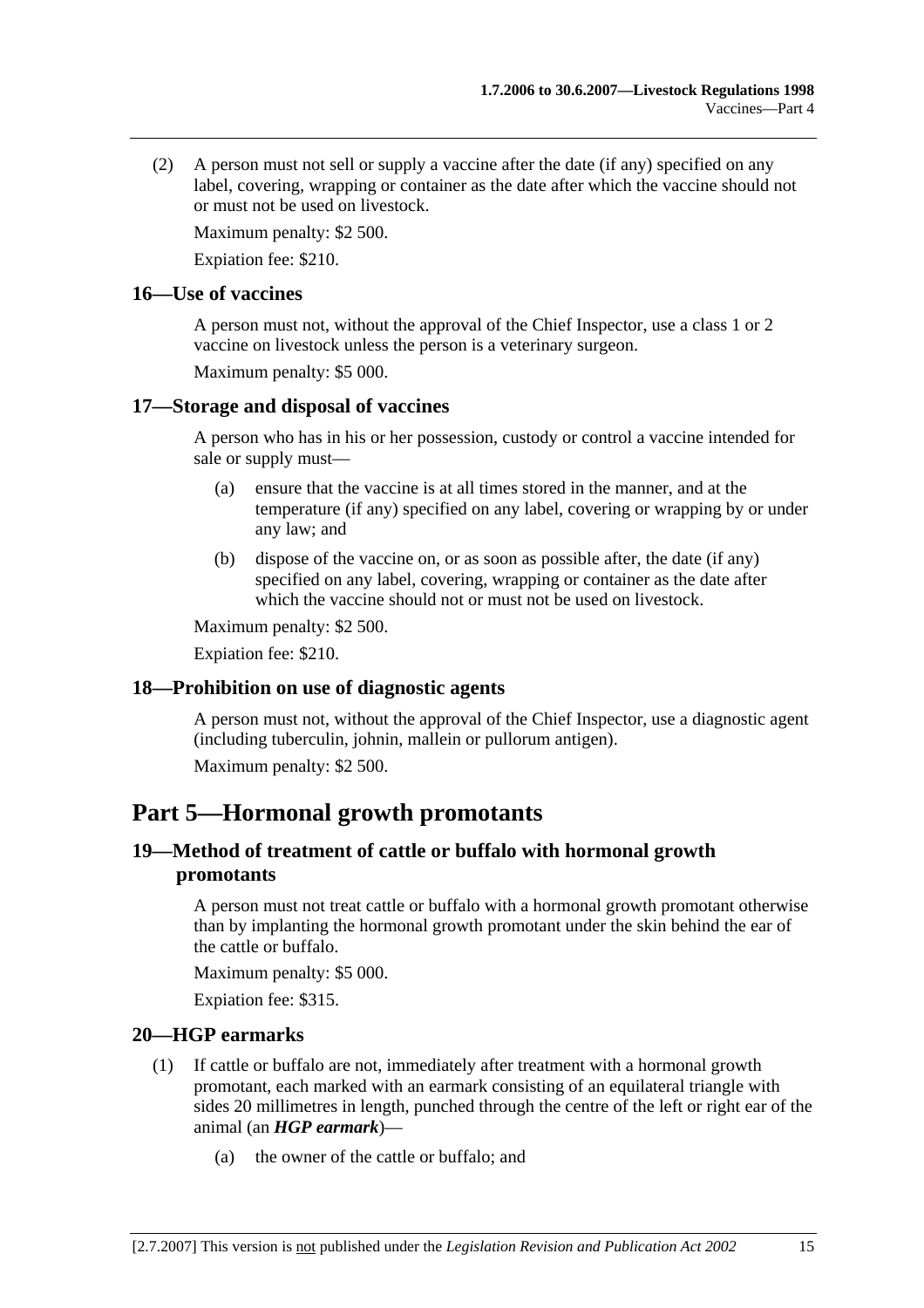(2) A person must not sell or supply a vaccine after the date (if any) specified on any label, covering, wrapping or container as the date after which the vaccine should not or must not be used on livestock.

Maximum penalty: \$2 500.

Expiation fee: \$210.

#### **16—Use of vaccines**

A person must not, without the approval of the Chief Inspector, use a class 1 or 2 vaccine on livestock unless the person is a veterinary surgeon.

Maximum penalty: \$5 000.

### **17—Storage and disposal of vaccines**

A person who has in his or her possession, custody or control a vaccine intended for sale or supply must—

- (a) ensure that the vaccine is at all times stored in the manner, and at the temperature (if any) specified on any label, covering or wrapping by or under any law; and
- (b) dispose of the vaccine on, or as soon as possible after, the date (if any) specified on any label, covering, wrapping or container as the date after which the vaccine should not or must not be used on livestock.

Maximum penalty: \$2 500.

Expiation fee: \$210.

### **18—Prohibition on use of diagnostic agents**

A person must not, without the approval of the Chief Inspector, use a diagnostic agent (including tuberculin, johnin, mallein or pullorum antigen).

Maximum penalty: \$2 500.

# **Part 5—Hormonal growth promotants**

## **19—Method of treatment of cattle or buffalo with hormonal growth promotants**

A person must not treat cattle or buffalo with a hormonal growth promotant otherwise than by implanting the hormonal growth promotant under the skin behind the ear of the cattle or buffalo.

Maximum penalty: \$5 000.

Expiation fee: \$315.

### **20—HGP earmarks**

- (1) If cattle or buffalo are not, immediately after treatment with a hormonal growth promotant, each marked with an earmark consisting of an equilateral triangle with sides 20 millimetres in length, punched through the centre of the left or right ear of the animal (an *HGP earmark*)—
	- (a) the owner of the cattle or buffalo; and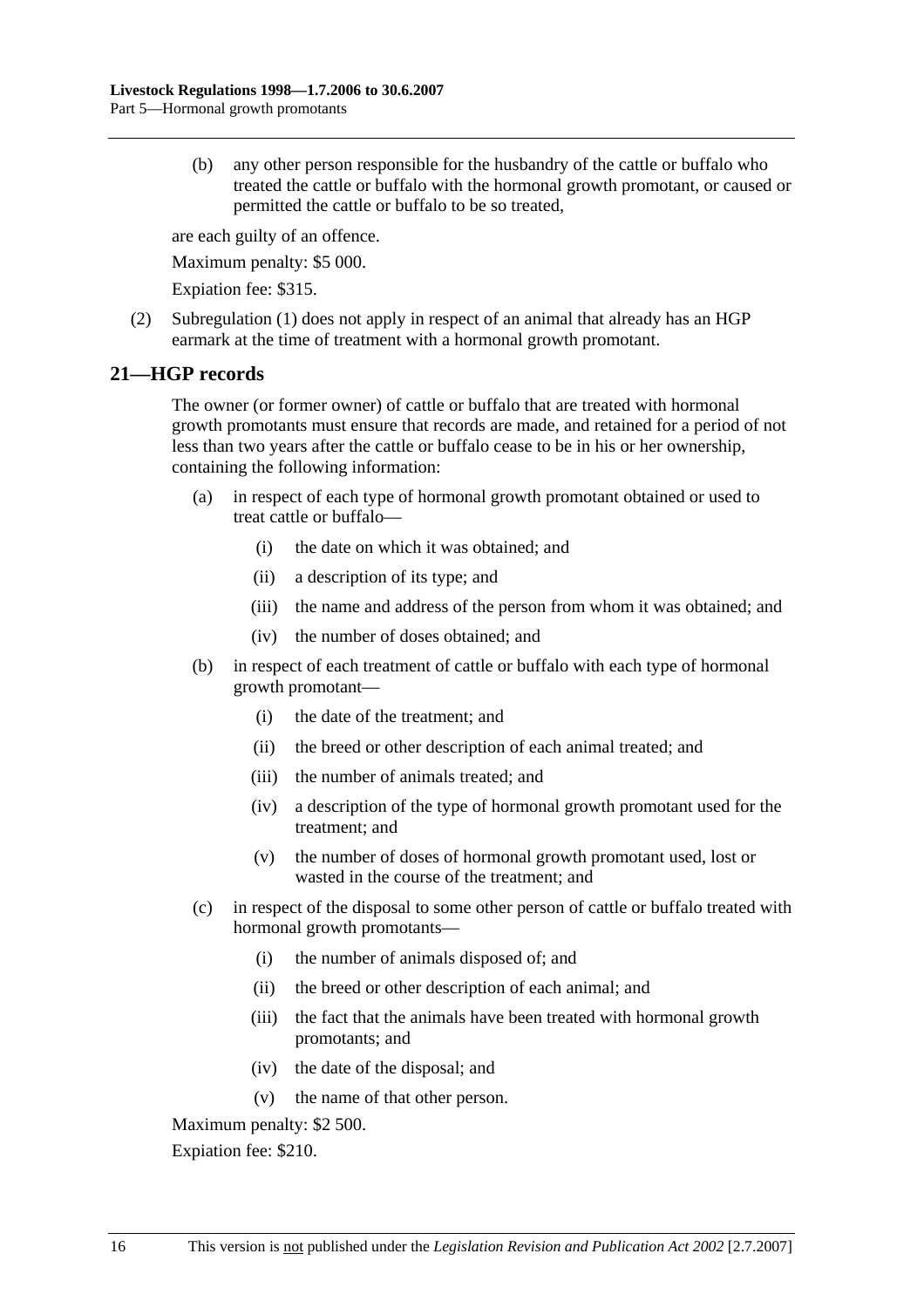(b) any other person responsible for the husbandry of the cattle or buffalo who treated the cattle or buffalo with the hormonal growth promotant, or caused or permitted the cattle or buffalo to be so treated,

are each guilty of an offence.

Maximum penalty: \$5 000.

Expiation fee: \$315.

 (2) Subregulation (1) does not apply in respect of an animal that already has an HGP earmark at the time of treatment with a hormonal growth promotant.

#### **21—HGP records**

The owner (or former owner) of cattle or buffalo that are treated with hormonal growth promotants must ensure that records are made, and retained for a period of not less than two years after the cattle or buffalo cease to be in his or her ownership, containing the following information:

- (a) in respect of each type of hormonal growth promotant obtained or used to treat cattle or buffalo—
	- (i) the date on which it was obtained; and
	- (ii) a description of its type; and
	- (iii) the name and address of the person from whom it was obtained; and
	- (iv) the number of doses obtained; and
- (b) in respect of each treatment of cattle or buffalo with each type of hormonal growth promotant—
	- (i) the date of the treatment; and
	- (ii) the breed or other description of each animal treated; and
	- (iii) the number of animals treated; and
	- (iv) a description of the type of hormonal growth promotant used for the treatment; and
	- (v) the number of doses of hormonal growth promotant used, lost or wasted in the course of the treatment; and
- (c) in respect of the disposal to some other person of cattle or buffalo treated with hormonal growth promotants—
	- (i) the number of animals disposed of; and
	- (ii) the breed or other description of each animal; and
	- (iii) the fact that the animals have been treated with hormonal growth promotants; and
	- (iv) the date of the disposal; and
	- (v) the name of that other person.

Maximum penalty: \$2 500.

Expiation fee: \$210.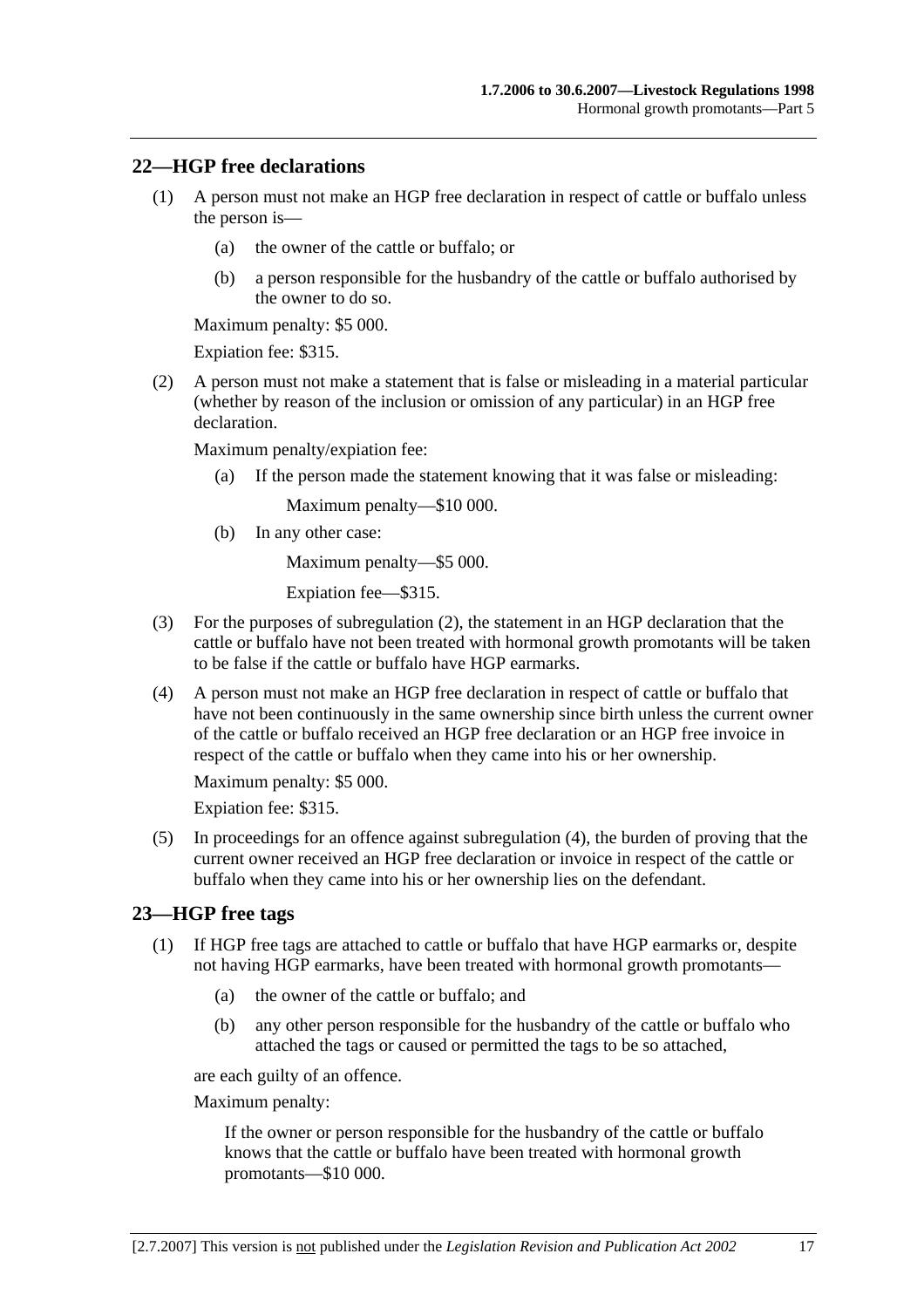#### **22—HGP free declarations**

- (1) A person must not make an HGP free declaration in respect of cattle or buffalo unless the person is—
	- (a) the owner of the cattle or buffalo; or
	- (b) a person responsible for the husbandry of the cattle or buffalo authorised by the owner to do so.

Maximum penalty: \$5 000.

Expiation fee: \$315.

 (2) A person must not make a statement that is false or misleading in a material particular (whether by reason of the inclusion or omission of any particular) in an HGP free declaration.

Maximum penalty/expiation fee:

(a) If the person made the statement knowing that it was false or misleading:

Maximum penalty—\$10 000.

(b) In any other case:

Maximum penalty—\$5 000.

Expiation fee—\$315.

- (3) For the purposes of subregulation (2), the statement in an HGP declaration that the cattle or buffalo have not been treated with hormonal growth promotants will be taken to be false if the cattle or buffalo have HGP earmarks.
- (4) A person must not make an HGP free declaration in respect of cattle or buffalo that have not been continuously in the same ownership since birth unless the current owner of the cattle or buffalo received an HGP free declaration or an HGP free invoice in respect of the cattle or buffalo when they came into his or her ownership.

Maximum penalty: \$5 000.

Expiation fee: \$315.

 (5) In proceedings for an offence against subregulation (4), the burden of proving that the current owner received an HGP free declaration or invoice in respect of the cattle or buffalo when they came into his or her ownership lies on the defendant.

#### **23—HGP free tags**

- (1) If HGP free tags are attached to cattle or buffalo that have HGP earmarks or, despite not having HGP earmarks, have been treated with hormonal growth promotants—
	- (a) the owner of the cattle or buffalo; and
	- (b) any other person responsible for the husbandry of the cattle or buffalo who attached the tags or caused or permitted the tags to be so attached,

are each guilty of an offence.

Maximum penalty:

If the owner or person responsible for the husbandry of the cattle or buffalo knows that the cattle or buffalo have been treated with hormonal growth promotants—\$10 000.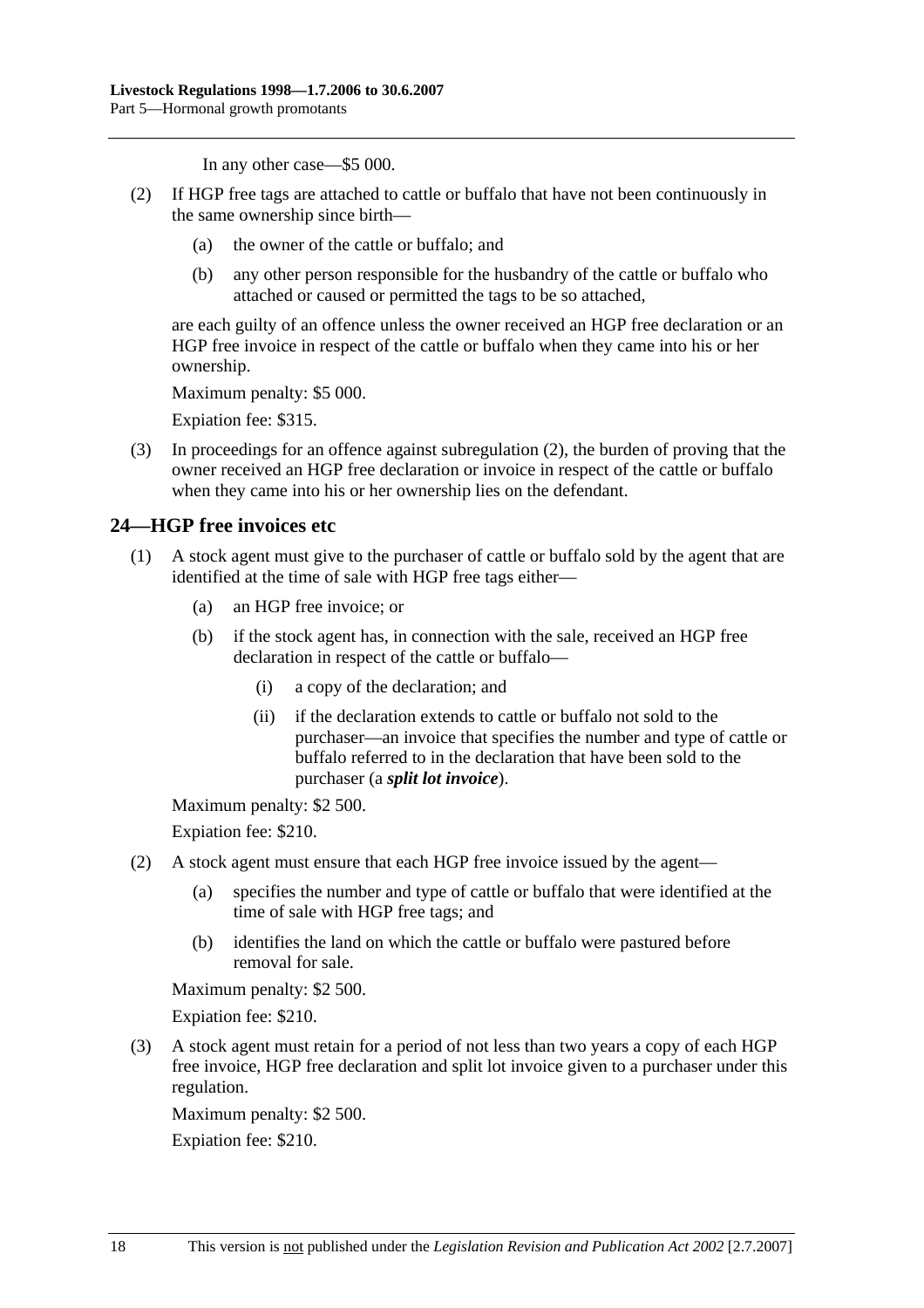In any other case—\$5 000.

- (2) If HGP free tags are attached to cattle or buffalo that have not been continuously in the same ownership since birth—
	- (a) the owner of the cattle or buffalo; and
	- (b) any other person responsible for the husbandry of the cattle or buffalo who attached or caused or permitted the tags to be so attached,

are each guilty of an offence unless the owner received an HGP free declaration or an HGP free invoice in respect of the cattle or buffalo when they came into his or her ownership.

Maximum penalty: \$5 000.

Expiation fee: \$315.

 (3) In proceedings for an offence against subregulation (2), the burden of proving that the owner received an HGP free declaration or invoice in respect of the cattle or buffalo when they came into his or her ownership lies on the defendant.

### **24—HGP free invoices etc**

- (1) A stock agent must give to the purchaser of cattle or buffalo sold by the agent that are identified at the time of sale with HGP free tags either—
	- (a) an HGP free invoice; or
	- (b) if the stock agent has, in connection with the sale, received an HGP free declaration in respect of the cattle or buffalo—
		- (i) a copy of the declaration; and
		- (ii) if the declaration extends to cattle or buffalo not sold to the purchaser—an invoice that specifies the number and type of cattle or buffalo referred to in the declaration that have been sold to the purchaser (a *split lot invoice*).

Maximum penalty: \$2 500.

Expiation fee: \$210.

- (2) A stock agent must ensure that each HGP free invoice issued by the agent—
	- (a) specifies the number and type of cattle or buffalo that were identified at the time of sale with HGP free tags; and
	- (b) identifies the land on which the cattle or buffalo were pastured before removal for sale.

Maximum penalty: \$2 500.

Expiation fee: \$210.

 (3) A stock agent must retain for a period of not less than two years a copy of each HGP free invoice, HGP free declaration and split lot invoice given to a purchaser under this regulation.

Maximum penalty: \$2 500.

Expiation fee: \$210.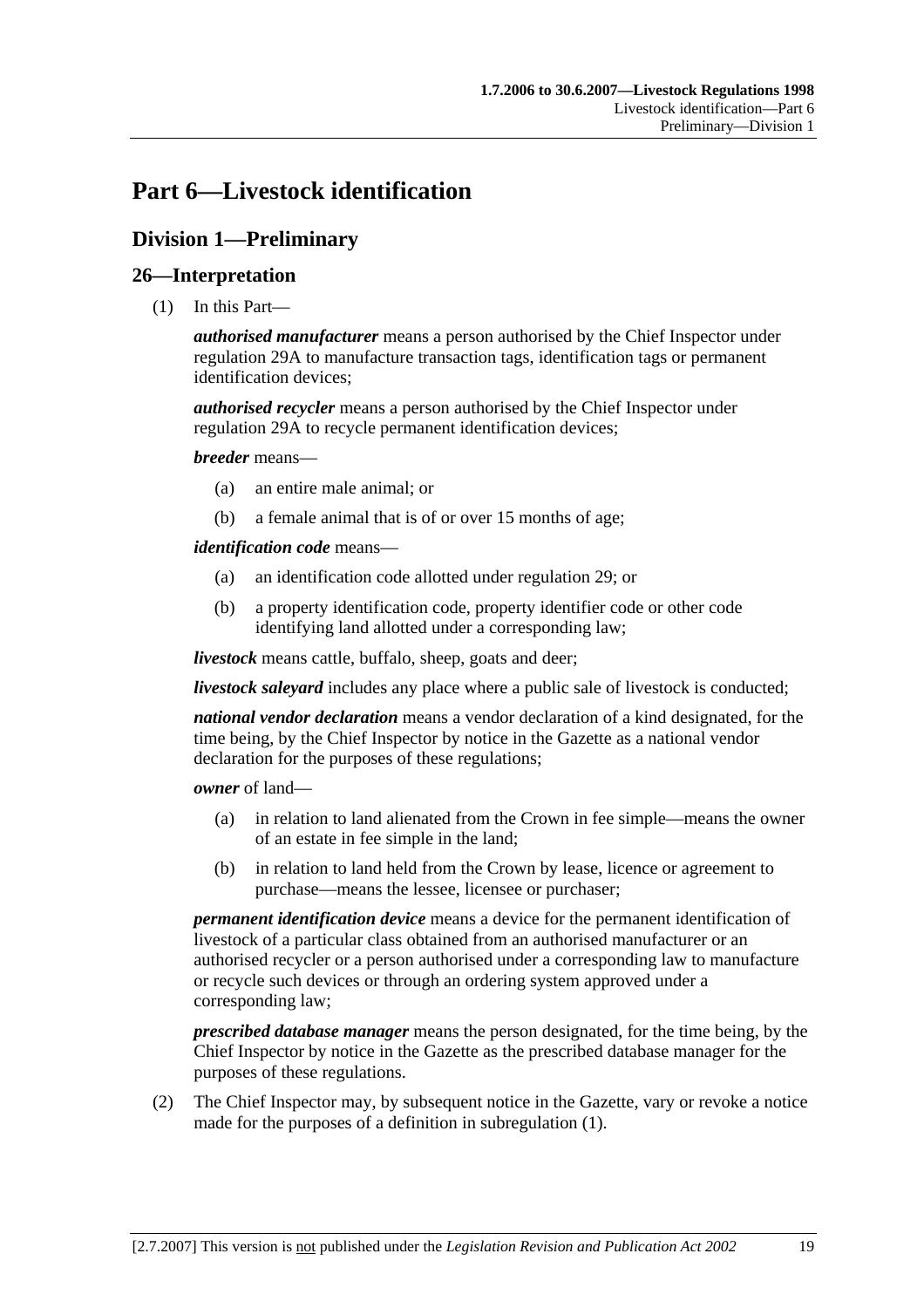# **Part 6—Livestock identification**

# **Division 1—Preliminary**

## **26—Interpretation**

(1) In this Part—

*authorised manufacturer* means a person authorised by the Chief Inspector under regulation 29A to manufacture transaction tags, identification tags or permanent identification devices;

*authorised recycler* means a person authorised by the Chief Inspector under regulation 29A to recycle permanent identification devices;

*breeder* means—

- (a) an entire male animal; or
- (b) a female animal that is of or over 15 months of age;

*identification code* means—

- (a) an identification code allotted under regulation 29; or
- (b) a property identification code, property identifier code or other code identifying land allotted under a corresponding law;

*livestock* means cattle, buffalo, sheep, goats and deer;

*livestock saleyard* includes any place where a public sale of livestock is conducted;

*national vendor declaration* means a vendor declaration of a kind designated, for the time being, by the Chief Inspector by notice in the Gazette as a national vendor declaration for the purposes of these regulations;

*owner* of land—

- (a) in relation to land alienated from the Crown in fee simple—means the owner of an estate in fee simple in the land;
- (b) in relation to land held from the Crown by lease, licence or agreement to purchase—means the lessee, licensee or purchaser;

*permanent identification device* means a device for the permanent identification of livestock of a particular class obtained from an authorised manufacturer or an authorised recycler or a person authorised under a corresponding law to manufacture or recycle such devices or through an ordering system approved under a corresponding law;

*prescribed database manager* means the person designated, for the time being, by the Chief Inspector by notice in the Gazette as the prescribed database manager for the purposes of these regulations.

 (2) The Chief Inspector may, by subsequent notice in the Gazette, vary or revoke a notice made for the purposes of a definition in subregulation (1).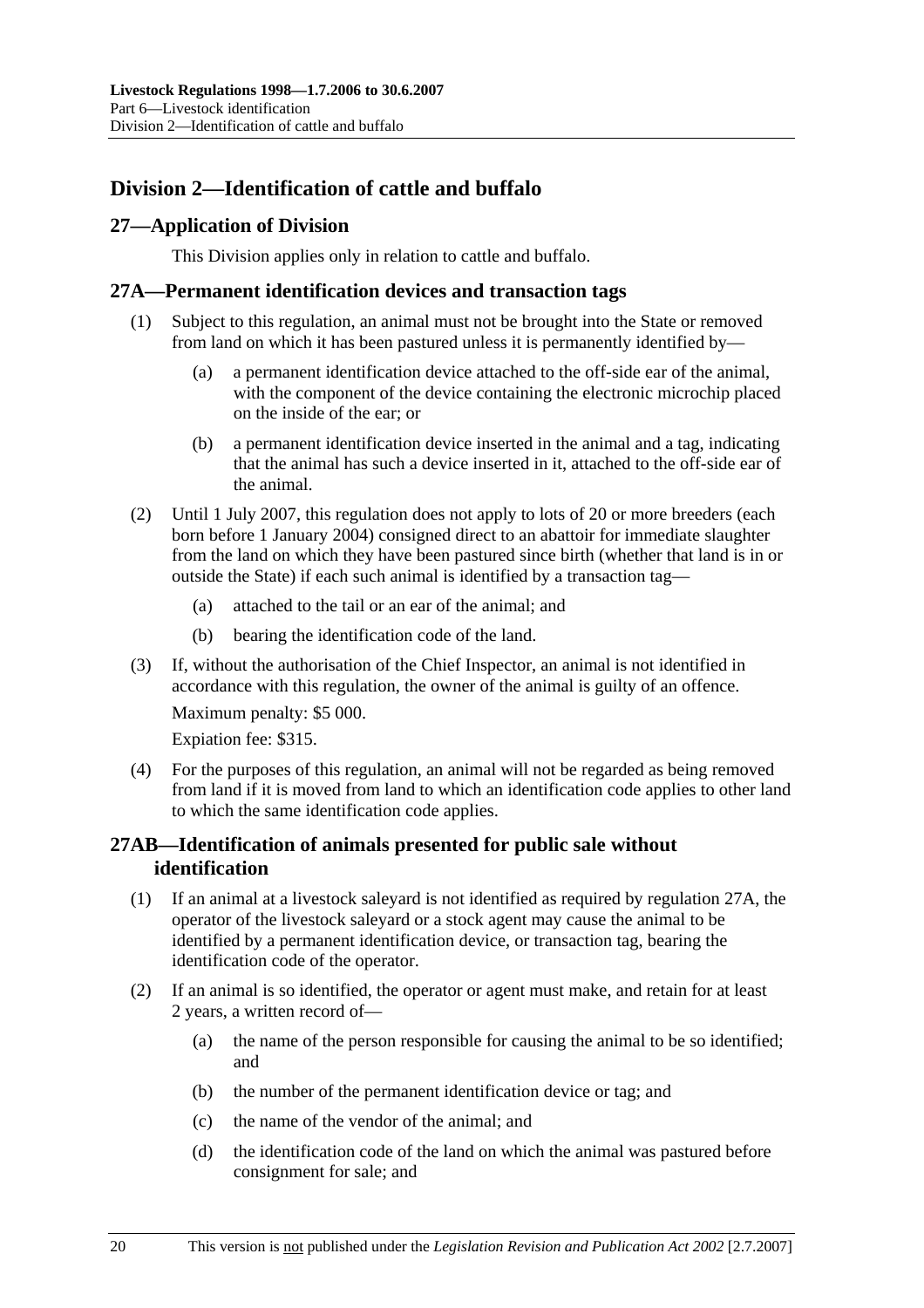# **Division 2—Identification of cattle and buffalo**

# **27—Application of Division**

This Division applies only in relation to cattle and buffalo.

### **27A—Permanent identification devices and transaction tags**

- (1) Subject to this regulation, an animal must not be brought into the State or removed from land on which it has been pastured unless it is permanently identified by—
	- (a) a permanent identification device attached to the off-side ear of the animal, with the component of the device containing the electronic microchip placed on the inside of the ear; or
	- (b) a permanent identification device inserted in the animal and a tag, indicating that the animal has such a device inserted in it, attached to the off-side ear of the animal.
- (2) Until 1 July 2007, this regulation does not apply to lots of 20 or more breeders (each born before 1 January 2004) consigned direct to an abattoir for immediate slaughter from the land on which they have been pastured since birth (whether that land is in or outside the State) if each such animal is identified by a transaction tag—
	- (a) attached to the tail or an ear of the animal; and
	- (b) bearing the identification code of the land.
- (3) If, without the authorisation of the Chief Inspector, an animal is not identified in accordance with this regulation, the owner of the animal is guilty of an offence.

Maximum penalty: \$5 000.

Expiation fee: \$315.

 (4) For the purposes of this regulation, an animal will not be regarded as being removed from land if it is moved from land to which an identification code applies to other land to which the same identification code applies.

# **27AB—Identification of animals presented for public sale without identification**

- (1) If an animal at a livestock saleyard is not identified as required by regulation 27A, the operator of the livestock saleyard or a stock agent may cause the animal to be identified by a permanent identification device, or transaction tag, bearing the identification code of the operator.
- (2) If an animal is so identified, the operator or agent must make, and retain for at least 2 years, a written record of—
	- (a) the name of the person responsible for causing the animal to be so identified; and
	- (b) the number of the permanent identification device or tag; and
	- (c) the name of the vendor of the animal; and
	- (d) the identification code of the land on which the animal was pastured before consignment for sale; and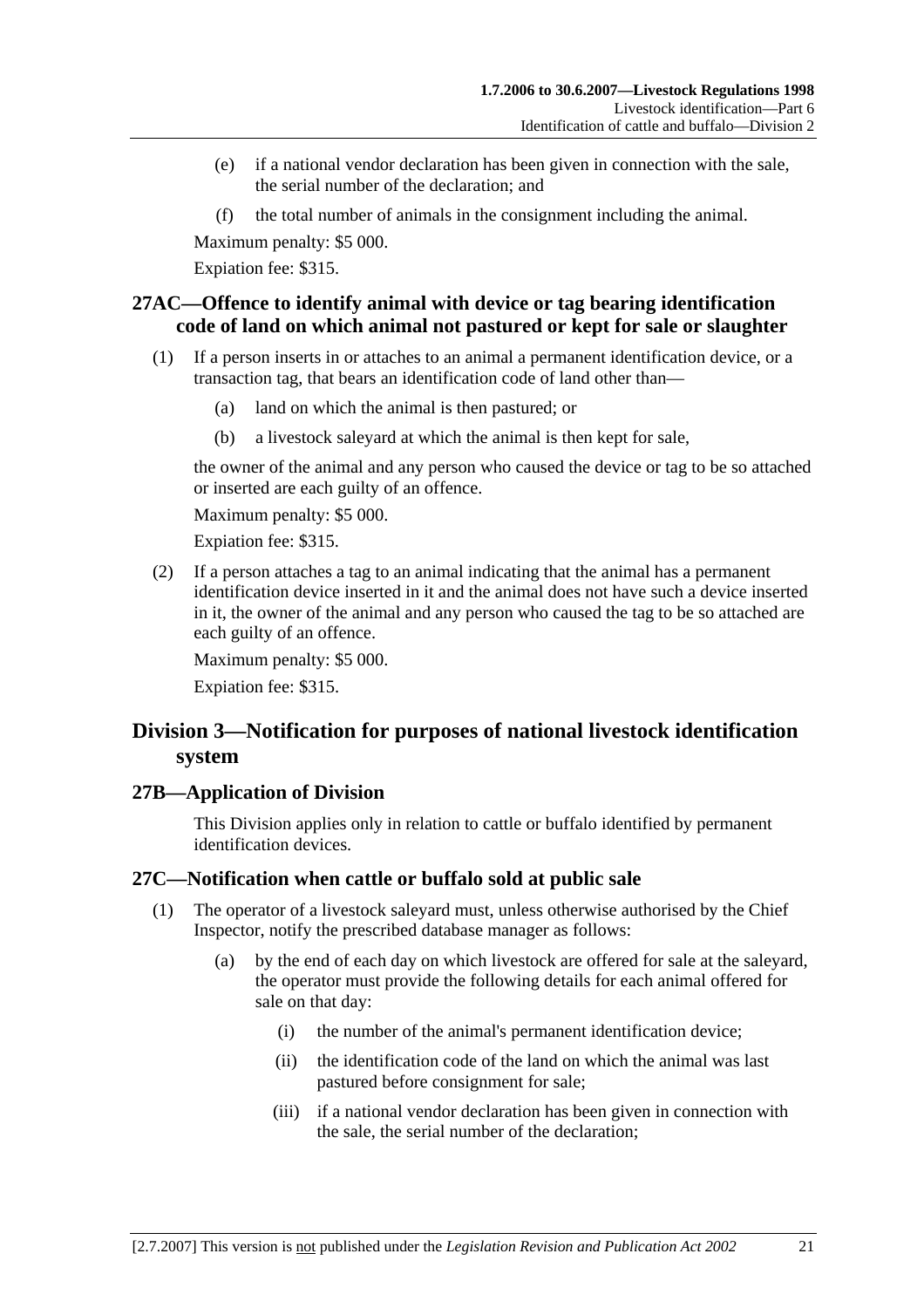- (e) if a national vendor declaration has been given in connection with the sale, the serial number of the declaration; and
- (f) the total number of animals in the consignment including the animal.

Expiation fee: \$315.

## **27AC—Offence to identify animal with device or tag bearing identification code of land on which animal not pastured or kept for sale or slaughter**

- (1) If a person inserts in or attaches to an animal a permanent identification device, or a transaction tag, that bears an identification code of land other than—
	- (a) land on which the animal is then pastured; or
	- (b) a livestock saleyard at which the animal is then kept for sale,

the owner of the animal and any person who caused the device or tag to be so attached or inserted are each guilty of an offence.

Maximum penalty: \$5 000.

Expiation fee: \$315.

 (2) If a person attaches a tag to an animal indicating that the animal has a permanent identification device inserted in it and the animal does not have such a device inserted in it, the owner of the animal and any person who caused the tag to be so attached are each guilty of an offence.

Maximum penalty: \$5 000. Expiation fee: \$315.

# **Division 3—Notification for purposes of national livestock identification system**

#### **27B—Application of Division**

This Division applies only in relation to cattle or buffalo identified by permanent identification devices.

### **27C—Notification when cattle or buffalo sold at public sale**

- (1) The operator of a livestock saleyard must, unless otherwise authorised by the Chief Inspector, notify the prescribed database manager as follows:
	- (a) by the end of each day on which livestock are offered for sale at the saleyard, the operator must provide the following details for each animal offered for sale on that day:
		- (i) the number of the animal's permanent identification device;
		- (ii) the identification code of the land on which the animal was last pastured before consignment for sale;
		- (iii) if a national vendor declaration has been given in connection with the sale, the serial number of the declaration;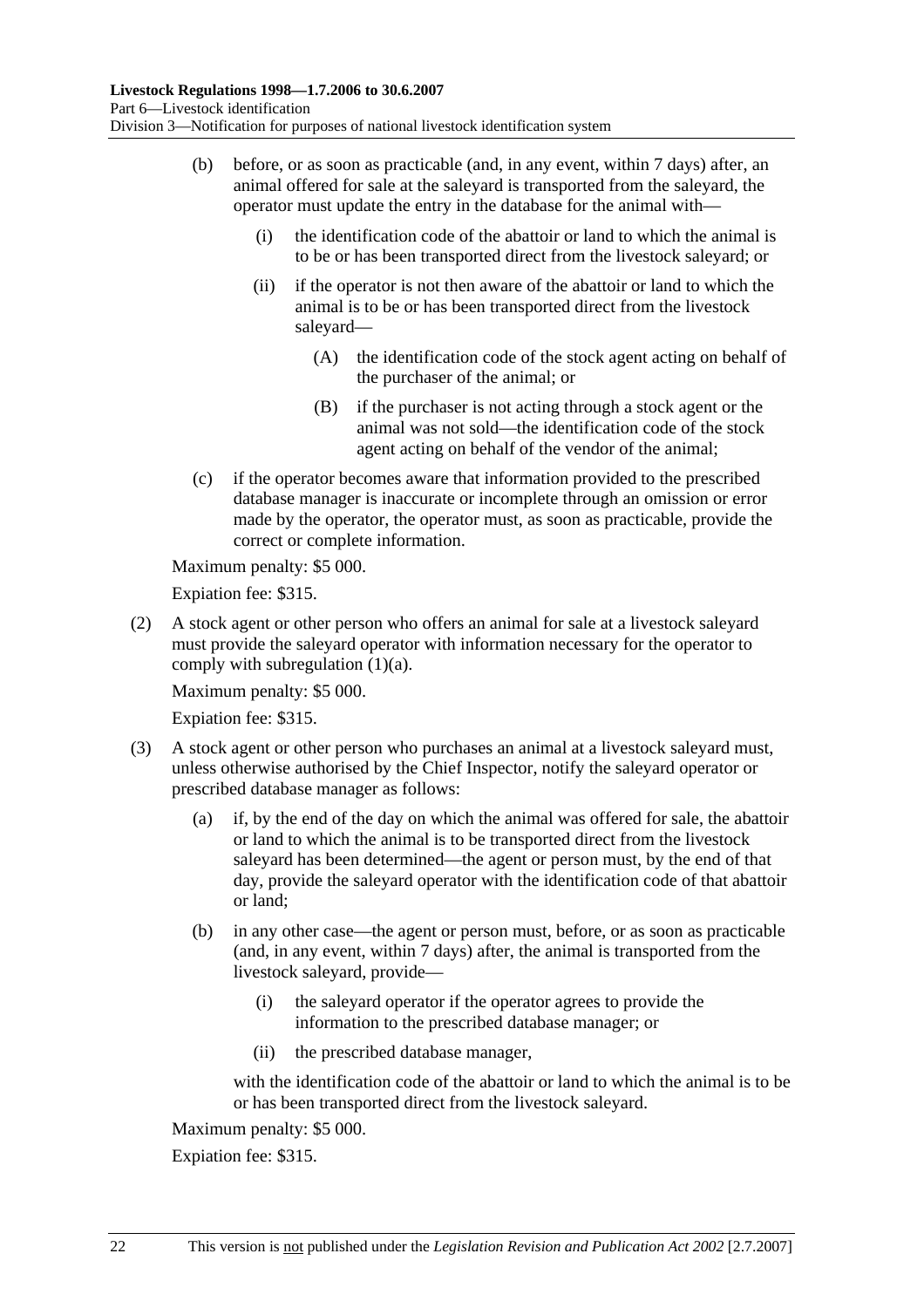- (b) before, or as soon as practicable (and, in any event, within 7 days) after, an animal offered for sale at the saleyard is transported from the saleyard, the operator must update the entry in the database for the animal with—
	- (i) the identification code of the abattoir or land to which the animal is to be or has been transported direct from the livestock saleyard; or
	- (ii) if the operator is not then aware of the abattoir or land to which the animal is to be or has been transported direct from the livestock saleyard—
		- (A) the identification code of the stock agent acting on behalf of the purchaser of the animal; or
		- (B) if the purchaser is not acting through a stock agent or the animal was not sold—the identification code of the stock agent acting on behalf of the vendor of the animal;
- (c) if the operator becomes aware that information provided to the prescribed database manager is inaccurate or incomplete through an omission or error made by the operator, the operator must, as soon as practicable, provide the correct or complete information.

Expiation fee: \$315.

 (2) A stock agent or other person who offers an animal for sale at a livestock saleyard must provide the saleyard operator with information necessary for the operator to comply with subregulation (1)(a).

Maximum penalty: \$5 000.

Expiation fee: \$315.

- (3) A stock agent or other person who purchases an animal at a livestock saleyard must, unless otherwise authorised by the Chief Inspector, notify the saleyard operator or prescribed database manager as follows:
	- (a) if, by the end of the day on which the animal was offered for sale, the abattoir or land to which the animal is to be transported direct from the livestock saleyard has been determined—the agent or person must, by the end of that day, provide the saleyard operator with the identification code of that abattoir or land;
	- (b) in any other case—the agent or person must, before, or as soon as practicable (and, in any event, within 7 days) after, the animal is transported from the livestock saleyard, provide—
		- (i) the saleyard operator if the operator agrees to provide the information to the prescribed database manager; or
		- (ii) the prescribed database manager,

with the identification code of the abattoir or land to which the animal is to be or has been transported direct from the livestock saleyard.

Maximum penalty: \$5 000.

Expiation fee: \$315.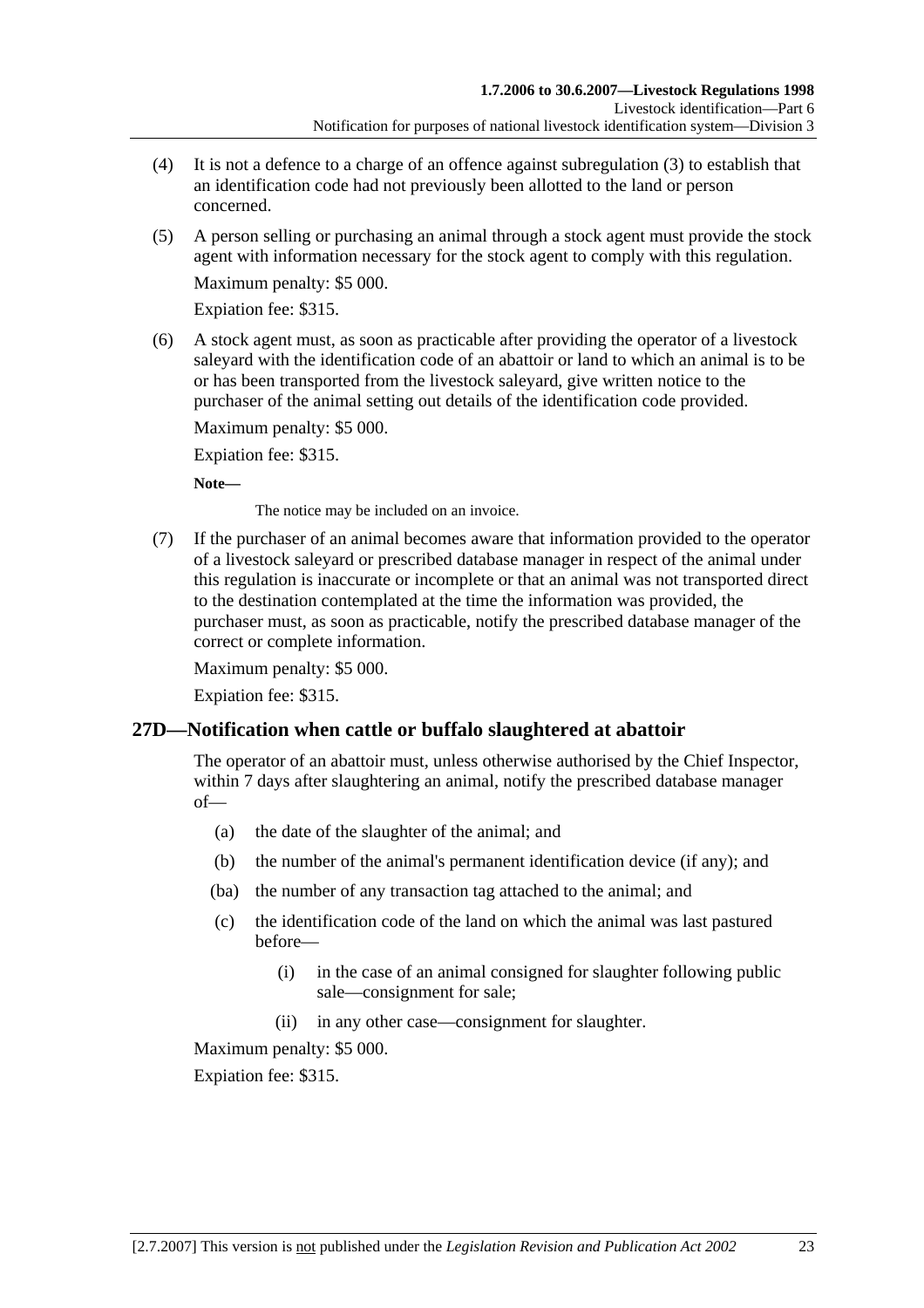- (4) It is not a defence to a charge of an offence against subregulation (3) to establish that an identification code had not previously been allotted to the land or person concerned.
- (5) A person selling or purchasing an animal through a stock agent must provide the stock agent with information necessary for the stock agent to comply with this regulation.

Expiation fee: \$315.

 (6) A stock agent must, as soon as practicable after providing the operator of a livestock saleyard with the identification code of an abattoir or land to which an animal is to be or has been transported from the livestock saleyard, give written notice to the purchaser of the animal setting out details of the identification code provided.

Maximum penalty: \$5 000.

Expiation fee: \$315.

**Note—** 

The notice may be included on an invoice.

 (7) If the purchaser of an animal becomes aware that information provided to the operator of a livestock saleyard or prescribed database manager in respect of the animal under this regulation is inaccurate or incomplete or that an animal was not transported direct to the destination contemplated at the time the information was provided, the purchaser must, as soon as practicable, notify the prescribed database manager of the correct or complete information.

Maximum penalty: \$5 000.

Expiation fee: \$315.

### **27D—Notification when cattle or buffalo slaughtered at abattoir**

The operator of an abattoir must, unless otherwise authorised by the Chief Inspector, within 7 days after slaughtering an animal, notify the prescribed database manager of—

- (a) the date of the slaughter of the animal; and
- (b) the number of the animal's permanent identification device (if any); and
- (ba) the number of any transaction tag attached to the animal; and
- (c) the identification code of the land on which the animal was last pastured before—
	- (i) in the case of an animal consigned for slaughter following public sale—consignment for sale;
	- (ii) in any other case—consignment for slaughter.

Maximum penalty: \$5 000.

Expiation fee: \$315.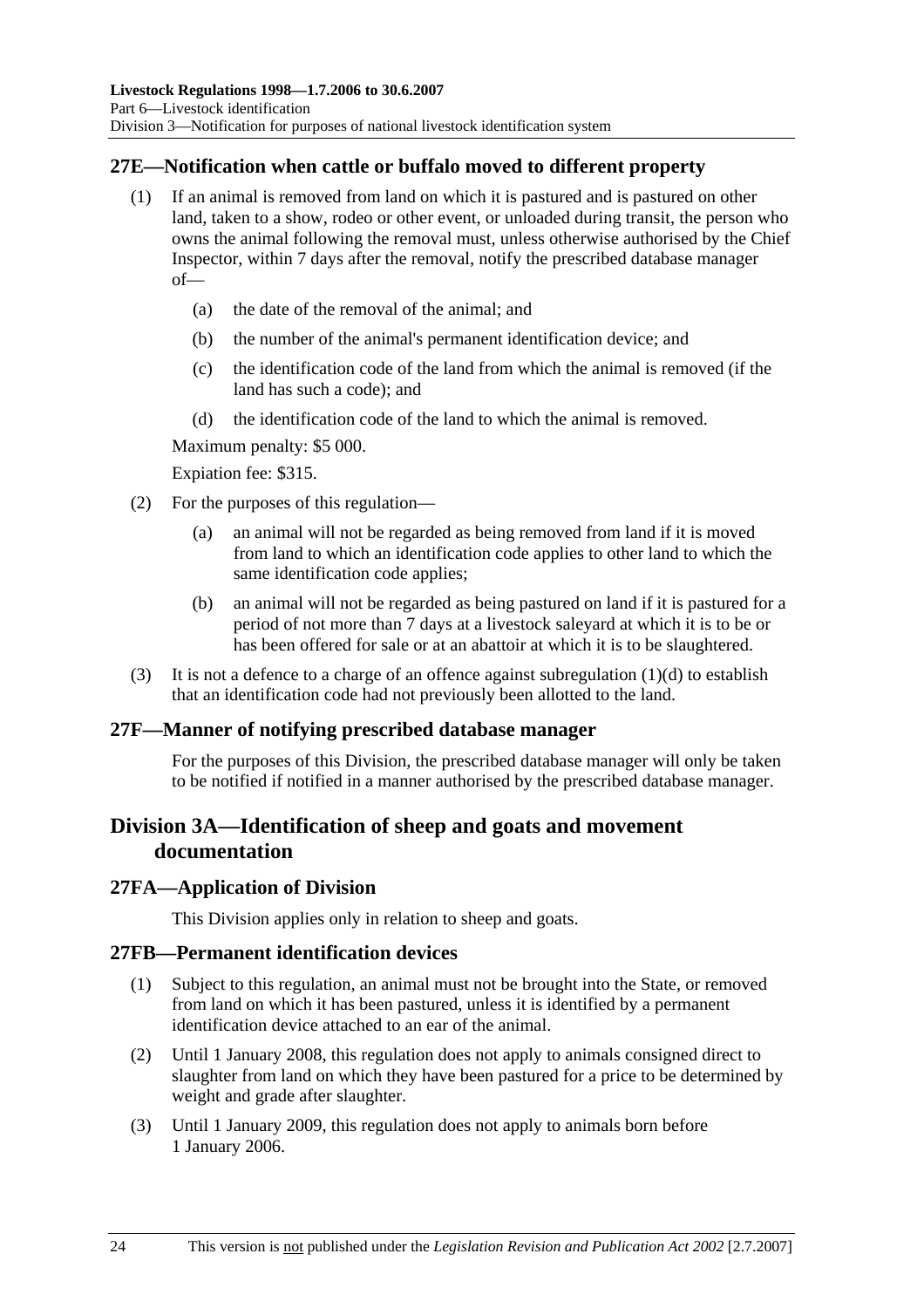## **27E—Notification when cattle or buffalo moved to different property**

- (1) If an animal is removed from land on which it is pastured and is pastured on other land, taken to a show, rodeo or other event, or unloaded during transit, the person who owns the animal following the removal must, unless otherwise authorised by the Chief Inspector, within 7 days after the removal, notify the prescribed database manager of—
	- (a) the date of the removal of the animal; and
	- (b) the number of the animal's permanent identification device; and
	- (c) the identification code of the land from which the animal is removed (if the land has such a code); and
	- (d) the identification code of the land to which the animal is removed.

Maximum penalty: \$5 000.

Expiation fee: \$315.

- (2) For the purposes of this regulation—
	- (a) an animal will not be regarded as being removed from land if it is moved from land to which an identification code applies to other land to which the same identification code applies;
	- (b) an animal will not be regarded as being pastured on land if it is pastured for a period of not more than 7 days at a livestock saleyard at which it is to be or has been offered for sale or at an abattoir at which it is to be slaughtered.
- (3) It is not a defence to a charge of an offence against subregulation  $(1)(d)$  to establish that an identification code had not previously been allotted to the land.

#### **27F—Manner of notifying prescribed database manager**

For the purposes of this Division, the prescribed database manager will only be taken to be notified if notified in a manner authorised by the prescribed database manager.

# **Division 3A—Identification of sheep and goats and movement documentation**

#### **27FA—Application of Division**

This Division applies only in relation to sheep and goats.

#### **27FB—Permanent identification devices**

- (1) Subject to this regulation, an animal must not be brought into the State, or removed from land on which it has been pastured, unless it is identified by a permanent identification device attached to an ear of the animal.
- (2) Until 1 January 2008, this regulation does not apply to animals consigned direct to slaughter from land on which they have been pastured for a price to be determined by weight and grade after slaughter.
- (3) Until 1 January 2009, this regulation does not apply to animals born before 1 January 2006.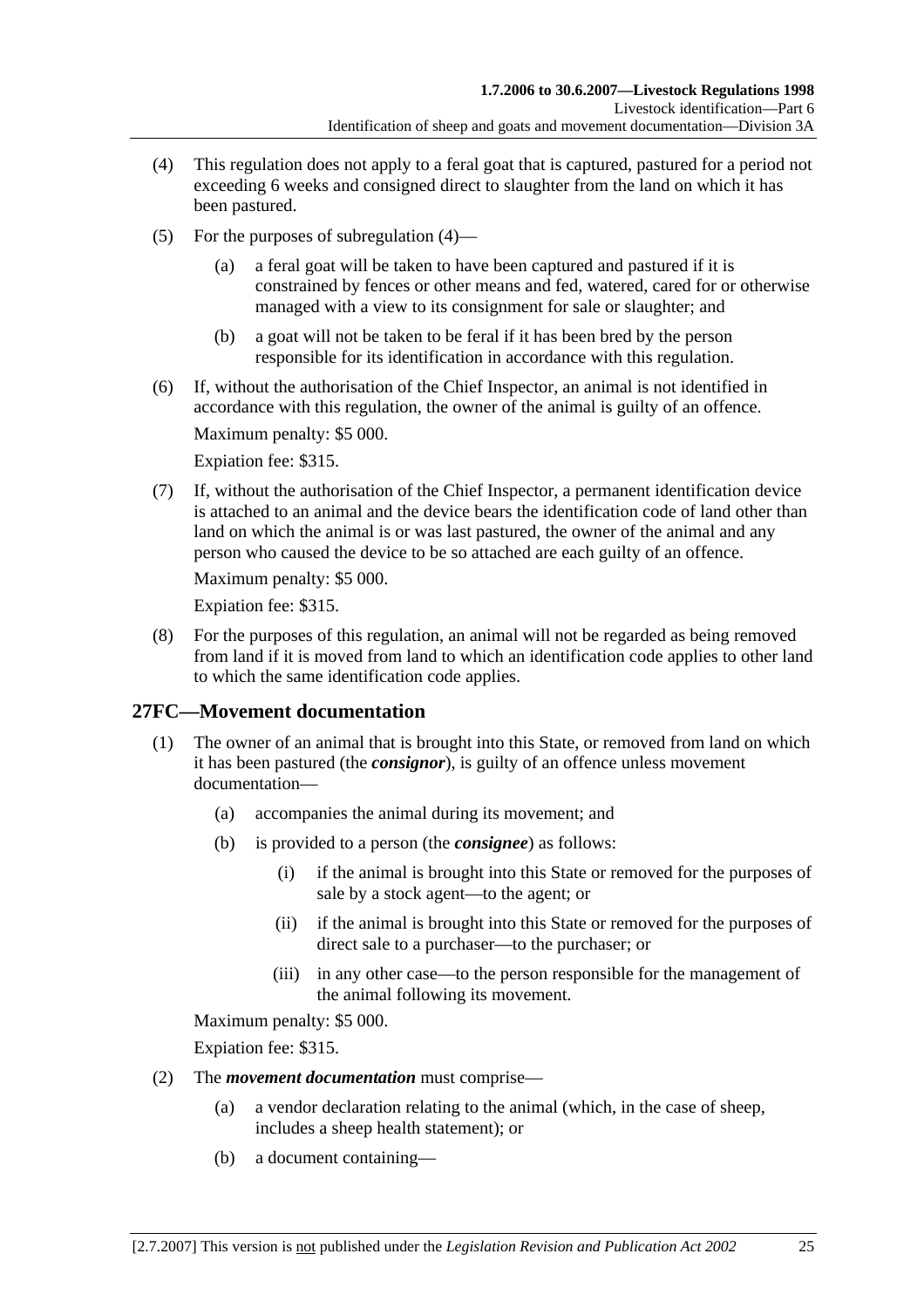- (4) This regulation does not apply to a feral goat that is captured, pastured for a period not exceeding 6 weeks and consigned direct to slaughter from the land on which it has been pastured.
- (5) For the purposes of subregulation (4)
	- a feral goat will be taken to have been captured and pastured if it is constrained by fences or other means and fed, watered, cared for or otherwise managed with a view to its consignment for sale or slaughter; and
	- (b) a goat will not be taken to be feral if it has been bred by the person responsible for its identification in accordance with this regulation.
- (6) If, without the authorisation of the Chief Inspector, an animal is not identified in accordance with this regulation, the owner of the animal is guilty of an offence.

Expiation fee: \$315.

 (7) If, without the authorisation of the Chief Inspector, a permanent identification device is attached to an animal and the device bears the identification code of land other than land on which the animal is or was last pastured, the owner of the animal and any person who caused the device to be so attached are each guilty of an offence.

Maximum penalty: \$5 000.

Expiation fee: \$315.

 (8) For the purposes of this regulation, an animal will not be regarded as being removed from land if it is moved from land to which an identification code applies to other land to which the same identification code applies.

### **27FC—Movement documentation**

- (1) The owner of an animal that is brought into this State, or removed from land on which it has been pastured (the *consignor*), is guilty of an offence unless movement documentation—
	- (a) accompanies the animal during its movement; and
	- (b) is provided to a person (the *consignee*) as follows:
		- (i) if the animal is brought into this State or removed for the purposes of sale by a stock agent—to the agent; or
		- (ii) if the animal is brought into this State or removed for the purposes of direct sale to a purchaser—to the purchaser; or
		- (iii) in any other case—to the person responsible for the management of the animal following its movement.

Maximum penalty: \$5 000.

Expiation fee: \$315.

- (2) The *movement documentation* must comprise—
	- (a) a vendor declaration relating to the animal (which, in the case of sheep, includes a sheep health statement); or
	- (b) a document containing—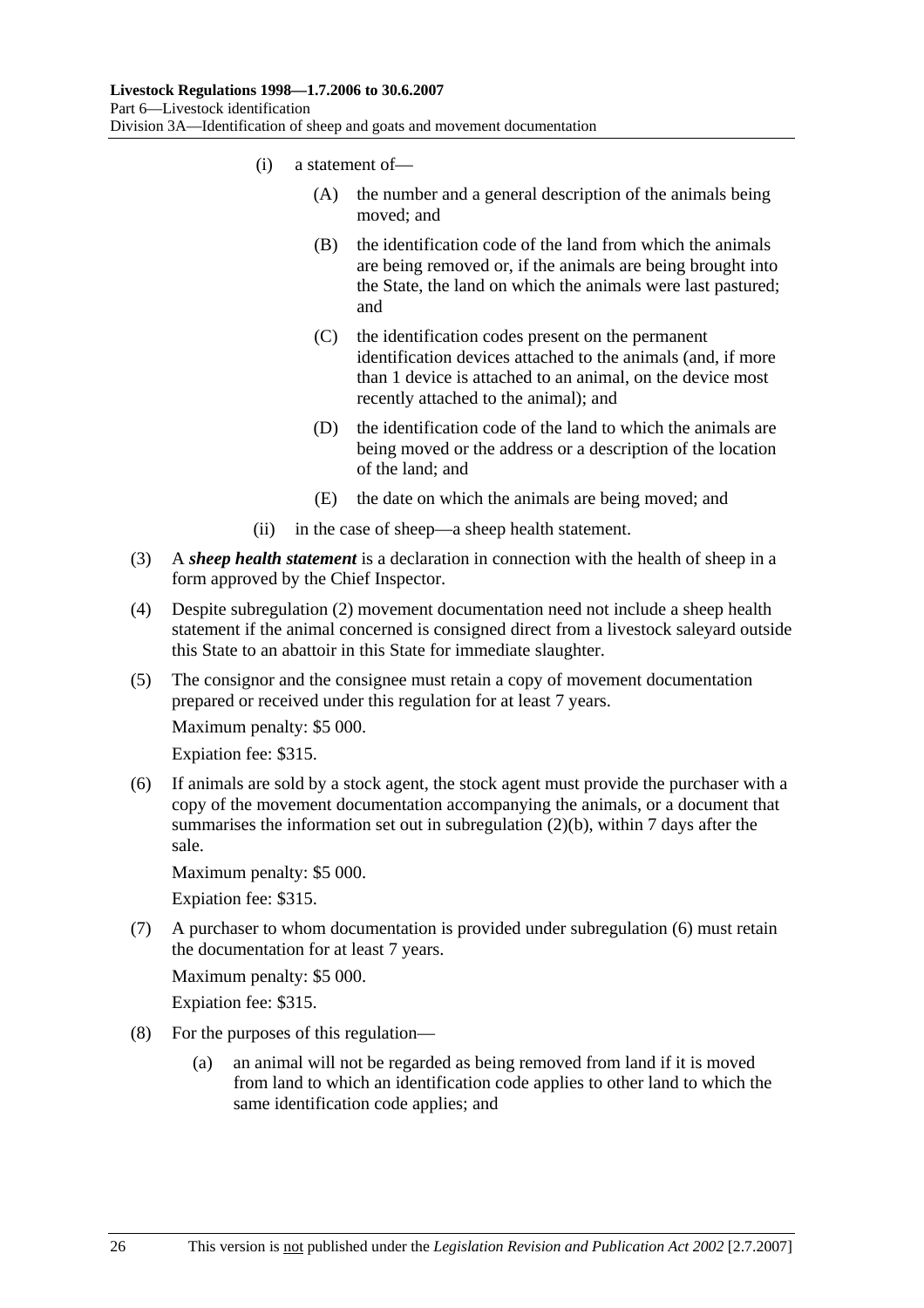- (i) a statement of—
	- (A) the number and a general description of the animals being moved; and
	- (B) the identification code of the land from which the animals are being removed or, if the animals are being brought into the State, the land on which the animals were last pastured; and
	- (C) the identification codes present on the permanent identification devices attached to the animals (and, if more than 1 device is attached to an animal, on the device most recently attached to the animal); and
	- (D) the identification code of the land to which the animals are being moved or the address or a description of the location of the land; and
	- (E) the date on which the animals are being moved; and
- (ii) in the case of sheep—a sheep health statement.
- (3) A *sheep health statement* is a declaration in connection with the health of sheep in a form approved by the Chief Inspector.
- (4) Despite subregulation (2) movement documentation need not include a sheep health statement if the animal concerned is consigned direct from a livestock saleyard outside this State to an abattoir in this State for immediate slaughter.
- (5) The consignor and the consignee must retain a copy of movement documentation prepared or received under this regulation for at least 7 years.

Expiation fee: \$315.

 (6) If animals are sold by a stock agent, the stock agent must provide the purchaser with a copy of the movement documentation accompanying the animals, or a document that summarises the information set out in subregulation (2)(b), within 7 days after the sale.

Maximum penalty: \$5 000.

Expiation fee: \$315.

 (7) A purchaser to whom documentation is provided under subregulation (6) must retain the documentation for at least 7 years.

Maximum penalty: \$5 000.

Expiation fee: \$315.

- (8) For the purposes of this regulation—
	- (a) an animal will not be regarded as being removed from land if it is moved from land to which an identification code applies to other land to which the same identification code applies; and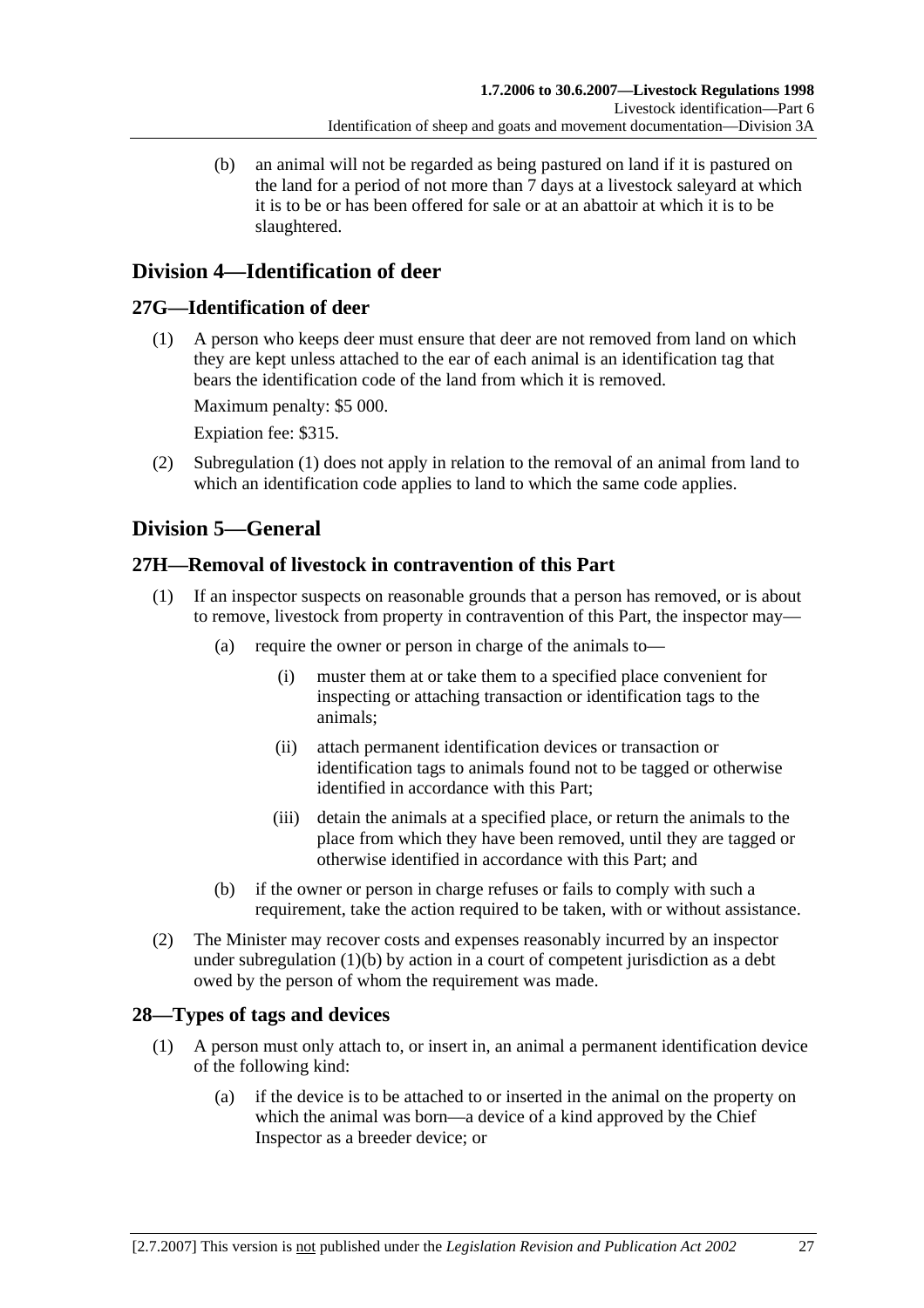(b) an animal will not be regarded as being pastured on land if it is pastured on the land for a period of not more than 7 days at a livestock saleyard at which it is to be or has been offered for sale or at an abattoir at which it is to be slaughtered.

# **Division 4—Identification of deer**

# **27G—Identification of deer**

 (1) A person who keeps deer must ensure that deer are not removed from land on which they are kept unless attached to the ear of each animal is an identification tag that bears the identification code of the land from which it is removed.

Maximum penalty: \$5 000.

Expiation fee: \$315.

 (2) Subregulation (1) does not apply in relation to the removal of an animal from land to which an identification code applies to land to which the same code applies.

# **Division 5—General**

# **27H—Removal of livestock in contravention of this Part**

- (1) If an inspector suspects on reasonable grounds that a person has removed, or is about to remove, livestock from property in contravention of this Part, the inspector may—
	- (a) require the owner or person in charge of the animals to—
		- (i) muster them at or take them to a specified place convenient for inspecting or attaching transaction or identification tags to the animals;
		- (ii) attach permanent identification devices or transaction or identification tags to animals found not to be tagged or otherwise identified in accordance with this Part;
		- (iii) detain the animals at a specified place, or return the animals to the place from which they have been removed, until they are tagged or otherwise identified in accordance with this Part; and
	- (b) if the owner or person in charge refuses or fails to comply with such a requirement, take the action required to be taken, with or without assistance.
- (2) The Minister may recover costs and expenses reasonably incurred by an inspector under subregulation (1)(b) by action in a court of competent jurisdiction as a debt owed by the person of whom the requirement was made.

# **28—Types of tags and devices**

- (1) A person must only attach to, or insert in, an animal a permanent identification device of the following kind:
	- (a) if the device is to be attached to or inserted in the animal on the property on which the animal was born—a device of a kind approved by the Chief Inspector as a breeder device; or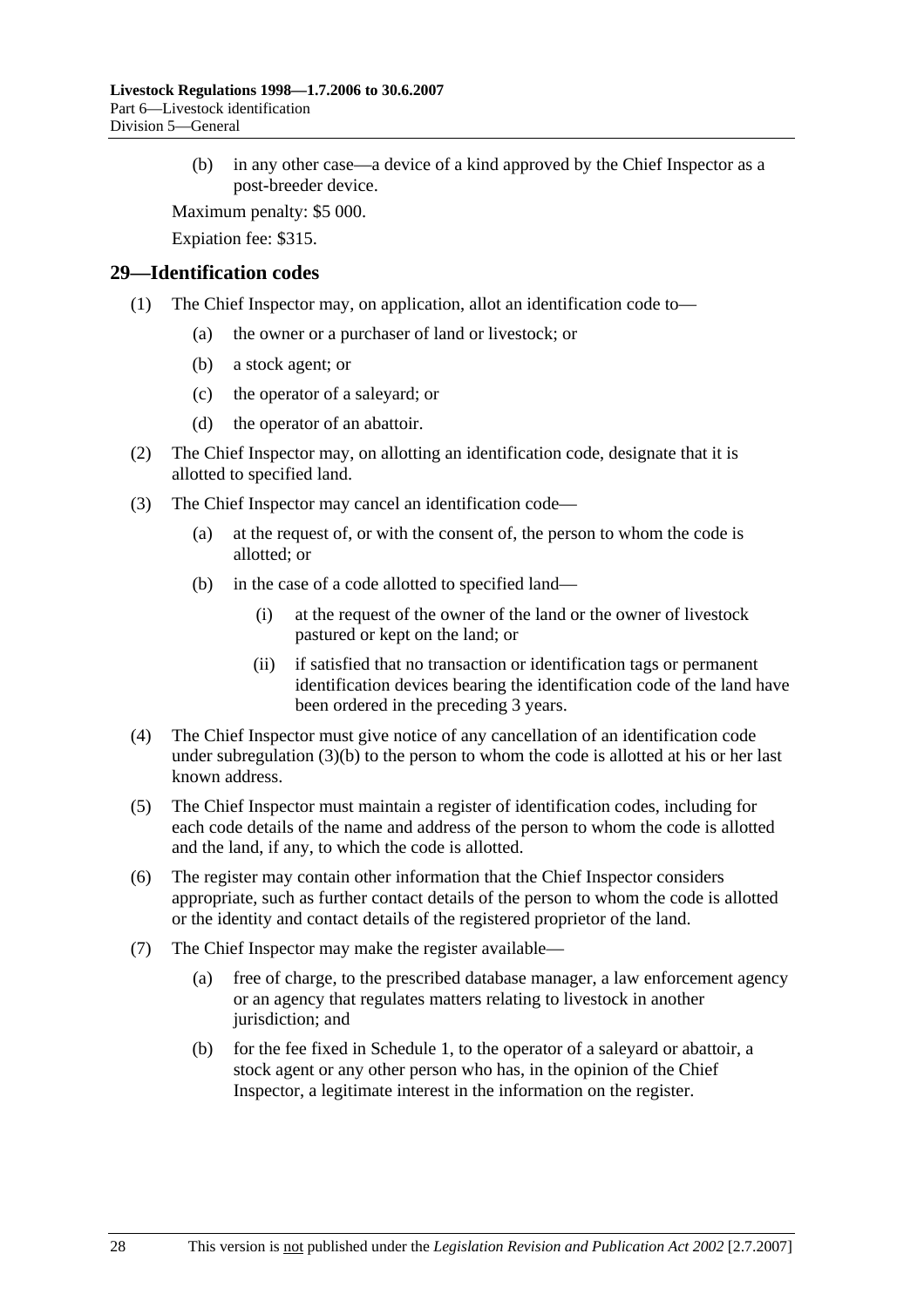(b) in any other case—a device of a kind approved by the Chief Inspector as a post-breeder device.

Maximum penalty: \$5 000.

Expiation fee: \$315.

#### **29—Identification codes**

- (1) The Chief Inspector may, on application, allot an identification code to—
	- (a) the owner or a purchaser of land or livestock; or
	- (b) a stock agent; or
	- (c) the operator of a saleyard; or
	- (d) the operator of an abattoir.
- (2) The Chief Inspector may, on allotting an identification code, designate that it is allotted to specified land.
- (3) The Chief Inspector may cancel an identification code—
	- (a) at the request of, or with the consent of, the person to whom the code is allotted; or
	- (b) in the case of a code allotted to specified land—
		- (i) at the request of the owner of the land or the owner of livestock pastured or kept on the land; or
		- (ii) if satisfied that no transaction or identification tags or permanent identification devices bearing the identification code of the land have been ordered in the preceding 3 years.
- (4) The Chief Inspector must give notice of any cancellation of an identification code under subregulation  $(3)(b)$  to the person to whom the code is allotted at his or her last known address.
- (5) The Chief Inspector must maintain a register of identification codes, including for each code details of the name and address of the person to whom the code is allotted and the land, if any, to which the code is allotted.
- (6) The register may contain other information that the Chief Inspector considers appropriate, such as further contact details of the person to whom the code is allotted or the identity and contact details of the registered proprietor of the land.
- (7) The Chief Inspector may make the register available—
	- (a) free of charge, to the prescribed database manager, a law enforcement agency or an agency that regulates matters relating to livestock in another jurisdiction; and
	- (b) for the fee fixed in Schedule 1, to the operator of a saleyard or abattoir, a stock agent or any other person who has, in the opinion of the Chief Inspector, a legitimate interest in the information on the register.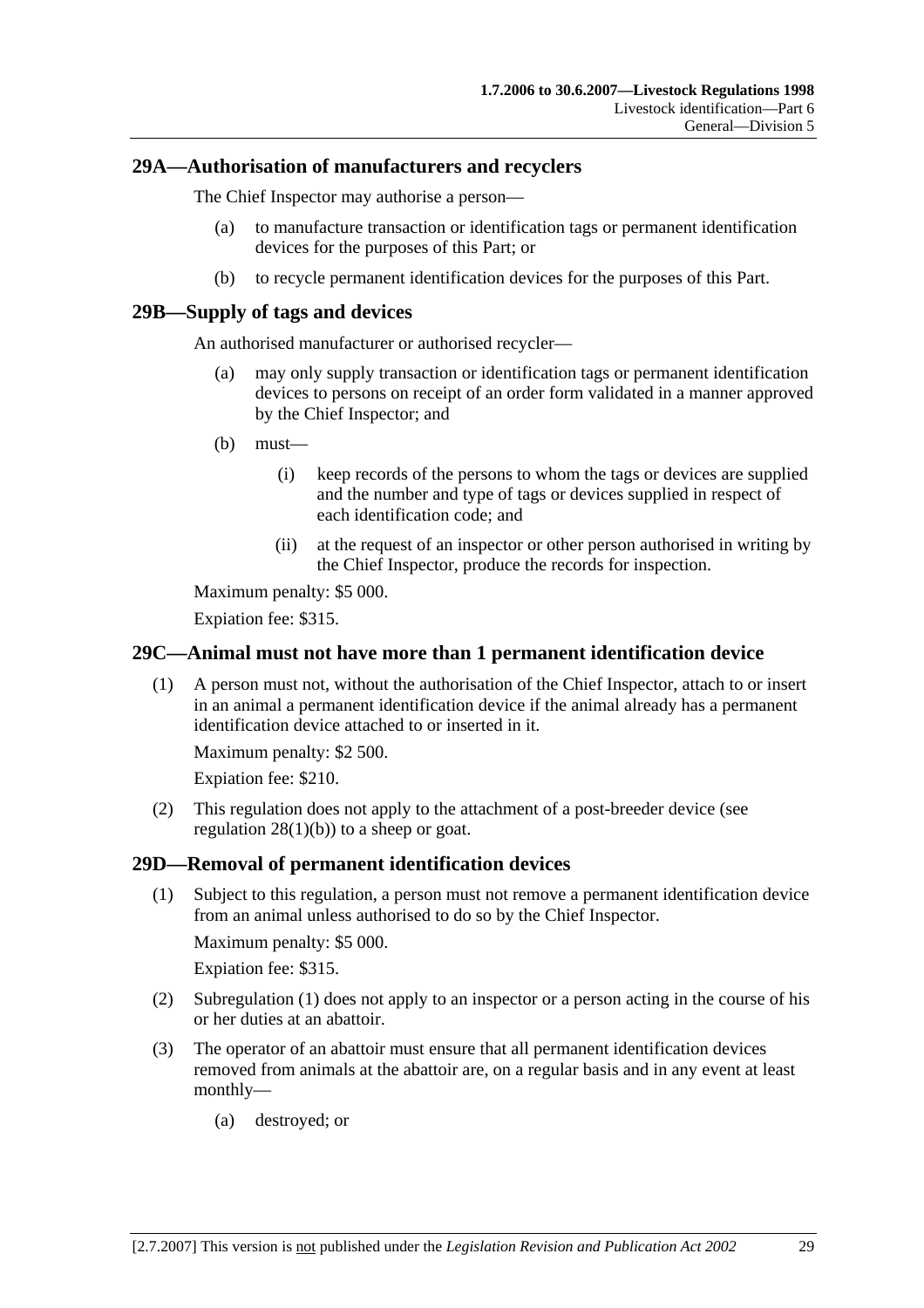#### **29A—Authorisation of manufacturers and recyclers**

The Chief Inspector may authorise a person—

- (a) to manufacture transaction or identification tags or permanent identification devices for the purposes of this Part; or
- (b) to recycle permanent identification devices for the purposes of this Part.

#### **29B—Supply of tags and devices**

An authorised manufacturer or authorised recycler—

- (a) may only supply transaction or identification tags or permanent identification devices to persons on receipt of an order form validated in a manner approved by the Chief Inspector; and
- (b) must—
	- (i) keep records of the persons to whom the tags or devices are supplied and the number and type of tags or devices supplied in respect of each identification code; and
	- (ii) at the request of an inspector or other person authorised in writing by the Chief Inspector, produce the records for inspection.

Maximum penalty: \$5 000.

Expiation fee: \$315.

#### **29C—Animal must not have more than 1 permanent identification device**

 (1) A person must not, without the authorisation of the Chief Inspector, attach to or insert in an animal a permanent identification device if the animal already has a permanent identification device attached to or inserted in it.

Maximum penalty: \$2 500.

Expiation fee: \$210.

 (2) This regulation does not apply to the attachment of a post-breeder device (see regulation  $28(1)(b)$  to a sheep or goat.

#### **29D—Removal of permanent identification devices**

 (1) Subject to this regulation, a person must not remove a permanent identification device from an animal unless authorised to do so by the Chief Inspector.

Maximum penalty: \$5 000.

Expiation fee: \$315.

- (2) Subregulation (1) does not apply to an inspector or a person acting in the course of his or her duties at an abattoir.
- (3) The operator of an abattoir must ensure that all permanent identification devices removed from animals at the abattoir are, on a regular basis and in any event at least monthly—
	- (a) destroyed; or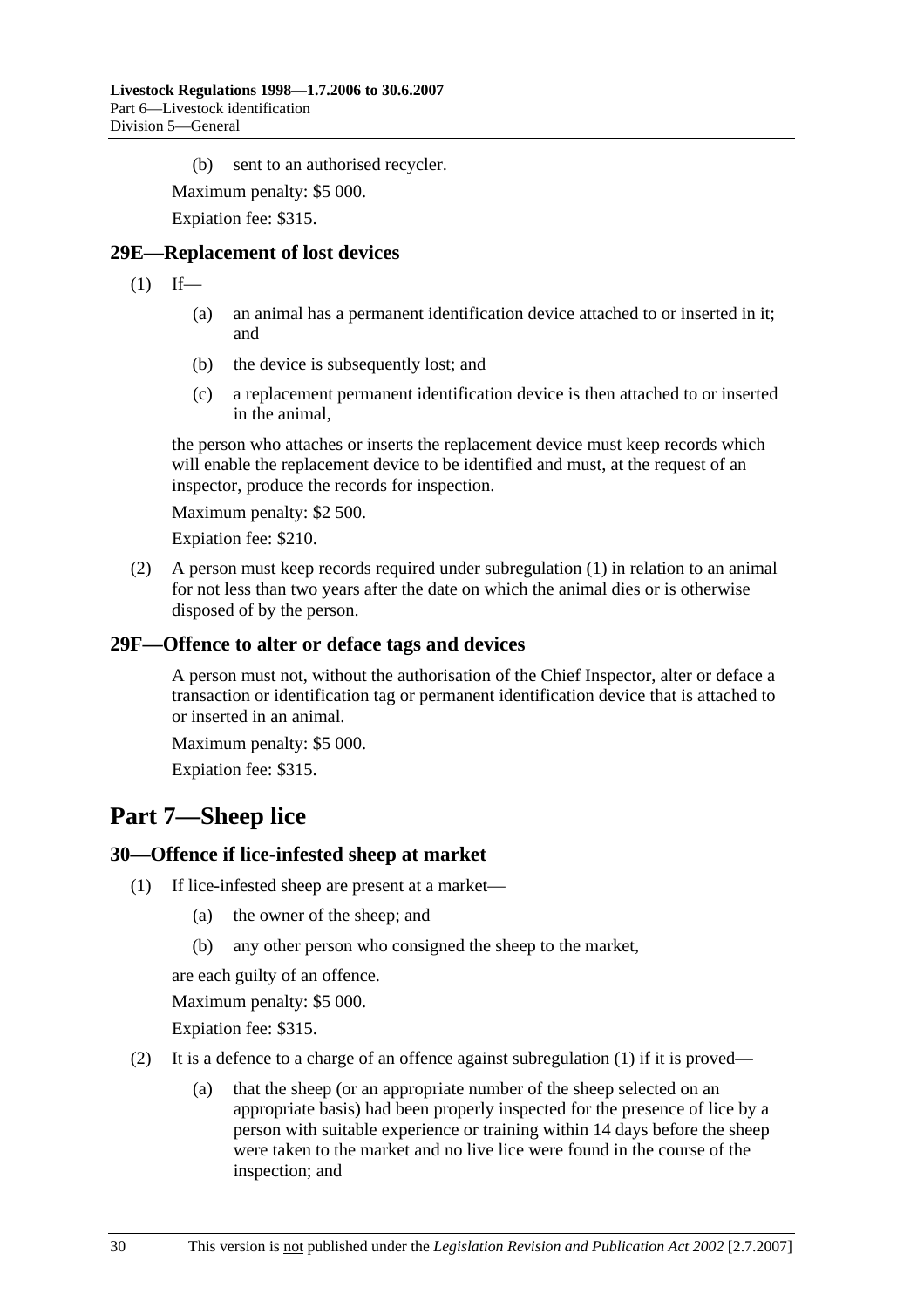(b) sent to an authorised recycler.

Maximum penalty: \$5 000.

Expiation fee: \$315.

#### **29E—Replacement of lost devices**

 $(1)$  If—

- (a) an animal has a permanent identification device attached to or inserted in it; and
- (b) the device is subsequently lost; and
- (c) a replacement permanent identification device is then attached to or inserted in the animal,

the person who attaches or inserts the replacement device must keep records which will enable the replacement device to be identified and must, at the request of an inspector, produce the records for inspection.

Maximum penalty: \$2 500.

Expiation fee: \$210.

 (2) A person must keep records required under subregulation (1) in relation to an animal for not less than two years after the date on which the animal dies or is otherwise disposed of by the person.

#### **29F—Offence to alter or deface tags and devices**

A person must not, without the authorisation of the Chief Inspector, alter or deface a transaction or identification tag or permanent identification device that is attached to or inserted in an animal.

Maximum penalty: \$5 000.

Expiation fee: \$315.

# **Part 7—Sheep lice**

#### **30—Offence if lice-infested sheep at market**

- (1) If lice-infested sheep are present at a market—
	- (a) the owner of the sheep; and
	- (b) any other person who consigned the sheep to the market,

are each guilty of an offence.

Maximum penalty: \$5 000.

Expiation fee: \$315.

- (2) It is a defence to a charge of an offence against subregulation  $(1)$  if it is proved—
	- (a) that the sheep (or an appropriate number of the sheep selected on an appropriate basis) had been properly inspected for the presence of lice by a person with suitable experience or training within 14 days before the sheep were taken to the market and no live lice were found in the course of the inspection; and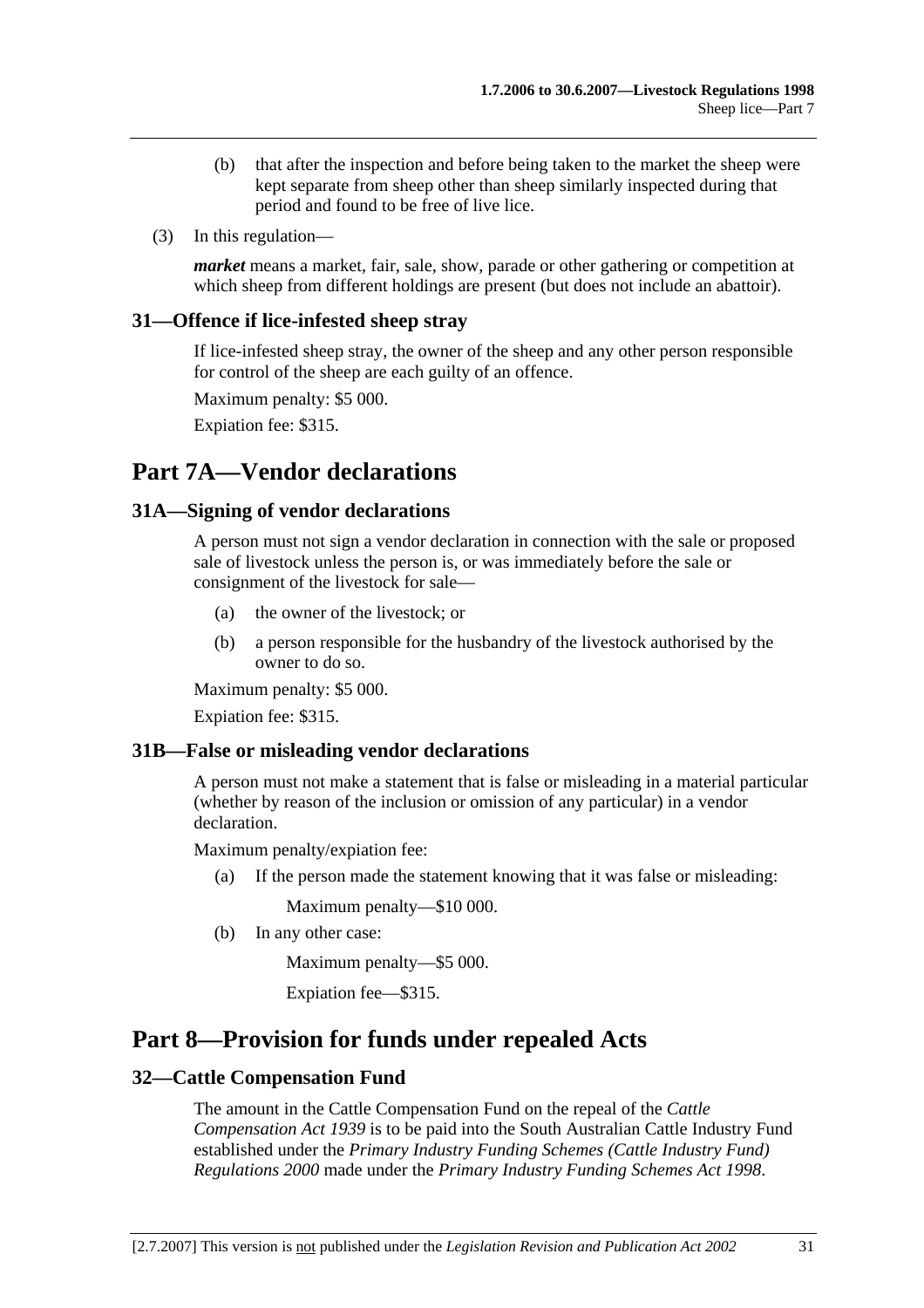- (b) that after the inspection and before being taken to the market the sheep were kept separate from sheep other than sheep similarly inspected during that period and found to be free of live lice.
- (3) In this regulation—

*market* means a market, fair, sale, show, parade or other gathering or competition at which sheep from different holdings are present (but does not include an abattoir).

#### **31—Offence if lice-infested sheep stray**

If lice-infested sheep stray, the owner of the sheep and any other person responsible for control of the sheep are each guilty of an offence.

Maximum penalty: \$5 000.

Expiation fee: \$315.

# **Part 7A—Vendor declarations**

#### **31A—Signing of vendor declarations**

A person must not sign a vendor declaration in connection with the sale or proposed sale of livestock unless the person is, or was immediately before the sale or consignment of the livestock for sale—

- (a) the owner of the livestock; or
- (b) a person responsible for the husbandry of the livestock authorised by the owner to do so.

Maximum penalty: \$5 000.

Expiation fee: \$315.

#### **31B—False or misleading vendor declarations**

A person must not make a statement that is false or misleading in a material particular (whether by reason of the inclusion or omission of any particular) in a vendor declaration.

Maximum penalty/expiation fee:

(a) If the person made the statement knowing that it was false or misleading:

Maximum penalty—\$10 000.

(b) In any other case:

Maximum penalty—\$5 000.

Expiation fee—\$315.

# **Part 8—Provision for funds under repealed Acts**

#### **32—Cattle Compensation Fund**

The amount in the Cattle Compensation Fund on the repeal of the *Cattle Compensation Act 1939* is to be paid into the South Australian Cattle Industry Fund established under the *Primary Industry Funding Schemes (Cattle Industry Fund) Regulations 2000* made under the *Primary Industry Funding Schemes Act 1998*.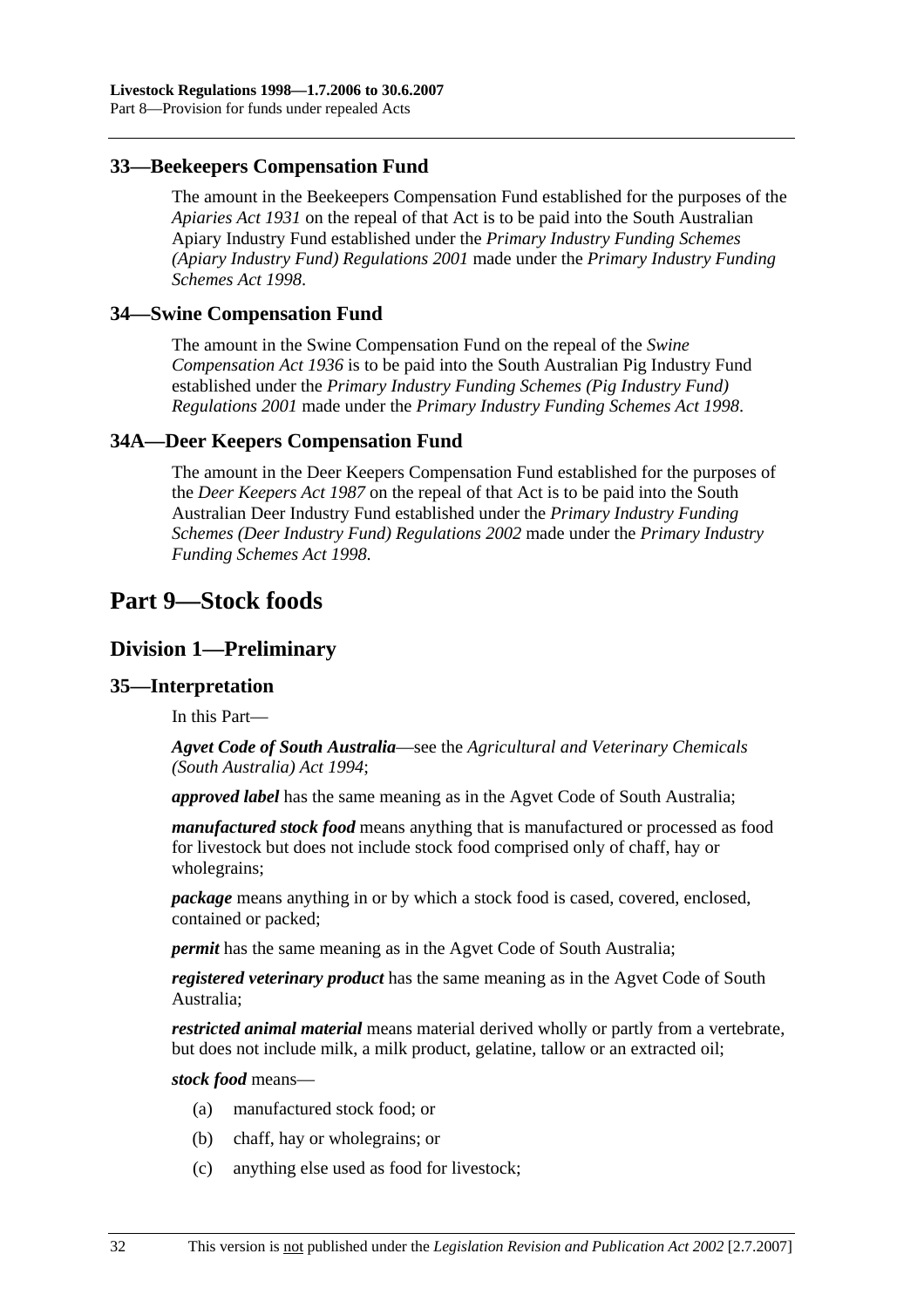#### **33—Beekeepers Compensation Fund**

The amount in the Beekeepers Compensation Fund established for the purposes of the *Apiaries Act 1931* on the repeal of that Act is to be paid into the South Australian Apiary Industry Fund established under the *Primary Industry Funding Schemes (Apiary Industry Fund) Regulations 2001* made under the *Primary Industry Funding Schemes Act 1998*.

#### **34—Swine Compensation Fund**

The amount in the Swine Compensation Fund on the repeal of the *Swine Compensation Act 1936* is to be paid into the South Australian Pig Industry Fund established under the *Primary Industry Funding Schemes (Pig Industry Fund) Regulations 2001* made under the *Primary Industry Funding Schemes Act 1998*.

#### **34A—Deer Keepers Compensation Fund**

The amount in the Deer Keepers Compensation Fund established for the purposes of the *Deer Keepers Act 1987* on the repeal of that Act is to be paid into the South Australian Deer Industry Fund established under the *Primary Industry Funding Schemes (Deer Industry Fund) Regulations 2002* made under the *Primary Industry Funding Schemes Act 1998*.

# **Part 9—Stock foods**

#### **Division 1—Preliminary**

#### **35—Interpretation**

In this Part—

*Agvet Code of South Australia*—see the *Agricultural and Veterinary Chemicals (South Australia) Act 1994*;

*approved label* has the same meaning as in the Agvet Code of South Australia;

*manufactured stock food* means anything that is manufactured or processed as food for livestock but does not include stock food comprised only of chaff, hay or wholegrains;

*package* means anything in or by which a stock food is cased, covered, enclosed, contained or packed;

*permit* has the same meaning as in the Agvet Code of South Australia;

*registered veterinary product* has the same meaning as in the Agvet Code of South Australia;

*restricted animal material* means material derived wholly or partly from a vertebrate, but does not include milk, a milk product, gelatine, tallow or an extracted oil;

*stock food* means—

- (a) manufactured stock food; or
- (b) chaff, hay or wholegrains; or
- (c) anything else used as food for livestock;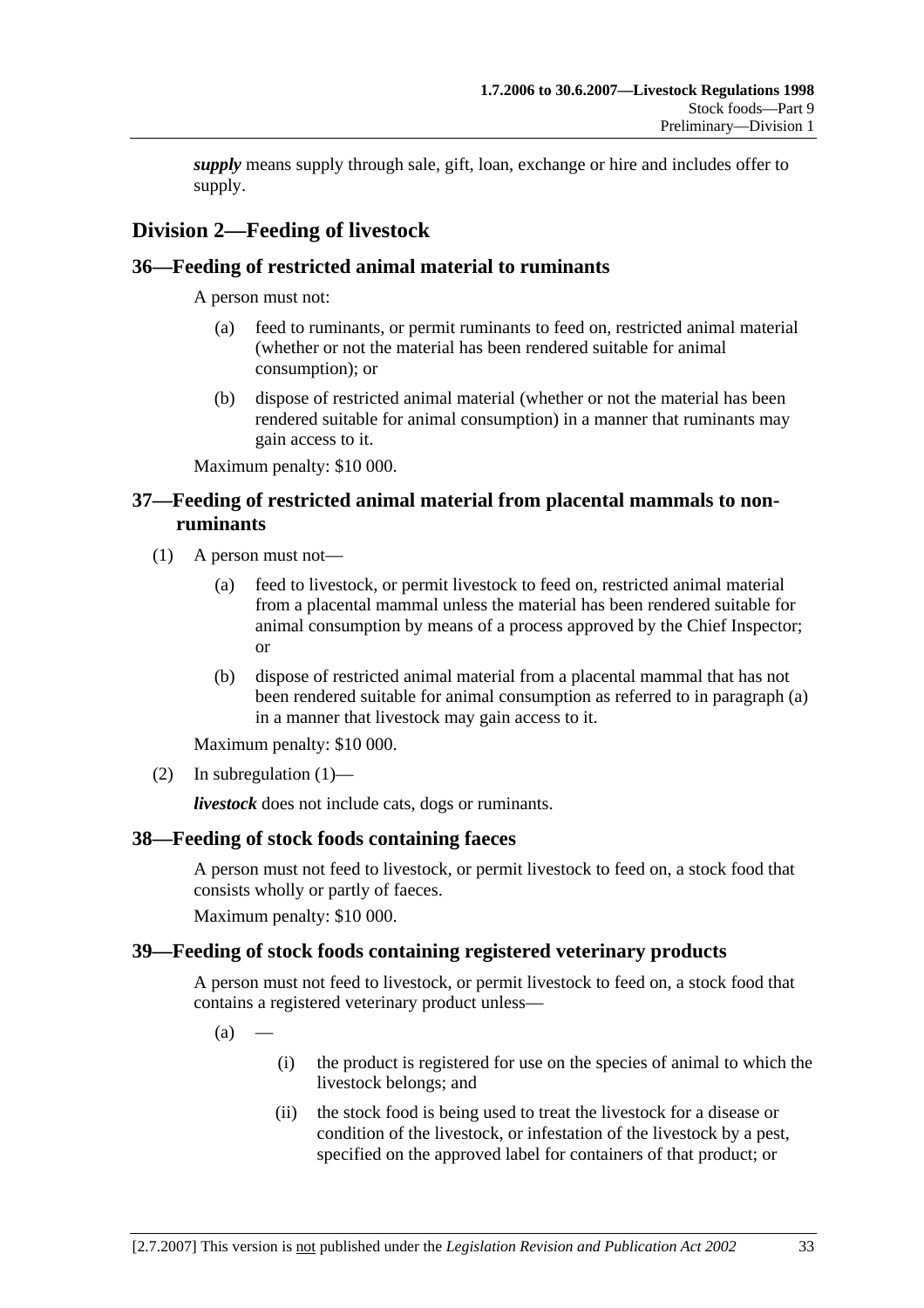*supply* means supply through sale, gift, loan, exchange or hire and includes offer to supply.

# **Division 2—Feeding of livestock**

## **36—Feeding of restricted animal material to ruminants**

A person must not:

- (a) feed to ruminants, or permit ruminants to feed on, restricted animal material (whether or not the material has been rendered suitable for animal consumption); or
- (b) dispose of restricted animal material (whether or not the material has been rendered suitable for animal consumption) in a manner that ruminants may gain access to it.

Maximum penalty: \$10 000.

## **37—Feeding of restricted animal material from placental mammals to nonruminants**

- (1) A person must not—
	- (a) feed to livestock, or permit livestock to feed on, restricted animal material from a placental mammal unless the material has been rendered suitable for animal consumption by means of a process approved by the Chief Inspector; or
	- (b) dispose of restricted animal material from a placental mammal that has not been rendered suitable for animal consumption as referred to in paragraph (a) in a manner that livestock may gain access to it.

Maximum penalty: \$10 000.

(2) In subregulation  $(1)$ —

*livestock* does not include cats, dogs or ruminants.

# **38—Feeding of stock foods containing faeces**

A person must not feed to livestock, or permit livestock to feed on, a stock food that consists wholly or partly of faeces.

Maximum penalty: \$10 000.

### **39—Feeding of stock foods containing registered veterinary products**

A person must not feed to livestock, or permit livestock to feed on, a stock food that contains a registered veterinary product unless—

 $(a)$ 

- (i) the product is registered for use on the species of animal to which the livestock belongs; and
- (ii) the stock food is being used to treat the livestock for a disease or condition of the livestock, or infestation of the livestock by a pest, specified on the approved label for containers of that product; or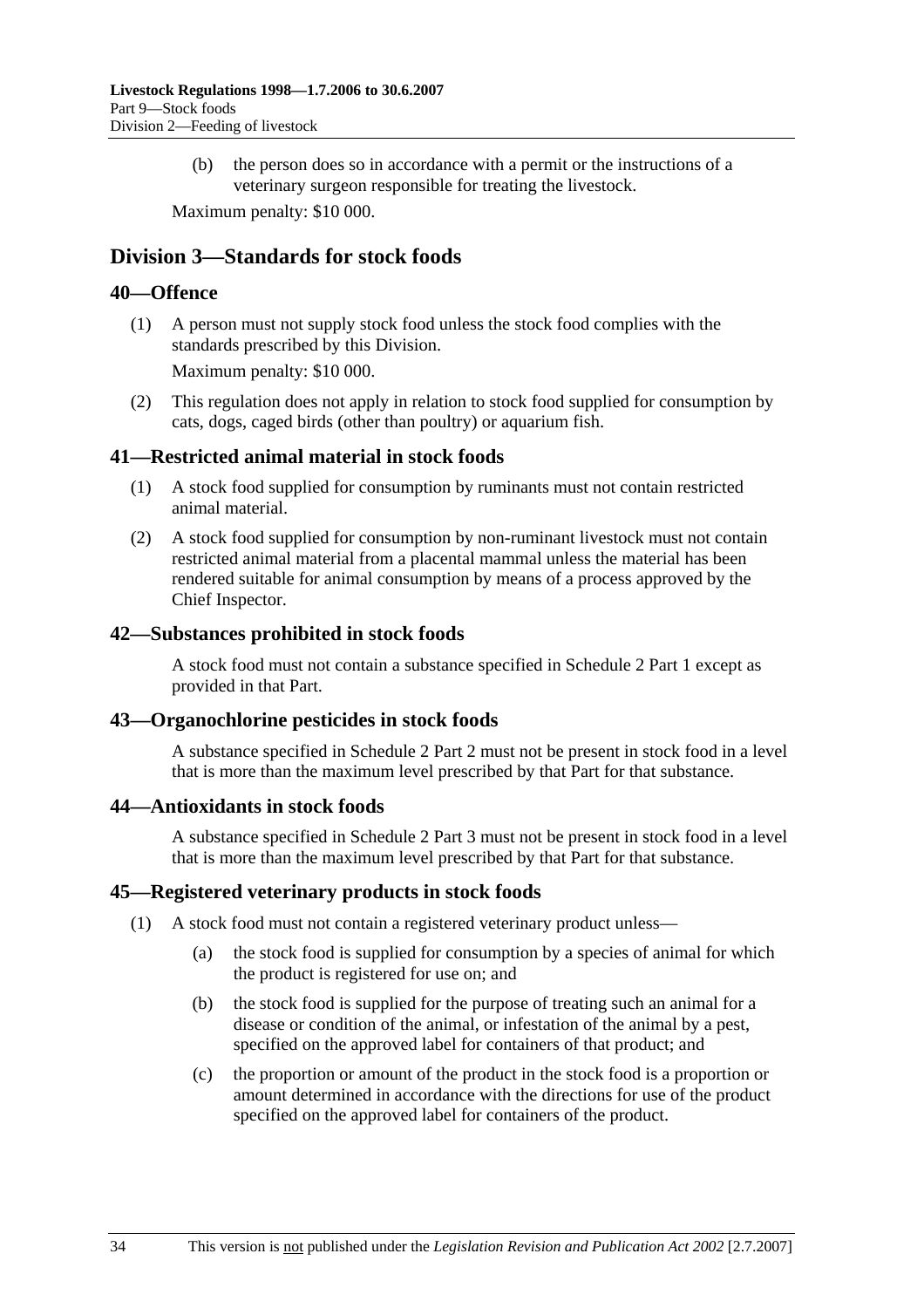(b) the person does so in accordance with a permit or the instructions of a veterinary surgeon responsible for treating the livestock.

Maximum penalty: \$10 000.

# **Division 3—Standards for stock foods**

#### **40—Offence**

 (1) A person must not supply stock food unless the stock food complies with the standards prescribed by this Division.

Maximum penalty: \$10 000.

 (2) This regulation does not apply in relation to stock food supplied for consumption by cats, dogs, caged birds (other than poultry) or aquarium fish.

#### **41—Restricted animal material in stock foods**

- (1) A stock food supplied for consumption by ruminants must not contain restricted animal material.
- (2) A stock food supplied for consumption by non-ruminant livestock must not contain restricted animal material from a placental mammal unless the material has been rendered suitable for animal consumption by means of a process approved by the Chief Inspector.

#### **42—Substances prohibited in stock foods**

A stock food must not contain a substance specified in Schedule 2 Part 1 except as provided in that Part.

### **43—Organochlorine pesticides in stock foods**

A substance specified in Schedule 2 Part 2 must not be present in stock food in a level that is more than the maximum level prescribed by that Part for that substance.

#### **44—Antioxidants in stock foods**

A substance specified in Schedule 2 Part 3 must not be present in stock food in a level that is more than the maximum level prescribed by that Part for that substance.

#### **45—Registered veterinary products in stock foods**

- (1) A stock food must not contain a registered veterinary product unless—
	- (a) the stock food is supplied for consumption by a species of animal for which the product is registered for use on; and
	- (b) the stock food is supplied for the purpose of treating such an animal for a disease or condition of the animal, or infestation of the animal by a pest, specified on the approved label for containers of that product; and
	- (c) the proportion or amount of the product in the stock food is a proportion or amount determined in accordance with the directions for use of the product specified on the approved label for containers of the product.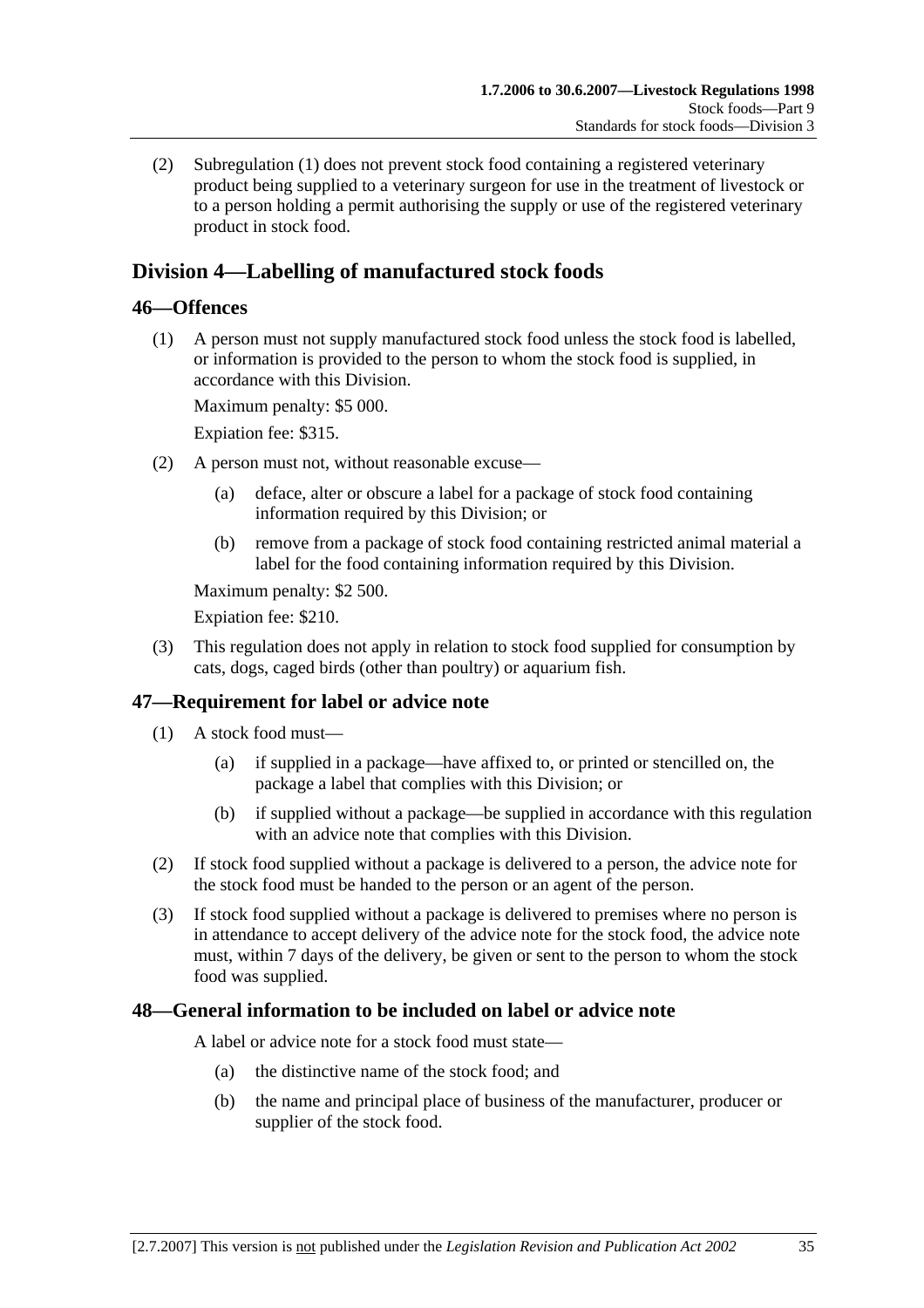(2) Subregulation (1) does not prevent stock food containing a registered veterinary product being supplied to a veterinary surgeon for use in the treatment of livestock or to a person holding a permit authorising the supply or use of the registered veterinary product in stock food.

# **Division 4—Labelling of manufactured stock foods**

### **46—Offences**

 (1) A person must not supply manufactured stock food unless the stock food is labelled, or information is provided to the person to whom the stock food is supplied, in accordance with this Division.

Maximum penalty: \$5 000.

Expiation fee: \$315.

- (2) A person must not, without reasonable excuse—
	- (a) deface, alter or obscure a label for a package of stock food containing information required by this Division; or
	- (b) remove from a package of stock food containing restricted animal material a label for the food containing information required by this Division.

Maximum penalty: \$2 500.

Expiation fee: \$210.

 (3) This regulation does not apply in relation to stock food supplied for consumption by cats, dogs, caged birds (other than poultry) or aquarium fish.

# **47—Requirement for label or advice note**

- (1) A stock food must—
	- (a) if supplied in a package—have affixed to, or printed or stencilled on, the package a label that complies with this Division; or
	- (b) if supplied without a package—be supplied in accordance with this regulation with an advice note that complies with this Division.
- (2) If stock food supplied without a package is delivered to a person, the advice note for the stock food must be handed to the person or an agent of the person.
- (3) If stock food supplied without a package is delivered to premises where no person is in attendance to accept delivery of the advice note for the stock food, the advice note must, within 7 days of the delivery, be given or sent to the person to whom the stock food was supplied.

### **48—General information to be included on label or advice note**

A label or advice note for a stock food must state—

- (a) the distinctive name of the stock food; and
- (b) the name and principal place of business of the manufacturer, producer or supplier of the stock food.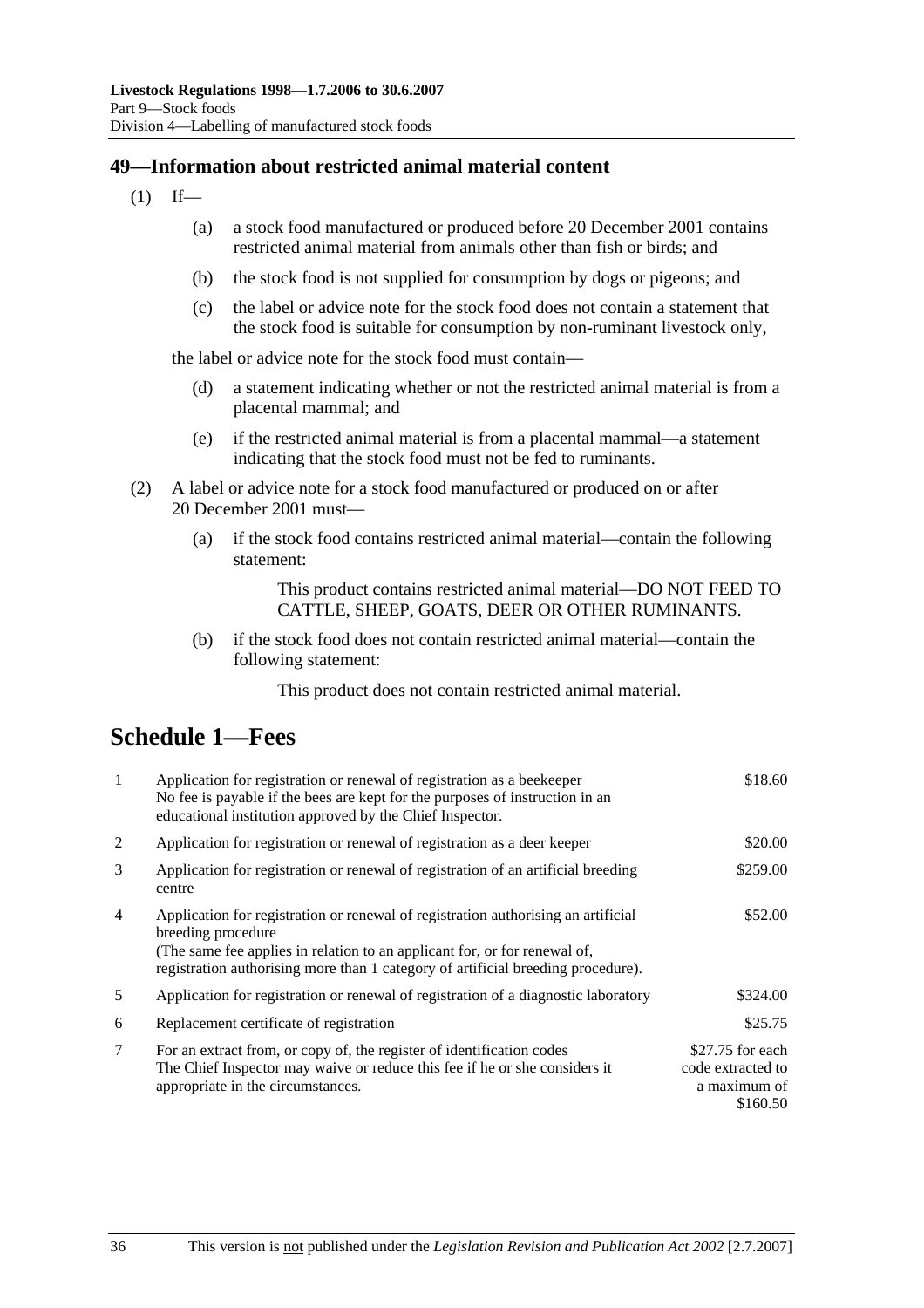### **49—Information about restricted animal material content**

- $(1)$  If—
	- (a) a stock food manufactured or produced before 20 December 2001 contains restricted animal material from animals other than fish or birds; and
	- (b) the stock food is not supplied for consumption by dogs or pigeons; and
	- (c) the label or advice note for the stock food does not contain a statement that the stock food is suitable for consumption by non-ruminant livestock only,

the label or advice note for the stock food must contain—

- (d) a statement indicating whether or not the restricted animal material is from a placental mammal; and
- (e) if the restricted animal material is from a placental mammal—a statement indicating that the stock food must not be fed to ruminants.
- (2) A label or advice note for a stock food manufactured or produced on or after 20 December 2001 must—
	- (a) if the stock food contains restricted animal material—contain the following statement:

This product contains restricted animal material—DO NOT FEED TO CATTLE, SHEEP, GOATS, DEER OR OTHER RUMINANTS.

 (b) if the stock food does not contain restricted animal material—contain the following statement:

This product does not contain restricted animal material.

# **Schedule 1—Fees**

| $\mathbf{1}$   | Application for registration or renewal of registration as a beekeeper<br>No fee is payable if the bees are kept for the purposes of instruction in an<br>educational institution approved by the Chief Inspector.                                                       | \$18.60                                                            |
|----------------|--------------------------------------------------------------------------------------------------------------------------------------------------------------------------------------------------------------------------------------------------------------------------|--------------------------------------------------------------------|
| 2              | Application for registration or renewal of registration as a deer keeper                                                                                                                                                                                                 | \$20.00                                                            |
| 3              | Application for registration or renewal of registration of an artificial breeding<br>centre                                                                                                                                                                              | \$259.00                                                           |
| $\overline{4}$ | Application for registration or renewal of registration authorising an artificial<br>breeding procedure<br>(The same fee applies in relation to an applicant for, or for renewal of,<br>registration authorising more than 1 category of artificial breeding procedure). | \$52.00                                                            |
| 5              | Application for registration or renewal of registration of a diagnostic laboratory                                                                                                                                                                                       | \$324.00                                                           |
| 6              | Replacement certificate of registration                                                                                                                                                                                                                                  | \$25.75                                                            |
| 7              | For an extract from, or copy of, the register of identification codes<br>The Chief Inspector may waive or reduce this fee if he or she considers it<br>appropriate in the circumstances.                                                                                 | $$27.75$ for each<br>code extracted to<br>a maximum of<br>\$160.50 |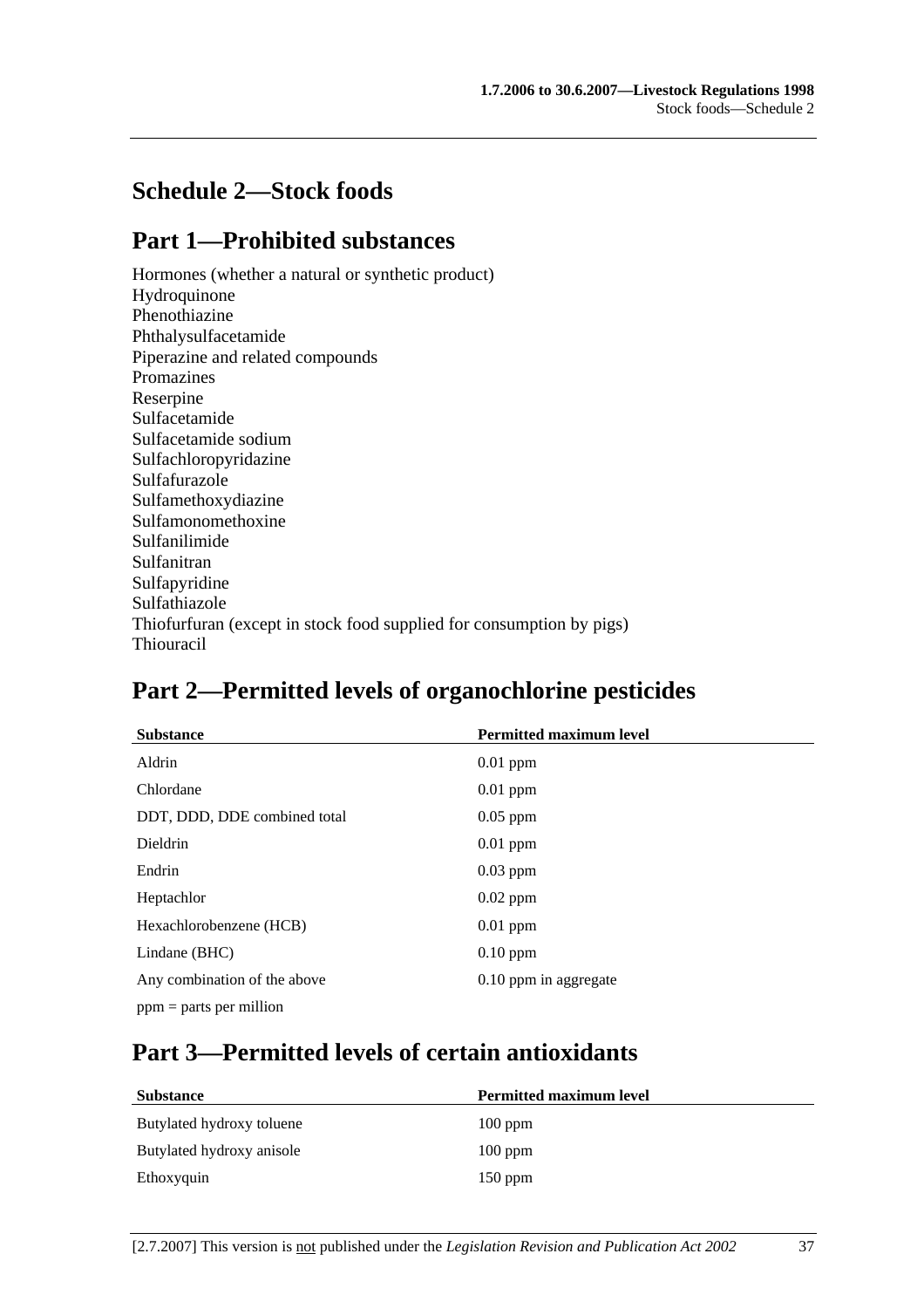# **Schedule 2—Stock foods**

# **Part 1—Prohibited substances**

Hormones (whether a natural or synthetic product) Hydroquinone Phenothiazine Phthalysulfacetamide Piperazine and related compounds Promazines Reserpine Sulfacetamide Sulfacetamide sodium Sulfachloropyridazine Sulfafurazole Sulfamethoxydiazine Sulfamonomethoxine Sulfanilimide Sulfanitran Sulfapyridine Sulfathiazole Thiofurfuran (except in stock food supplied for consumption by pigs) Thiouracil

# **Part 2—Permitted levels of organochlorine pesticides**

| <b>Substance</b>             | <b>Permitted maximum level</b> |
|------------------------------|--------------------------------|
| Aldrin                       | $0.01$ ppm                     |
| Chlordane                    | $0.01$ ppm                     |
| DDT, DDD, DDE combined total | $0.05$ ppm                     |
| <b>Dieldrin</b>              | $0.01$ ppm                     |
| Endrin                       | $0.03$ ppm                     |
| Heptachlor                   | $0.02$ ppm                     |
| Hexachlorobenzene (HCB)      | $0.01$ ppm                     |
| Lindane (BHC)                | $0.10$ ppm                     |
| Any combination of the above | 0.10 ppm in aggregate          |
| $ppm =$ parts per million    |                                |

# **Part 3—Permitted levels of certain antioxidants**

| <b>Substance</b>          | <b>Permitted maximum level</b> |
|---------------------------|--------------------------------|
| Butylated hydroxy toluene | $100$ ppm                      |
| Butylated hydroxy anisole | $100$ ppm                      |
| Ethoxyquin                | $150$ ppm                      |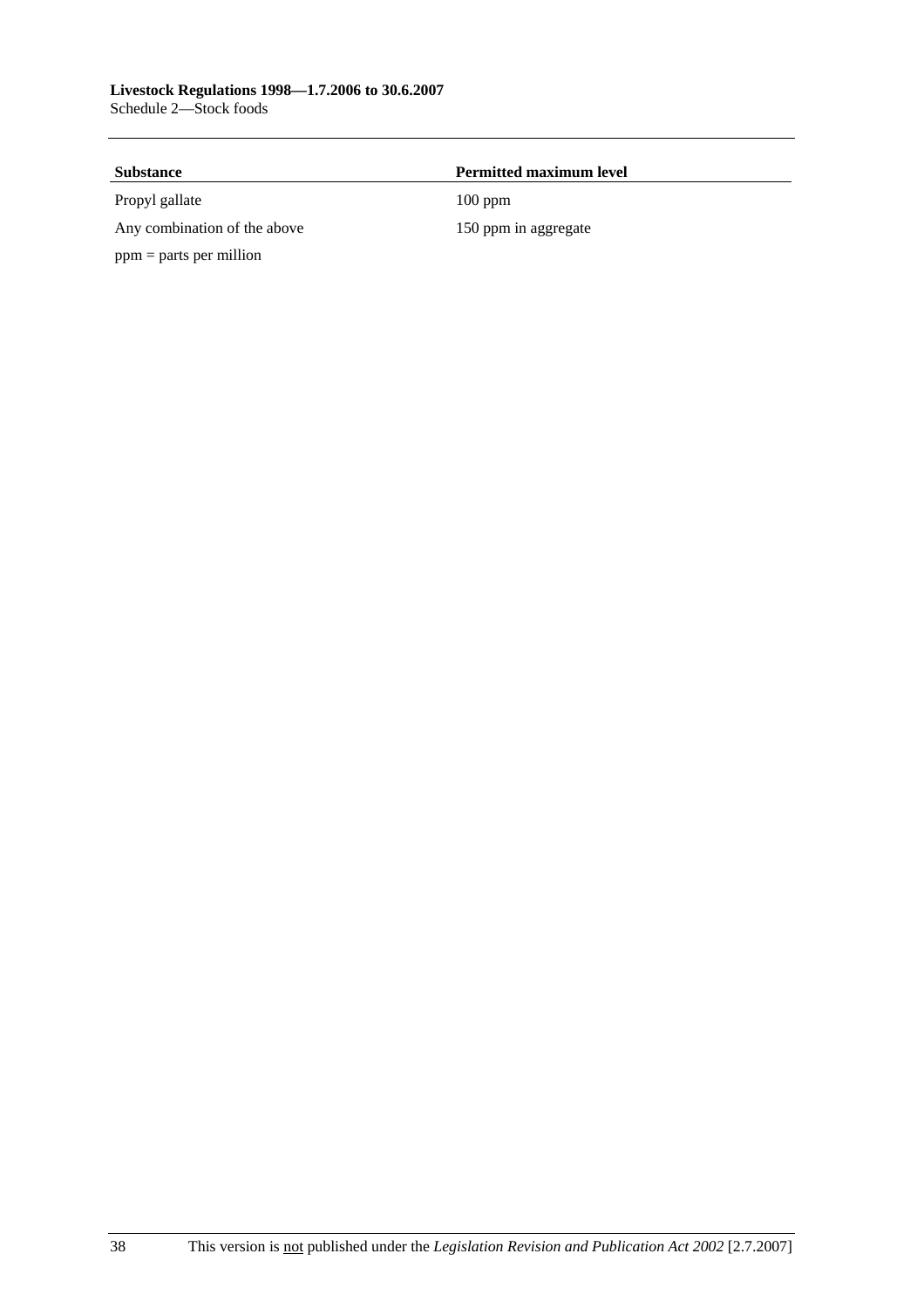| <b>Substance</b>             | <b>Permitted maximum level</b> |  |
|------------------------------|--------------------------------|--|
| Propyl gallate               | $100$ ppm                      |  |
| Any combination of the above | 150 ppm in aggregate           |  |
| $ppm =$ parts per million    |                                |  |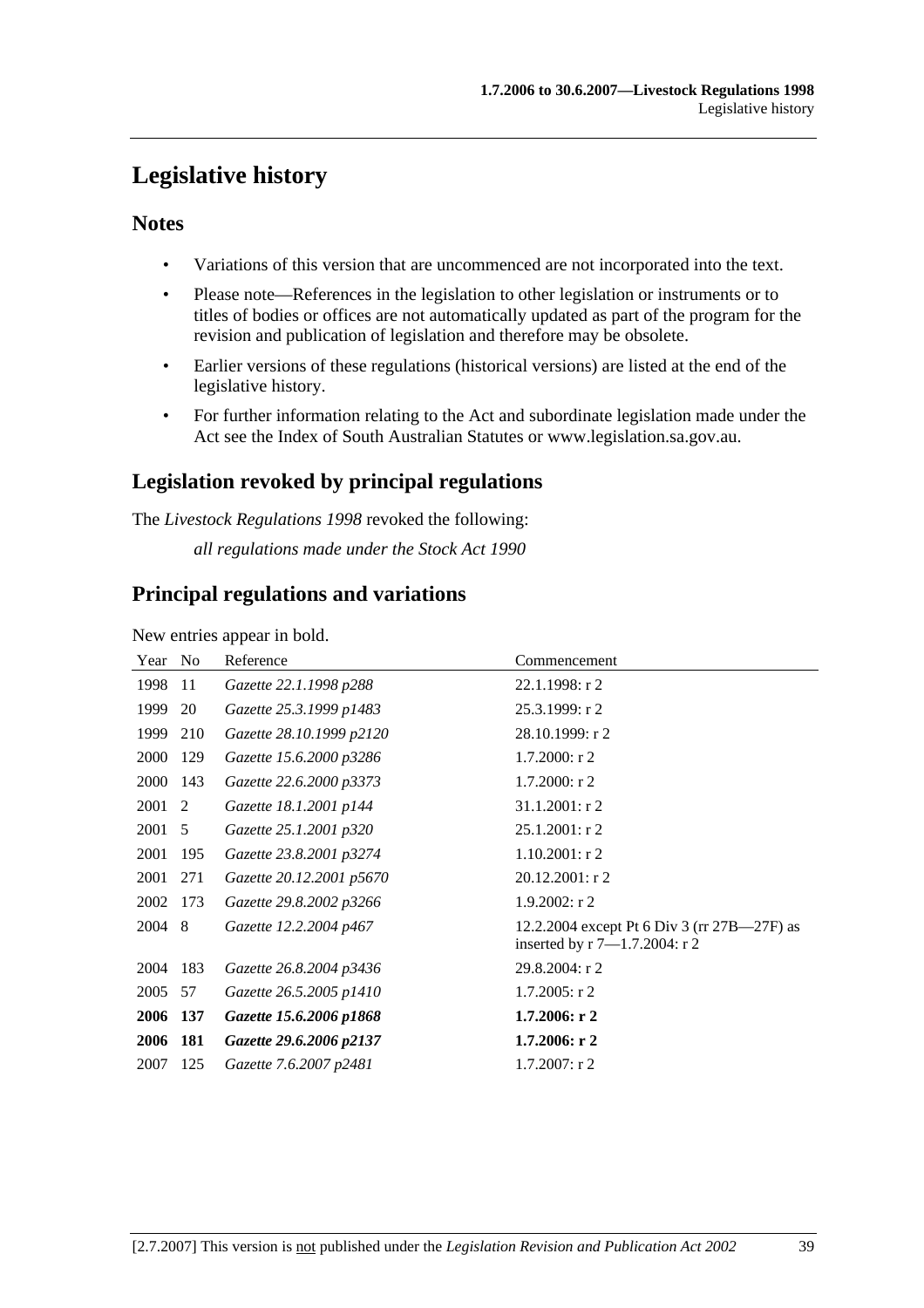# **Legislative history**

## **Notes**

- Variations of this version that are uncommenced are not incorporated into the text.
- Please note—References in the legislation to other legislation or instruments or to titles of bodies or offices are not automatically updated as part of the program for the revision and publication of legislation and therefore may be obsolete.
- Earlier versions of these regulations (historical versions) are listed at the end of the legislative history.
- For further information relating to the Act and subordinate legislation made under the Act see the Index of South Australian Statutes or www.legislation.sa.gov.au.

# **Legislation revoked by principal regulations**

The *Livestock Regulations 1998* revoked the following: *all regulations made under the Stock Act 1990*

# **Principal regulations and variations**

New entries appear in bold.

| Year | N <sub>0</sub> | Reference                | Commencement                                                                          |
|------|----------------|--------------------------|---------------------------------------------------------------------------------------|
| 1998 | 11             | Gazette 22.1.1998 p288   | $22.1.1998:$ r 2                                                                      |
| 1999 | 20             | Gazette 25.3.1999 p1483  | 25.3.1999: r 2                                                                        |
| 1999 | 210            | Gazette 28.10.1999 p2120 | 28.10.1999: r 2                                                                       |
| 2000 | 129            | Gazette 15.6.2000 p3286  | $1.7.2000:$ r 2                                                                       |
| 2000 | 143            | Gazette 22.6.2000 p3373  | $1.7.2000:$ r 2                                                                       |
| 2001 | 2              | Gazette 18.1.2001 p144   | $31.1.2001$ : r 2                                                                     |
| 2001 | 5              | Gazette 25.1.2001 p320   | $25.1.2001$ : r 2                                                                     |
| 2001 | 195            | Gazette 23.8.2001 p3274  | $1.10.2001:$ r 2                                                                      |
| 2001 | 271            | Gazette 20.12.2001 p5670 | 20.12.2001: r 2                                                                       |
| 2002 | 173            | Gazette 29.8.2002 p3266  | 1.9.2002: r2                                                                          |
| 2004 | 8              | Gazette 12.2.2004 p467   | 12.2.2004 except Pt 6 Div 3 (rr 27B—27F) as<br>inserted by $r\sqrt{7}-1.7.2004$ : r 2 |
| 2004 | 183            | Gazette 26.8.2004 p3436  | 29.8.2004: r 2                                                                        |
| 2005 | 57             | Gazette 26.5.2005 p1410  | $1.7.2005$ : r 2                                                                      |
| 2006 | 137            | Gazette 15.6.2006 p1868  | 1.7.2006: r2                                                                          |
| 2006 | 181            | Gazette 29.6.2006 p2137  | $1.7.2006:$ r 2                                                                       |
| 2007 | 125            | Gazette 7.6.2007 p2481   | $1.7.2007:$ r 2                                                                       |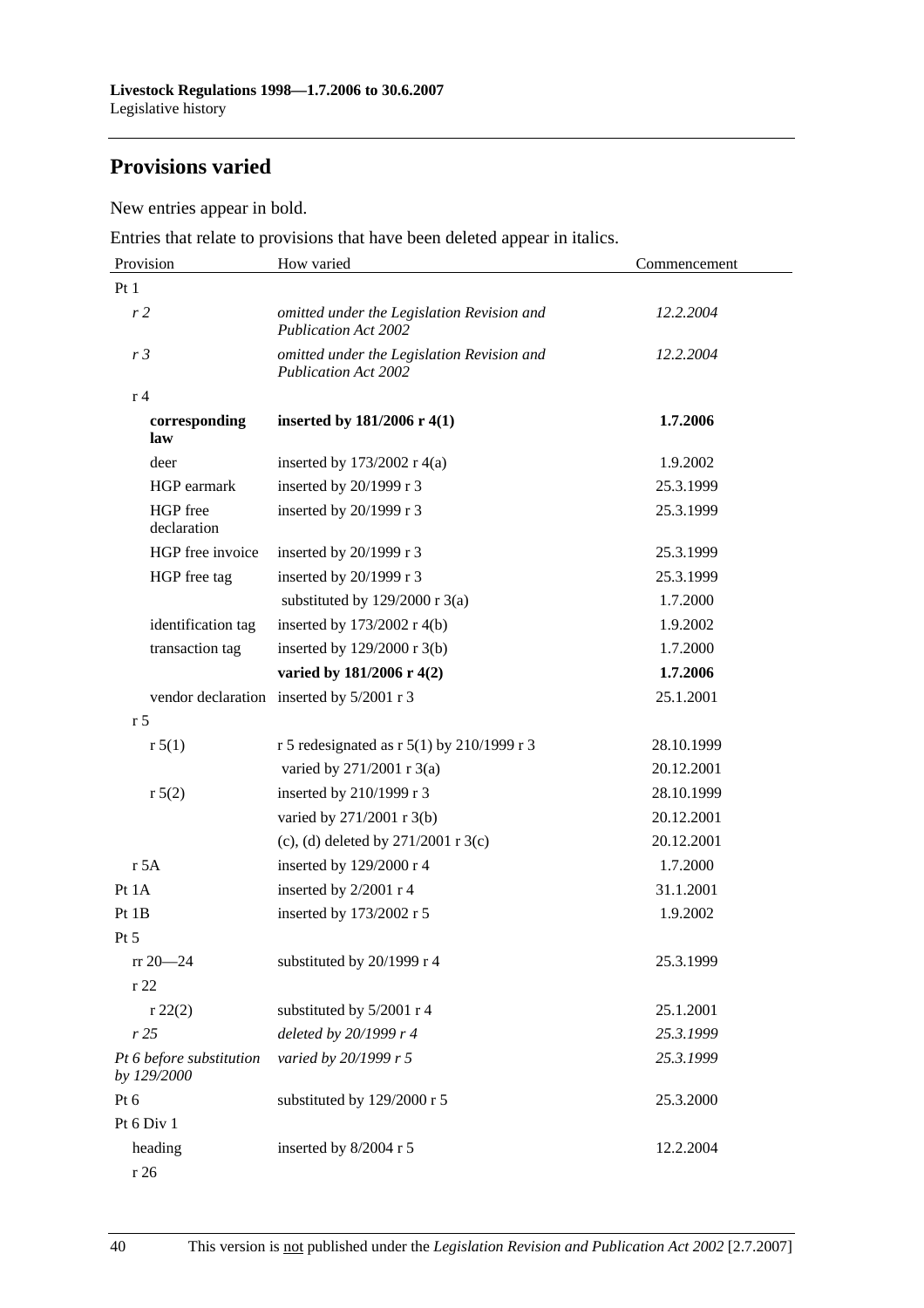# **Provisions varied**

New entries appear in bold.

Entries that relate to provisions that have been deleted appear in italics.

| Provision                               | How varied                                                                | Commencement |
|-----------------------------------------|---------------------------------------------------------------------------|--------------|
| Pt1                                     |                                                                           |              |
| r <sub>2</sub>                          | omitted under the Legislation Revision and<br><b>Publication Act 2002</b> | 12.2.2004    |
| r <sub>3</sub>                          | omitted under the Legislation Revision and<br><b>Publication Act 2002</b> | 12.2.2004    |
| r <sub>4</sub>                          |                                                                           |              |
| corresponding<br>law                    | inserted by $181/2006$ r 4(1)                                             | 1.7.2006     |
| deer                                    | inserted by $173/2002$ r 4(a)                                             | 1.9.2002     |
| HGP earmark                             | inserted by 20/1999 r 3                                                   | 25.3.1999    |
| HGP free<br>declaration                 | inserted by 20/1999 r 3                                                   | 25.3.1999    |
| HGP free invoice                        | inserted by 20/1999 r 3                                                   | 25.3.1999    |
| HGP free tag                            | inserted by 20/1999 r 3                                                   | 25.3.1999    |
|                                         | substituted by $129/2000$ r 3(a)                                          | 1.7.2000     |
| identification tag                      | inserted by $173/2002$ r 4(b)                                             | 1.9.2002     |
| transaction tag                         | inserted by 129/2000 r 3(b)                                               | 1.7.2000     |
|                                         | varied by 181/2006 r 4(2)                                                 | 1.7.2006     |
|                                         | vendor declaration inserted by 5/2001 r 3                                 | 25.1.2001    |
| r <sub>5</sub>                          |                                                                           |              |
| r 5(1)                                  | r 5 redesignated as r $5(1)$ by 210/1999 r 3                              | 28.10.1999   |
|                                         | varied by 271/2001 r 3(a)                                                 | 20.12.2001   |
| r 5(2)                                  | inserted by 210/1999 r 3                                                  | 28.10.1999   |
|                                         | varied by 271/2001 r 3(b)                                                 | 20.12.2001   |
|                                         | (c), (d) deleted by $271/2001$ r 3(c)                                     | 20.12.2001   |
| r 5A                                    | inserted by 129/2000 r 4                                                  | 1.7.2000     |
| Pt 1A                                   | inserted by 2/2001 r 4                                                    | 31.1.2001    |
| Pt1B                                    | inserted by 173/2002 r 5                                                  | 1.9.2002     |
| Pt 5                                    |                                                                           |              |
| $rr 20 - 24$                            | substituted by 20/1999 r 4                                                | 25.3.1999    |
| r 22                                    |                                                                           |              |
| r 22(2)                                 | substituted by 5/2001 r 4                                                 | 25.1.2001    |
| r25                                     | deleted by 20/1999 r 4                                                    | 25.3.1999    |
| Pt 6 before substitution<br>by 129/2000 | varied by 20/1999 r 5                                                     | 25.3.1999    |
| Pt 6                                    | substituted by 129/2000 r 5                                               | 25.3.2000    |
| Pt 6 Div 1                              |                                                                           |              |
| heading                                 | inserted by 8/2004 r 5                                                    | 12.2.2004    |

r 26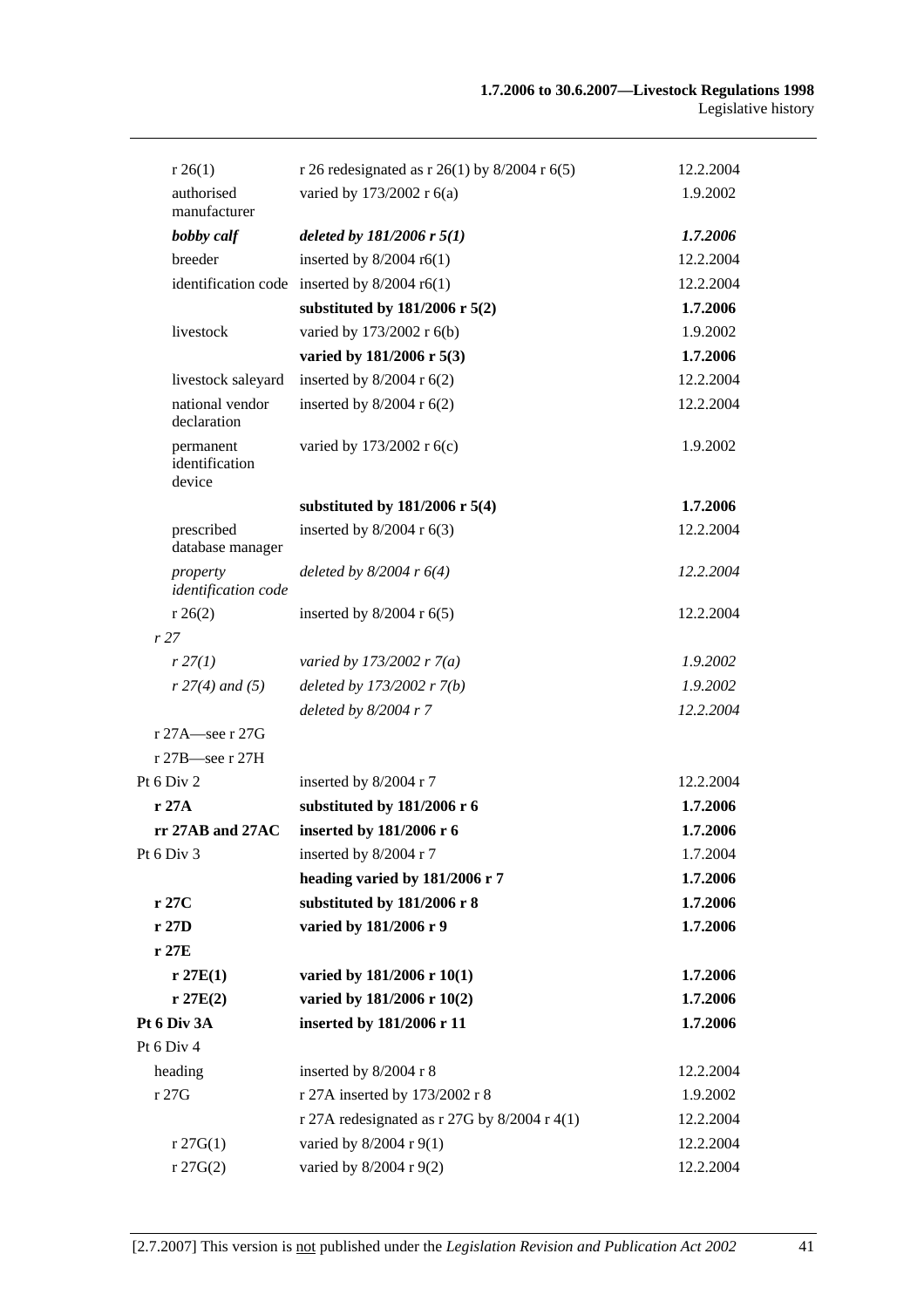| r 26(1)                               | r 26 redesignated as r 26(1) by $8/2004$ r 6(5) | 12.2.2004 |
|---------------------------------------|-------------------------------------------------|-----------|
| authorised<br>manufacturer            | varied by 173/2002 r 6(a)                       | 1.9.2002  |
| bobby calf                            | deleted by $181/2006$ r $5(1)$                  | 1.7.2006  |
| breeder                               | inserted by $8/2004$ r6(1)                      | 12.2.2004 |
|                                       | identification code inserted by $8/2004$ r6(1)  | 12.2.2004 |
|                                       | substituted by $181/2006$ r $5(2)$              | 1.7.2006  |
| livestock                             | varied by 173/2002 r 6(b)                       | 1.9.2002  |
|                                       | varied by 181/2006 r 5(3)                       | 1.7.2006  |
| livestock saleyard                    | inserted by $8/2004$ r $6(2)$                   | 12.2.2004 |
| national vendor<br>declaration        | inserted by $8/2004$ r $6(2)$                   | 12.2.2004 |
| permanent<br>identification<br>device | varied by 173/2002 r 6(c)                       | 1.9.2002  |
|                                       | substituted by $181/2006$ r 5(4)                | 1.7.2006  |
| prescribed<br>database manager        | inserted by $8/2004$ r $6(3)$                   | 12.2.2004 |
| property<br>identification code       | deleted by $8/2004$ r $6(4)$                    | 12.2.2004 |
| r 26(2)                               | inserted by $8/2004$ r $6(5)$                   | 12.2.2004 |
| r27                                   |                                                 |           |
| r 27(1)                               | varied by 173/2002 r $7(a)$                     | 1.9.2002  |
| $r 27(4)$ and (5)                     | deleted by $173/2002 r 7(b)$                    | 1.9.2002  |
|                                       | deleted by $8/2004$ r 7                         | 12.2.2004 |
| r 27A—see r 27G                       |                                                 |           |
| $r 27B$ see r 27H                     |                                                 |           |
| Pt 6 Div 2                            | inserted by 8/2004 r 7                          | 12.2.2004 |
| r 27A                                 | substituted by 181/2006 r 6                     | 1.7.2006  |
| $rr 27AB$ and $27AC$                  | inserted by 181/2006 r 6                        | 1.7.2006  |
| Pt 6 Div 3                            | inserted by 8/2004 r 7                          | 1.7.2004  |
|                                       | heading varied by 181/2006 r 7                  | 1.7.2006  |
| r 27C                                 | substituted by 181/2006 r 8                     | 1.7.2006  |
| r 27D                                 | varied by 181/2006 r 9                          | 1.7.2006  |
| r27E                                  |                                                 |           |
| r 27E(1)                              | varied by 181/2006 r 10(1)                      | 1.7.2006  |
| r 27E(2)                              | varied by 181/2006 r 10(2)                      | 1.7.2006  |
| Pt 6 Div 3A                           | inserted by 181/2006 r 11                       | 1.7.2006  |
| Pt 6 Div 4                            |                                                 |           |
| heading                               | inserted by 8/2004 r 8                          | 12.2.2004 |
| r 27G                                 | r 27A inserted by 173/2002 r 8                  | 1.9.2002  |
|                                       | r 27A redesignated as r 27G by $8/2004$ r 4(1)  | 12.2.2004 |
| r 27G(1)                              | varied by 8/2004 r 9(1)                         | 12.2.2004 |
| r 27G(2)                              | varied by 8/2004 r 9(2)                         | 12.2.2004 |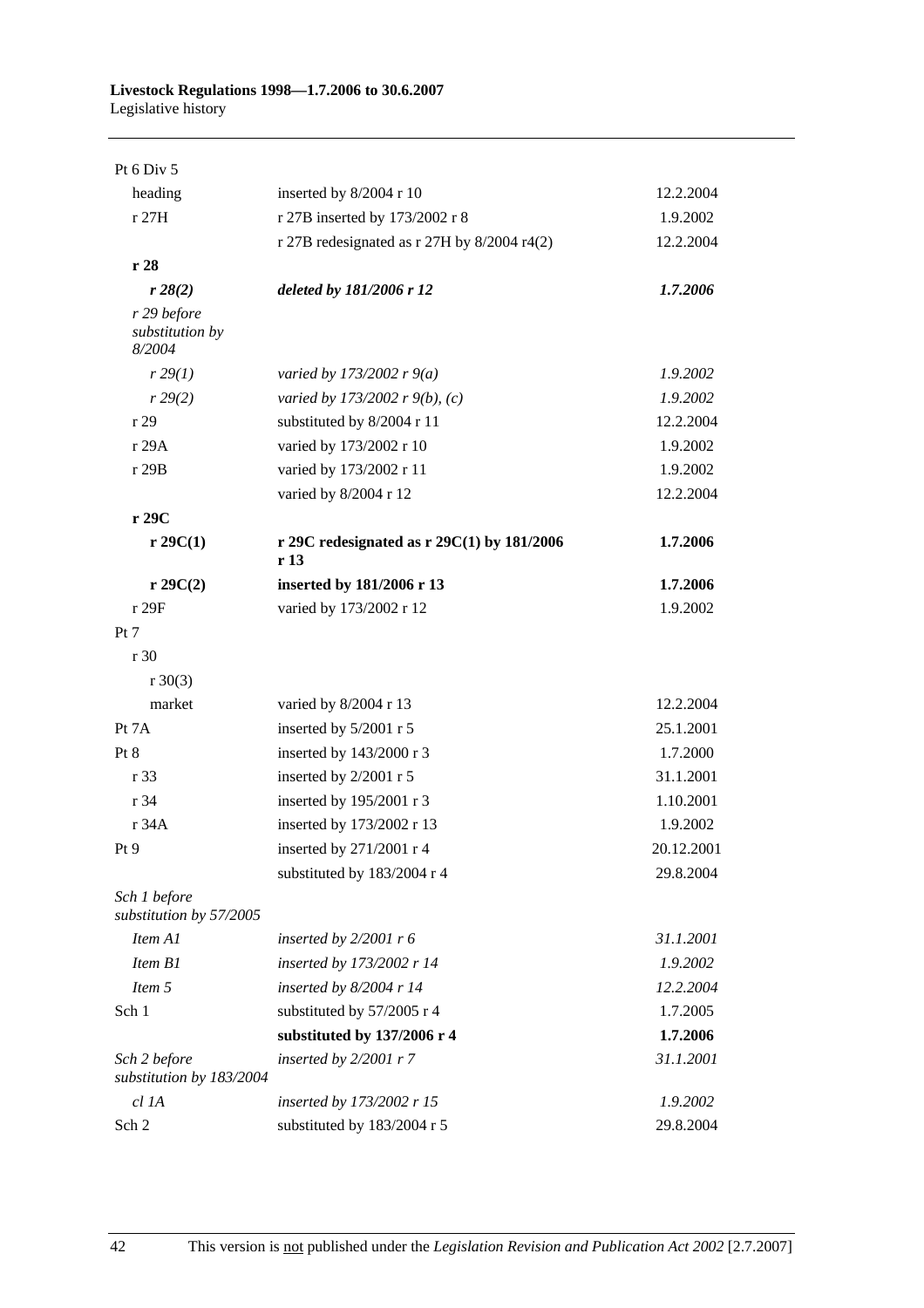| Pt 6 Div 5                               |                                                                   |            |
|------------------------------------------|-------------------------------------------------------------------|------------|
| heading                                  | inserted by 8/2004 r 10                                           | 12.2.2004  |
| r 27H                                    | r 27B inserted by 173/2002 r 8                                    | 1.9.2002   |
|                                          | r 27B redesignated as $r$ 27H by 8/2004 r4(2)                     | 12.2.2004  |
| r 28                                     |                                                                   |            |
| r 28(2)                                  | deleted by 181/2006 r 12                                          | 1.7.2006   |
| r 29 before<br>substitution by<br>8/2004 |                                                                   |            |
| r 29(1)                                  | varied by 173/2002 r $9(a)$                                       | 1.9.2002   |
| r 29(2)                                  | varied by 173/2002 r 9(b), (c)                                    | 1.9.2002   |
| r 29                                     | substituted by 8/2004 r 11                                        | 12.2.2004  |
| r 29A                                    | varied by 173/2002 r 10                                           | 1.9.2002   |
| r 29B                                    | varied by 173/2002 r 11                                           | 1.9.2002   |
|                                          | varied by 8/2004 r 12                                             | 12.2.2004  |
| r 29C                                    |                                                                   |            |
| $r \, 29C(1)$                            | r 29C redesignated as r $29C(1)$ by $181/2006$<br>r <sub>13</sub> | 1.7.2006   |
| r 29C(2)                                 | inserted by 181/2006 r 13                                         | 1.7.2006   |
| r 29F                                    | varied by 173/2002 r 12                                           | 1.9.2002   |
| Pt 7                                     |                                                                   |            |
| r 30                                     |                                                                   |            |
| $r \ 30(3)$                              |                                                                   |            |
| market                                   | varied by 8/2004 r 13                                             | 12.2.2004  |
| Pt 7A                                    | inserted by 5/2001 r 5                                            | 25.1.2001  |
| Pt 8                                     | inserted by 143/2000 r 3                                          | 1.7.2000   |
| r 33                                     | inserted by 2/2001 r 5                                            | 31.1.2001  |
| r 34                                     | inserted by 195/2001 r 3                                          | 1.10.2001  |
| r 34A                                    | inserted by 173/2002 r 13                                         | 1.9.2002   |
| Pt9                                      | inserted by 271/2001 r 4                                          | 20.12.2001 |
|                                          | substituted by 183/2004 r 4                                       | 29.8.2004  |
| Sch 1 before<br>substitution by 57/2005  |                                                                   |            |
| Item A1                                  | inserted by $2/2001$ r 6                                          | 31.1.2001  |
| Item B1                                  | inserted by 173/2002 r 14                                         | 1.9.2002   |
| Item 5                                   | inserted by $8/2004$ r 14                                         | 12.2.2004  |
| Sch 1                                    | substituted by 57/2005 r 4                                        | 1.7.2005   |
|                                          | substituted by 137/2006 r 4                                       | 1.7.2006   |
| Sch 2 before<br>substitution by 183/2004 | inserted by $2/2001$ r 7                                          | 31.1.2001  |
| cl 1A                                    | inserted by 173/2002 r 15                                         | 1.9.2002   |
| Sch 2                                    | substituted by 183/2004 r 5                                       | 29.8.2004  |